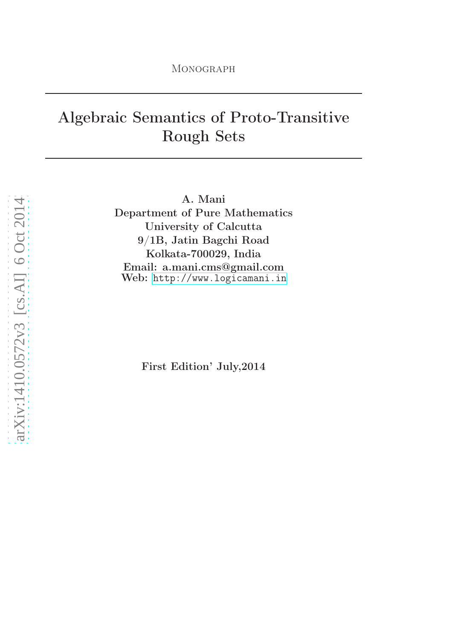# Algebraic Semantics of Proto-Transitive Rough Sets

A. Mani Department of Pure Mathematics University of Calcutta 9/1B, Jatin Bagchi Road Kolkata-700029, India Email: a.mani.cms@gmail.com Web: <http://www.logicamani.in>

First Edition' July,2014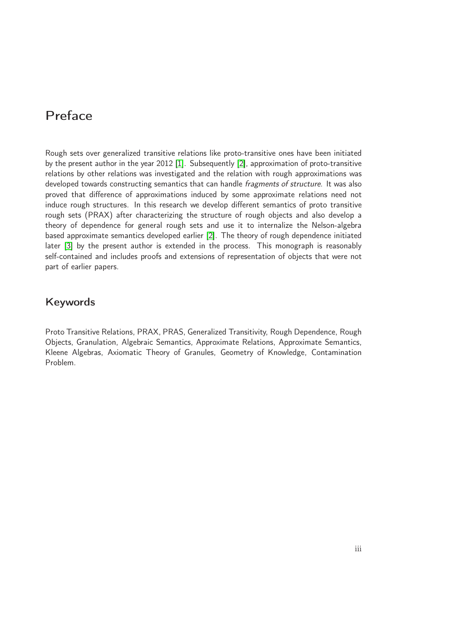# Preface

Rough sets over generalized transitive relations like proto-transitive ones have been initiated by the present author in the year 2012 [\[1\]](#page-86-0). Subsequently [\[2\]](#page-86-1), approximation of proto-transitive relations by other relations was investigated and the relation with rough approximations was developed towards constructing semantics that can handle fragments of structure. It was also proved that difference of approximations induced by some approximate relations need not induce rough structures. In this research we develop different semantics of proto transitive rough sets (PRAX) after characterizing the structure of rough objects and also develop a theory of dependence for general rough sets and use it to internalize the Nelson-algebra based approximate semantics developed earlier [\[2\]](#page-86-1). The theory of rough dependence initiated later [\[3\]](#page-86-2) by the present author is extended in the process. This monograph is reasonably self-contained and includes proofs and extensions of representation of objects that were not part of earlier papers.

# Keywords

Proto Transitive Relations, PRAX, PRAS, Generalized Transitivity, Rough Dependence, Rough Objects, Granulation, Algebraic Semantics, Approximate Relations, Approximate Semantics, Kleene Algebras, Axiomatic Theory of Granules, Geometry of Knowledge, Contamination Problem.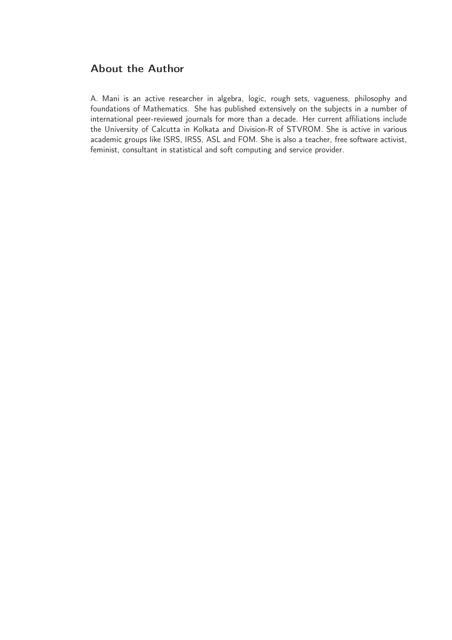# About the Author

A. Mani is an active researcher in algebra, logic, rough sets, vagueness, philosophy and foundations of Mathematics. She has published extensively on the subjects in a number of international peer-reviewed journals for more than a decade. Her current affiliations include the University of Calcutta in Kolkata and Division-R of STVROM. She is active in various academic groups like ISRS, IRSS, ASL and FOM. She is also a teacher, free software activist, feminist, consultant in statistical and soft computing and service provider.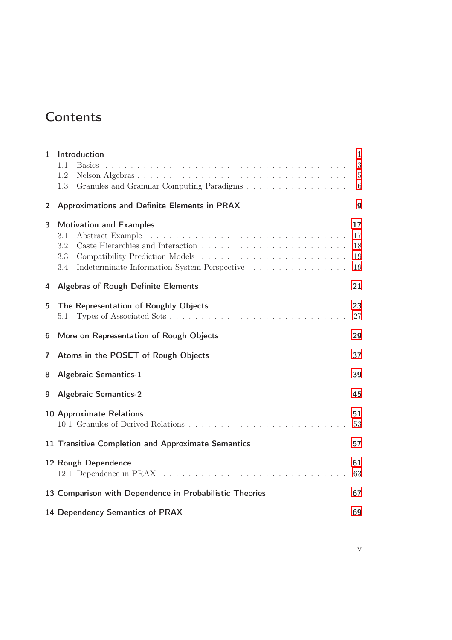# **Contents**

| 1              | Introduction<br>1.1<br><b>Basics</b>                                                                                           | $\mathbf{1}$<br>3          |
|----------------|--------------------------------------------------------------------------------------------------------------------------------|----------------------------|
|                | 1.2<br>Granules and Granular Computing Paradigms<br>1.3                                                                        | $\overline{5}$<br>$\,6\,$  |
| $\overline{2}$ | Approximations and Definite Elements in PRAX                                                                                   | 9                          |
| 3              | <b>Motivation and Examples</b><br>Abstract Example<br>3.1<br>3.2<br>3.3<br>Indeterminate Information System Perspective<br>3.4 | 17<br>17<br>18<br>19<br>19 |
| 4              | <b>Algebras of Rough Definite Elements</b>                                                                                     | 21                         |
| 5              | The Representation of Roughly Objects<br>5.1                                                                                   | 23<br>27                   |
| 6              | More on Representation of Rough Objects                                                                                        | 29                         |
| 7              | Atoms in the POSET of Rough Objects                                                                                            | 37                         |
| 8              | <b>Algebraic Semantics-1</b>                                                                                                   | 39                         |
| 9              | <b>Algebraic Semantics-2</b>                                                                                                   | 45                         |
|                | <b>10 Approximate Relations</b>                                                                                                | 51<br>53                   |
|                | 11 Transitive Completion and Approximate Semantics                                                                             | 57                         |
|                | 12 Rough Dependence                                                                                                            | 61<br>63                   |
|                | 13 Comparison with Dependence in Probabilistic Theories                                                                        | 67                         |
|                | 14 Dependency Semantics of PRAX                                                                                                | 69                         |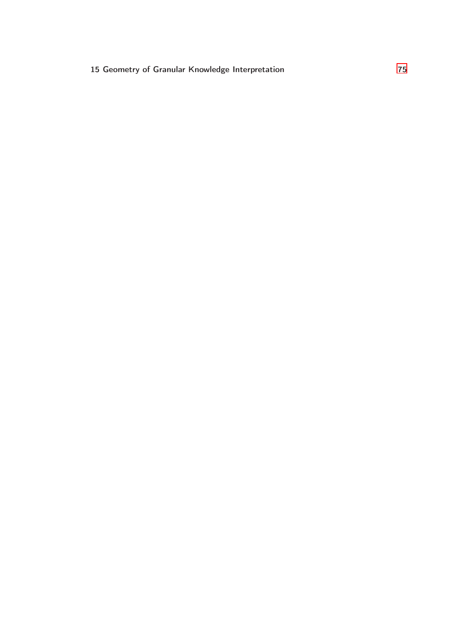### 15 Geometry of Granular Knowledge Interpretation [75](#page-80-0)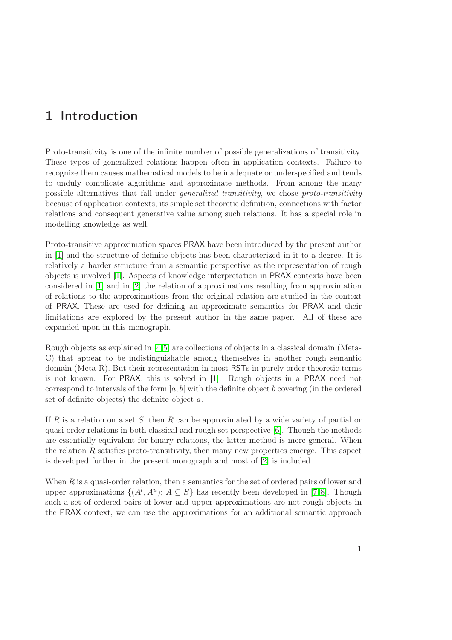# <span id="page-6-0"></span>1 Introduction

Proto-transitivity is one of the infinite number of possible generalizations of transitivity. These types of generalized relations happen often in application contexts. Failure to recognize them causes mathematical models to be inadequate or underspecified and tends to unduly complicate algorithms and approximate methods. From among the many possible alternatives that fall under generalized transitivity, we chose proto-transitivity because of application contexts, its simple set theoretic definition, connections with factor relations and consequent generative value among such relations. It has a special role in modelling knowledge as well.

Proto-transitive approximation spaces PRAX have been introduced by the present author in [\[1\]](#page-86-0) and the structure of definite objects has been characterized in it to a degree. It is relatively a harder structure from a semantic perspective as the representation of rough objects is involved [\[1\]](#page-86-0). Aspects of knowledge interpretation in PRAX contexts have been considered in [\[1\]](#page-86-0) and in [\[2\]](#page-86-1) the relation of approximations resulting from approximation of relations to the approximations from the original relation are studied in the context of PRAX. These are used for defining an approximate semantics for PRAX and their limitations are explored by the present author in the same paper. All of these are expanded upon in this monograph.

Rough objects as explained in [\[4,](#page-86-3)[5\]](#page-86-4) are collections of objects in a classical domain (Meta-C) that appear to be indistinguishable among themselves in another rough semantic domain (Meta-R). But their representation in most RSTs in purely order theoretic terms is not known. For PRAX, this is solved in [\[1\]](#page-86-0). Rough objects in a PRAX need not correspond to intervals of the form  $[a, b]$  with the definite object b covering (in the ordered set of definite objects) the definite object a.

If R is a relation on a set S, then R can be approximated by a wide variety of partial or quasi-order relations in both classical and rough set perspective [\[6\]](#page-86-5). Though the methods are essentially equivalent for binary relations, the latter method is more general. When the relation R satisfies proto-transitivity, then many new properties emerge. This aspect is developed further in the present monograph and most of [\[2\]](#page-86-1) is included.

When  $R$  is a quasi-order relation, then a semantics for the set of ordered pairs of lower and upper approximations  $\{(A^l, A^u); A \subseteq S\}$  has recently been developed in [\[7,](#page-86-6)8]. Though such a set of ordered pairs of lower and upper approximations are not rough objects in the PRAX context, we can use the approximations for an additional semantic approach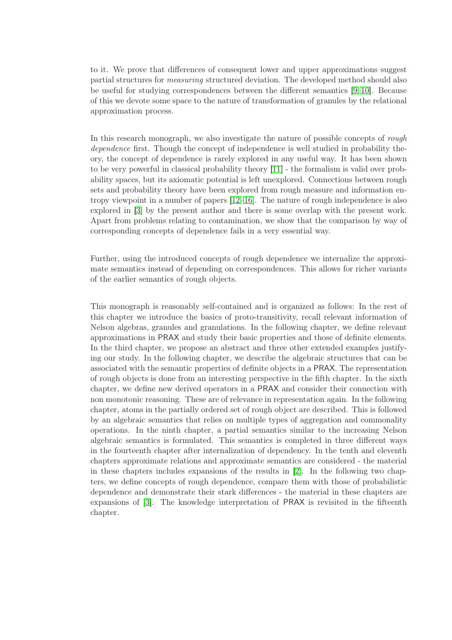to it. We prove that differences of consequent lower and upper approximations suggest partial structures for measuring structured deviation. The developed method should also be useful for studying correspondences between the different semantics [\[9,](#page-86-8) [10\]](#page-86-9). Because of this we devote some space to the nature of transformation of granules by the relational approximation process.

In this research monograph, we also investigate the nature of possible concepts of *rough* dependence first. Though the concept of independence is well studied in probability theory, the concept of dependence is rarely explored in any useful way. It has been shown to be very powerful in classical probability theory [\[11\]](#page-87-0) - the formalism is valid over probability spaces, but its axiomatic potential is left unexplored. Connections between rough sets and probability theory have been explored from rough measure and information entropy viewpoint in a number of papers [\[12](#page-87-1)[–16\]](#page-87-2). The nature of rough independence is also explored in [\[3\]](#page-86-2) by the present author and there is some overlap with the present work. Apart from problems relating to contamination, we show that the comparison by way of corresponding concepts of dependence fails in a very essential way.

Further, using the introduced concepts of rough dependence we internalize the approximate semantics instead of depending on correspondences. This allows for richer variants of the earlier semantics of rough objects.

This monograph is reasonably self-contained and is organized as follows: In the rest of this chapter we introduce the basics of proto-transitivity, recall relevant information of Nelson algebras, granules and granulations. In the following chapter, we define relevant approximations in PRAX and study their basic properties and those of definite elements. In the third chapter, we propose an abstract and three other extended examples justifying our study. In the following chapter, we describe the algebraic structures that can be associated with the semantic properties of definite objects in a PRAX. The representation of rough objects is done from an interesting perspective in the fifth chapter. In the sixth chapter, we define new derived operators in a PRAX and consider their connection with non monotonic reasoning. These are of relevance in representation again. In the following chapter, atoms in the partially ordered set of rough object are described. This is followed by an algebraic semantics that relies on multiple types of aggregation and commonality operations. In the ninth chapter, a partial semantics similar to the increasing Nelson algebraic semantics is formulated. This semantics is completed in three different ways in the fourteenth chapter after internalization of dependency. In the tenth and eleventh chapters approximate relations and approximate semantics are considered - the material in these chapters includes expansions of the results in [\[2\]](#page-86-1). In the following two chapters, we define concepts of rough dependence, compare them with those of probabilistic dependence and demonstrate their stark differences - the material in these chapters are expansions of [\[3\]](#page-86-2). The knowledge interpretation of PRAX is revisited in the fifteenth chapter.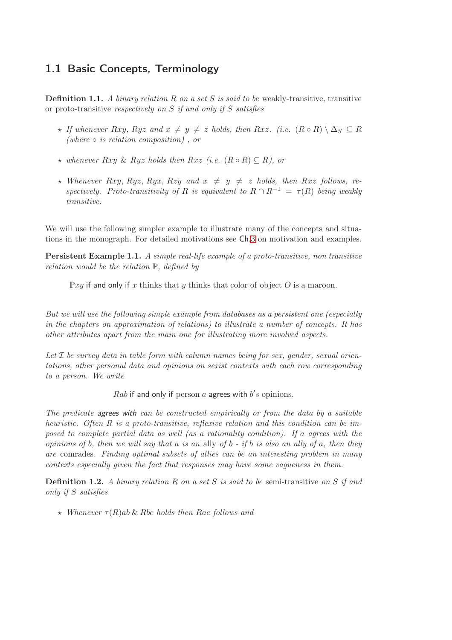# <span id="page-8-0"></span>1.1 Basic Concepts, Terminology

**Definition 1.1.** A binary relation R on a set S is said to be weakly-transitive, transitive or proto-transitive respectively on  $S$  if and only if  $S$  satisfies

- $\star$  If whenever Rxy, Ryz and  $x \neq y \neq z$  holds, then Rxz. (i.e.  $(R \circ R) \setminus \Delta_S \subseteq R$ (where  $\circ$  is relation composition), or
- $★$  whenever Rxy & Ryz holds then Rxz (i.e.  $(R \circ R) \subseteq R$ ), or
- $\star$  Whenever Rxy, Ryz, Ryx, Rzy and  $x \neq y \neq z$  holds, then Rxz follows, respectively. Proto-transitivity of R is equivalent to  $R \cap R^{-1} = \tau(R)$  being weakly transitive.

We will use the following simpler example to illustrate many of the concepts and situations in the monograph. For detailed motivations see Ch.[3](#page-22-0) on motivation and examples.

<span id="page-8-1"></span>Persistent Example 1.1. A simple real-life example of a proto-transitive, non transitive relation would be the relation P, defined by

 $\mathbb{P}xy$  if and only if x thinks that y thinks that color of object O is a maroon.

But we will use the following simple example from databases as a persistent one (especially in the chapters on approximation of relations) to illustrate a number of concepts. It has other attributes apart from the main one for illustrating more involved aspects.

Let  $I$  be survey data in table form with column names being for sex, gender, sexual orientations, other personal data and opinions on sexist contexts with each row corresponding to a person. We write

Rab if and only if person a agrees with  $b's$  opinions.

The predicate agrees with can be constructed empirically or from the data by a suitable heuristic. Often R is a proto-transitive, reflexive relation and this condition can be imposed to complete partial data as well (as a rationality condition). If a agrees with the opinions of b, then we will say that a is an ally of  $b - if b$  is also an ally of a, then they are comrades. Finding optimal subsets of allies can be an interesting problem in many contexts especially given the fact that responses may have some vagueness in them.

**Definition 1.2.** A binary relation R on a set S is said to be semi-transitive on S if and only if S satisfies

 $\star$  Whenever  $\tau(R)$ ab & Rbc holds then Rac follows and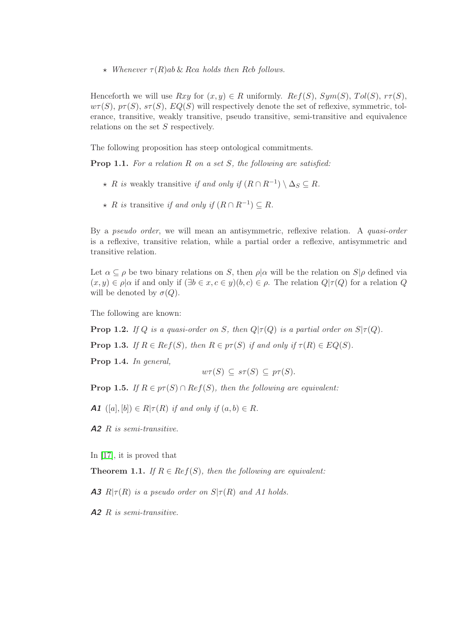$\star$  Whenever  $\tau(R)$ ab & Rca holds then Rcb follows.

Henceforth we will use  $Rxy$  for  $(x, y) \in R$  uniformly.  $Ref(S)$ ,  $Sym(S)$ ,  $Tol(S)$ ,  $r\tau(S)$ ,  $w\tau(S)$ ,  $p\tau(S)$ ,  $s\tau(S)$ ,  $EQ(S)$  will respectively denote the set of reflexive, symmetric, tolerance, transitive, weakly transitive, pseudo transitive, semi-transitive and equivalence relations on the set  $S$  respectively.

The following proposition has steep ontological commitments.

**Prop 1.1.** For a relation  $R$  on a set  $S$ , the following are satisfied:

- ★ R is weakly transitive if and only if  $(R \cap R^{-1}) \setminus \Delta_S \subseteq R$ .
- $\star$  R is transitive if and only if  $(R \cap R^{-1}) \subseteq R$ .

By a pseudo order, we will mean an antisymmetric, reflexive relation. A quasi-order is a reflexive, transitive relation, while a partial order a reflexive, antisymmetric and transitive relation.

Let  $\alpha \subset \rho$  be two binary relations on S, then  $\rho|\alpha$  will be the relation on  $S|\rho$  defined via  $(x, y) \in \rho | \alpha$  if and only if  $(\exists b \in x, c \in y)(b, c) \in \rho$ . The relation  $Q | \tau(Q)$  for a relation Q will be denoted by  $\sigma(Q)$ .

The following are known:

**Prop 1.2.** If Q is a quasi-order on S, then  $Q | \tau(Q)$  is a partial order on  $S | \tau(Q)$ .

**Prop 1.3.** If  $R \in Ref(S)$ , then  $R \in pf(S)$  if and only if  $\tau(R) \in EQ(S)$ .

Prop 1.4. In general,

$$
w\tau(S) \subseteq s\tau(S) \subseteq p\tau(S).
$$

**Prop 1.5.** If  $R \in p\tau(S) \cap \text{Re } f(S)$ , then the following are equivalent:

**A1**  $([a], [b]) \in R | \tau(R)$  if and only if  $(a, b) \in R$ .

 $A2 \; R$  is semi-transitive.

In [\[17\]](#page-87-3), it is proved that

**Theorem 1.1.** If  $R \in Ref(S)$ , then the following are equivalent:

**A3**  $R|\tau(R)$  is a pseudo order on  $S|\tau(R)$  and A1 holds.

A2 R is semi-transitive.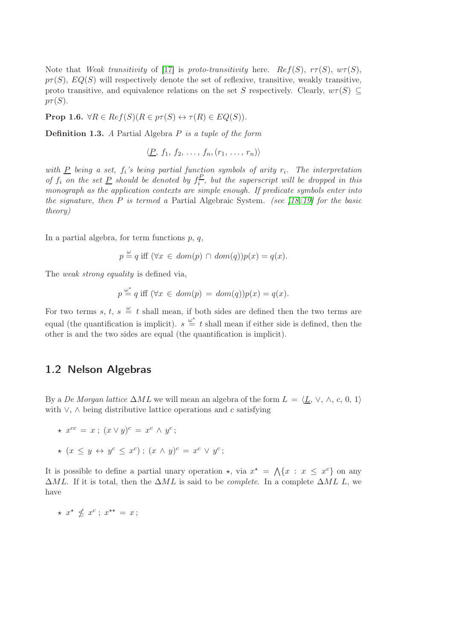Note that Weak transitivity of [\[17\]](#page-87-3) is proto-transitivity here. Ref(S),  $r\tau(S)$ ,  $w\tau(S)$ ,  $p\tau(S)$ ,  $EQ(S)$  will respectively denote the set of reflexive, transitive, weakly transitive, proto transitive, and equivalence relations on the set S respectively. Clearly,  $w\tau(S) \subseteq$  $p_{\mathcal{T}}(S)$ .

**Prop 1.6.**  $\forall R \in \text{Re } f(S) (R \in p\tau(S) \leftrightarrow \tau(R) \in EQ(S)).$ 

**Definition 1.3.** A Partial Algebra  $P$  is a tuple of the form

$$
\langle \underline{P}, f_1, f_2, \ldots, f_n, (r_1, \ldots, r_n) \rangle
$$

with  $\underline{P}$  being a set,  $f_i$ 's being partial function symbols of arity  $r_i$ . The interpretation of  $f_i$  on the set P should be denoted by  $f_i^P$  $\frac{dF}{dt}$ , but the superscript will be dropped in this monograph as the application contexts are simple enough. If predicate symbols enter into the signature, then  $P$  is termed a Partial Algebraic System. (see [\[18,](#page-87-4) [19\]](#page-87-5) for the basic theory)

In a partial algebra, for term functions  $p, q$ ,

$$
p \stackrel{\omega}{=} q
$$
 iff  $(\forall x \in dom(p) \cap dom(q))p(x) = q(x)$ .

The *weak strong equality* is defined via,

$$
p \stackrel{\omega^*}{=} q \text{ iff } (\forall x \in dom(p) = dom(q))p(x) = q(x).
$$

For two terms s, t,  $s \stackrel{\omega}{=} t$  shall mean, if both sides are defined then the two terms are equal (the quantification is implicit).  $s \stackrel{\omega^*}{=} t$  shall mean if either side is defined, then the other is and the two sides are equal (the quantification is implicit).

### <span id="page-10-0"></span>1.2 Nelson Algebras

By a De Morgan lattice  $\Delta ML$  we will mean an algebra of the form  $L = \langle L, \vee, \wedge, c, 0, 1 \rangle$ with  $\vee$ ,  $\wedge$  being distributive lattice operations and c satisfying

$$
\star x^{cc} = x \, ; \, (x \vee y)^c = x^c \wedge y^c \, ;
$$

$$
\star (x \le y \leftrightarrow y^c \le x^c) \, ; \, (x \wedge y)^c = x^c \vee y^c
$$

It is possible to define a partial unary operation  $\star$ , via  $x^* = \bigwedge \{x : x \leq x^c\}$  on any  $\Delta ML$ . If it is total, then the  $\Delta ML$  is said to be *complete*. In a complete  $\Delta ML$  L, we have

;

 $\star x^{\star} \nleq x^{c}$ ;  $x^{\star\star} = x$ ;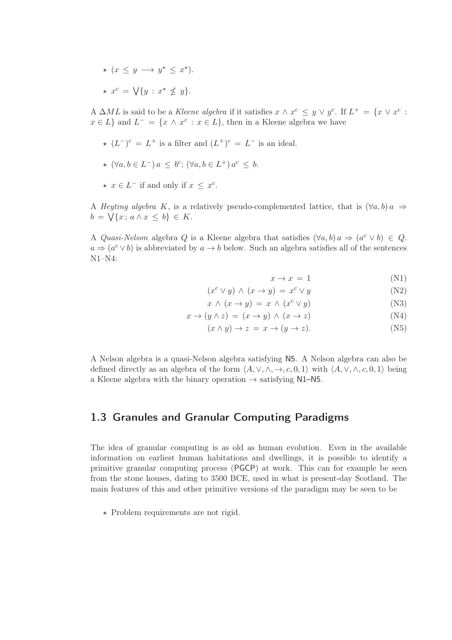$\star$   $(x \leq y \rightarrow y^* \leq x^*).$ \*  $x^c = \bigvee \{y : x^* \nleq y\}.$ 

A  $\Delta ML$  is said to be a Kleene algebra if it satisfies  $x \wedge x^c \leq y \vee y^c$ . If  $L^+ = \{x \vee x^c :$  $x \in L$  and  $L^- = \{x \wedge x^c : x \in L\}$ , then in a Kleene algebra we have

- $\star$   $(L^-)^c = L^+$  is a filter and  $(L^+)^c = L^-$  is an ideal.
- $\star$   $(\forall a, b \in L^-) a \leq b^c$ ;  $(\forall a, b \in L^+) a^c \leq b$ .
- $\star \, x \in L^-$  if and only if  $x \leq x^c$ .

A Heyting algebra K, is a relatively pseudo-complemented lattice, that is  $(\forall a, b) a \Rightarrow$  $b = \sqrt{x}$ ;  $a \wedge x \leq b$ }  $\in K$ .

A Quasi-Nelson algebra Q is a Kleene algebra that satisfies  $(\forall a, b) a \Rightarrow (a^c \vee b) \in Q$ .  $a \Rightarrow (a^c \vee b)$  is abbreviated by  $a \rightarrow b$  below. Such an algebra satisfies all of the sentences N1–N4:

 $x \to x = 1$  (N1)

$$
(x^{c} \vee y) \wedge (x \to y) = x^{c} \vee y \tag{N2}
$$

$$
x \wedge (x \to y) = x \wedge (x^c \vee y) \tag{N3}
$$

$$
x \to (y \land z) = (x \to y) \land (x \to z) \tag{N4}
$$

$$
(x \wedge y) \rightarrow z = x \rightarrow (y \rightarrow z). \tag{N5}
$$

A Nelson algebra is a quasi-Nelson algebra satisfying N5. A Nelson algebra can also be defined directly as an algebra of the form  $\langle A, \vee, \wedge, \rightarrow, c, 0, 1 \rangle$  with  $\langle A, \vee, \wedge, c, 0, 1 \rangle$  being a Kleene algebra with the binary operation  $\rightarrow$  satisfying N1–N5.

### <span id="page-11-0"></span>1.3 Granules and Granular Computing Paradigms

The idea of granular computing is as old as human evolution. Even in the available information on earliest human habitations and dwellings, it is possible to identify a primitive granular computing process (PGCP) at work. This can for example be seen from the stone houses, dating to 3500 BCE, used in what is present-day Scotland. The main features of this and other primitive versions of the paradigm may be seen to be

 $\star$  Problem requirements are not rigid.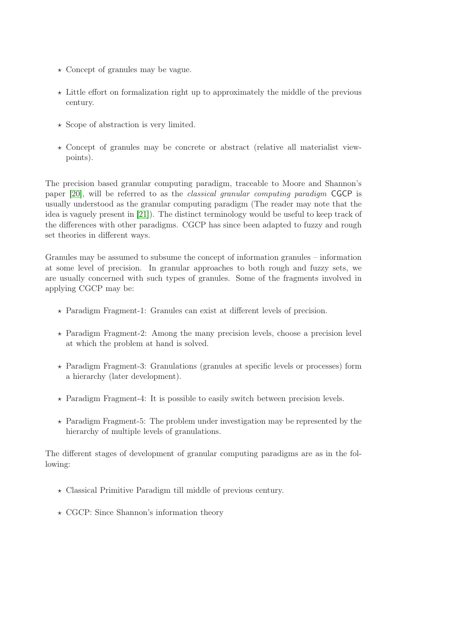- $\star$  Concept of granules may be vague.
- $\star$  Little effort on formalization right up to approximately the middle of the previous century.
- $\star$  Scope of abstraction is very limited.
- $\star$  Concept of granules may be concrete or abstract (relative all materialist viewpoints).

The precision based granular computing paradigm, traceable to Moore and Shannon's paper [\[20\]](#page-87-6), will be referred to as the classical granular computing paradigm CGCP is usually understood as the granular computing paradigm (The reader may note that the idea is vaguely present in [\[21\]](#page-87-7)). The distinct terminology would be useful to keep track of the differences with other paradigms. CGCP has since been adapted to fuzzy and rough set theories in different ways.

Granules may be assumed to subsume the concept of information granules – information at some level of precision. In granular approaches to both rough and fuzzy sets, we are usually concerned with such types of granules. Some of the fragments involved in applying CGCP may be:

- $\star$  Paradigm Fragment-1: Granules can exist at different levels of precision.
- $\star$  Paradigm Fragment-2: Among the many precision levels, choose a precision level at which the problem at hand is solved.
- ⋆ Paradigm Fragment-3: Granulations (granules at specific levels or processes) form a hierarchy (later development).
- $\star$  Paradigm Fragment-4: It is possible to easily switch between precision levels.
- $\star$  Paradigm Fragment-5: The problem under investigation may be represented by the hierarchy of multiple levels of granulations.

The different stages of development of granular computing paradigms are as in the following:

- $\star$  Classical Primitive Paradigm till middle of previous century.
- $\star$  CGCP: Since Shannon's information theory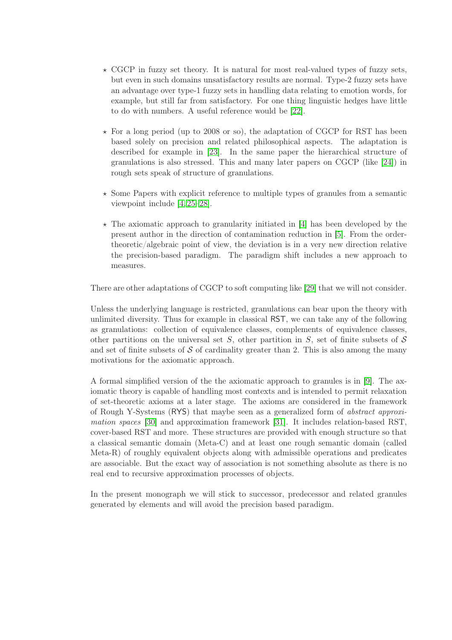- $\star$  CGCP in fuzzy set theory. It is natural for most real-valued types of fuzzy sets, but even in such domains unsatisfactory results are normal. Type-2 fuzzy sets have an advantage over type-1 fuzzy sets in handling data relating to emotion words, for example, but still far from satisfactory. For one thing linguistic hedges have little to do with numbers. A useful reference would be [\[22\]](#page-87-8).
- $\star$  For a long period (up to 2008 or so), the adaptation of CGCP for RST has been based solely on precision and related philosophical aspects. The adaptation is described for example in [\[23\]](#page-87-9). In the same paper the hierarchical structure of granulations is also stressed. This and many later papers on CGCP (like [\[24\]](#page-87-10)) in rough sets speak of structure of granulations.
- $\star$  Some Papers with explicit reference to multiple types of granules from a semantic viewpoint include [\[4,](#page-86-3) [25–](#page-87-11)[28\]](#page-88-0).
- $\star$  The axiomatic approach to granularity initiated in [\[4\]](#page-86-3) has been developed by the present author in the direction of contamination reduction in [\[5\]](#page-86-4). From the ordertheoretic/algebraic point of view, the deviation is in a very new direction relative the precision-based paradigm. The paradigm shift includes a new approach to measures.

There are other adaptations of CGCP to soft computing like [\[29\]](#page-88-1) that we will not consider.

Unless the underlying language is restricted, granulations can bear upon the theory with unlimited diversity. Thus for example in classical RST, we can take any of the following as granulations: collection of equivalence classes, complements of equivalence classes, other partitions on the universal set  $S$ , other partition in  $S$ , set of finite subsets of  $S$ and set of finite subsets of  $\mathcal S$  of cardinality greater than 2. This is also among the many motivations for the axiomatic approach.

A formal simplified version of the the axiomatic approach to granules is in [\[9\]](#page-86-8). The axiomatic theory is capable of handling most contexts and is intended to permit relaxation of set-theoretic axioms at a later stage. The axioms are considered in the framework of Rough Y-Systems (RYS) that maybe seen as a generalized form of abstract approximation spaces [\[30\]](#page-88-2) and approximation framework [\[31\]](#page-88-3). It includes relation-based RST, cover-based RST and more. These structures are provided with enough structure so that a classical semantic domain (Meta-C) and at least one rough semantic domain (called Meta-R) of roughly equivalent objects along with admissible operations and predicates are associable. But the exact way of association is not something absolute as there is no real end to recursive approximation processes of objects.

In the present monograph we will stick to successor, predecessor and related granules generated by elements and will avoid the precision based paradigm.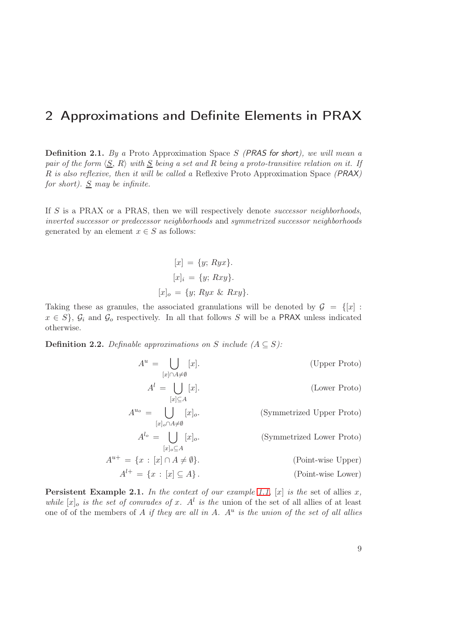# <span id="page-14-0"></span>2 Approximations and Definite Elements in PRAX

**Definition 2.1.** By a Proto Approximation Space  $S$  (PRAS for short), we will mean a pair of the form  $\langle S, R \rangle$  with S being a set and R being a proto-transitive relation on it. If R is also reflexive, then it will be called a Reflexive Proto Approximation Space (PRAX) for short).  $S$  may be infinite.

If S is a PRAX or a PRAS, then we will respectively denote *successor neighborhoods*, inverted successor or predecessor neighborhoods and symmetrized successor neighborhoods generated by an element  $x \in S$  as follows:

$$
[x] = \{y; Ryx\}.
$$

$$
[x]_i = \{y; Rxy\}.
$$

$$
[x]_o = \{y; Ryx \& Rxy\}.
$$

Taking these as granules, the associated granulations will be denoted by  $\mathcal{G} = \{[x] :$  $x \in S$ ,  $\mathcal{G}_i$  and  $\mathcal{G}_o$  respectively. In all that follows S will be a PRAX unless indicated otherwise.

**Definition 2.2.** Definable approximations on S include  $(A \subseteq S)$ :

$$
A^{u} = \bigcup_{[x] \cap A \neq \emptyset} [x].
$$
 (Upper Proto)  
\n
$$
A^{l} = \bigcup_{[x] \subseteq A} [x].
$$
 (Lower Proto)  
\n
$$
A^{u_{o}} = \bigcup_{[x]_{o} \cap A \neq \emptyset} [x]_{o}.
$$
 (Symmetrized Upper Proto)  
\n
$$
A^{l_{o}} = \bigcup_{[x]_{o} \subseteq A} [x]_{o}.
$$
 (Symmetrized Lower Proto)  
\n
$$
A^{u+} = \{x : [x] \cap A \neq \emptyset\}.
$$
 (Point-wise Upper)  
\n
$$
A^{l+} = \{x : [x] \subseteq A\}.
$$
 (Point-wise Lower)

**Persistent Example 2.1.** In the context of our example [1.1,](#page-8-1)  $[x]$  is the set of allies x, while  $[x]_o$  is the set of comrades of x.  $A^l$  is the union of the set of all allies of at least one of of the members of  $A$  if they are all in  $A$ .  $A<sup>u</sup>$  is the union of the set of all allies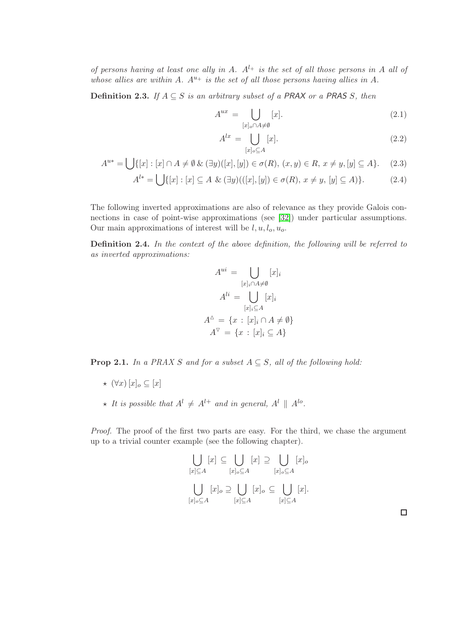of persons having at least one ally in A.  $A^{l+}$  is the set of all those persons in A all of whose allies are within A.  $A^{u_+}$  is the set of all those persons having allies in A.

**Definition 2.3.** If  $A \subseteq S$  is an arbitrary subset of a PRAX or a PRAS S, then

$$
A^{ux} = \bigcup_{[x]_o \cap A \neq \emptyset} [x]. \tag{2.1}
$$

$$
A^{lx} = \bigcup_{[x]_o \subseteq A} [x]. \tag{2.2}
$$

$$
A^{u*} = \bigcup \{ [x] : [x] \cap A \neq \emptyset \& (\exists y)([x], [y]) \in \sigma(R), (x, y) \in R, x \neq y, [y] \subseteq A \}. \tag{2.3}
$$

$$
A^{l*} = \bigcup \{ [x] : [x] \subseteq A \& (\exists y)(([x], [y]) \in \sigma(R), x \neq y, [y] \subseteq A) \}. \tag{2.4}
$$

The following inverted approximations are also of relevance as they provide Galois connections in case of point-wise approximations (see [\[32\]](#page-88-4)) under particular assumptions. Our main approximations of interest will be  $l, u, l_o, u_o$ .

Definition 2.4. In the context of the above definition, the following will be referred to as inverted approximations:

$$
A^{ui} = \bigcup_{[x]_i \cap A \neq \emptyset} [x]_i
$$

$$
A^{li} = \bigcup_{[x]_i \subseteq A} [x]_i
$$

$$
A^{\triangle} = \{x : [x]_i \cap A \neq \emptyset\}
$$

$$
A^{\triangledown} = \{x : [x]_i \subseteq A\}
$$

**Prop 2.1.** In a PRAX S and for a subset  $A \subseteq S$ , all of the following hold:

- $\star$   $(\forall x)$   $[x]_o \subseteq [x]$
- $\star$  It is possible that  $A^{l} \neq A^{l+}$  and in general,  $A^{l} \parallel A^{lo}$ .

Proof. The proof of the first two parts are easy. For the third, we chase the argument up to a trivial counter example (see the following chapter).

$$
\bigcup_{[x]\subseteq A} [x] \subseteq \bigcup_{[x]_o\subseteq A} [x] \supseteq \bigcup_{[x]_o\subseteq A} [x]_o
$$

$$
\bigcup_{[x]_o\subseteq A} [x]_o \supseteq \bigcup_{[x]\subseteq A} [x]_o \subseteq \bigcup_{[x]\subseteq A} [x].
$$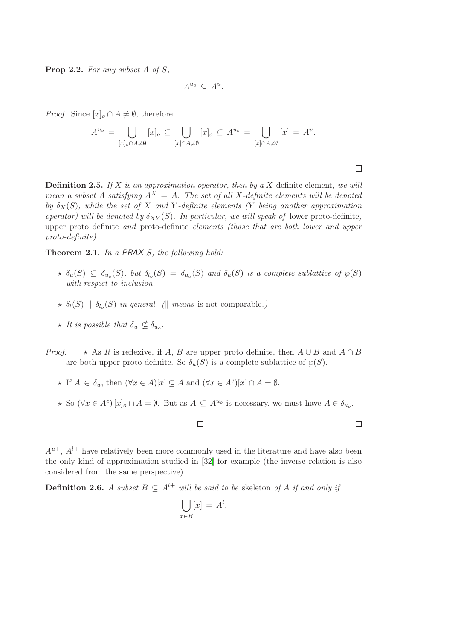**Prop 2.2.** For any subset  $A$  of  $S$ ,

$$
A^{u_o} \, \subseteq \, A^u.
$$

*Proof.* Since  $[x]_o \cap A \neq \emptyset$ , therefore

$$
A^{u_o} = \bigcup_{[x]_o \cap A \neq \emptyset} [x]_o \subseteq \bigcup_{[x] \cap A \neq \emptyset} [x]_o \subseteq A^{u_o} = \bigcup_{[x] \cap A \neq \emptyset} [x] = A^u.
$$

**Definition 2.5.** If X is an approximation operator, then by a X-definite element, we will mean a subset A satisfying  $A^X = A$ . The set of all X-definite elements will be denoted by  $\delta_X(S)$ , while the set of X and Y-definite elements (Y being another approximation operator) will be denoted by  $\delta_{XY}(S)$ . In particular, we will speak of lower proto-definite, upper proto definite and proto-definite elements (those that are both lower and upper proto-definite).

Theorem 2.1. In a PRAX S, the following hold:

- $\star$   $\delta_u(S) \subseteq \delta_{u_o}(S)$ , but  $\delta_{l_o}(S) = \delta_{u_o}(S)$  and  $\delta_u(S)$  is a complete sublattice of  $\wp(S)$ with respect to inclusion.
- $\star$   $\delta_l(S) \parallel \delta_{l_o}(S)$  in general. ( $\parallel$  means is not comparable.)
- $\star$  It is possible that  $\delta_u \nsubseteq \delta_{u_o}$ .
- *Proof.*  $\star$  As R is reflexive, if A, B are upper proto definite, then  $A \cup B$  and  $A \cap B$ are both upper proto definite. So  $\delta_u(S)$  is a complete sublattice of  $\varphi(S)$ .
	- $\star$  If  $A \in \delta_u$ , then  $(\forall x \in A)[x] \subseteq A$  and  $(\forall x \in A^c)[x] \cap A = \emptyset$ .
	- $\star$  So  $(\forall x \in A^c)[x]_o \cap A = \emptyset$ . But as  $A \subseteq A^{u_o}$  is necessary, we must have  $A \in \delta_{u_o}$ .

 $\Box$ 

 $\Box$ 

 $A^{u+}$ ,  $A^{l+}$  have relatively been more commonly used in the literature and have also been the only kind of approximation studied in [\[32\]](#page-88-4) for example (the inverse relation is also considered from the same perspective).

**Definition 2.6.** A subset  $B \subseteq A^{l+}$  will be said to be skeleton of A if and only if

$$
\bigcup_{x \in B} [x] = A^l,
$$

 $\Box$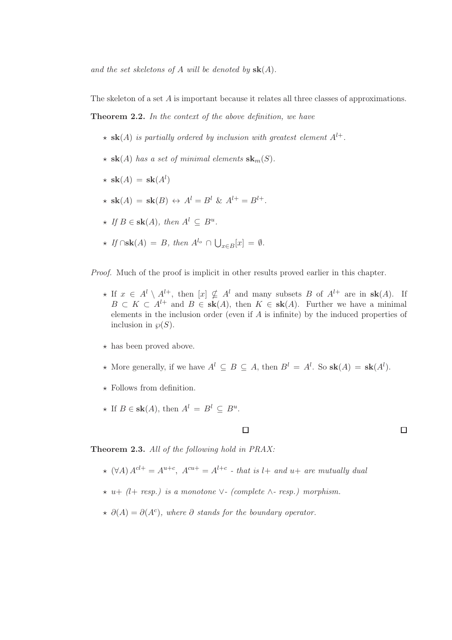and the set skeletons of A will be denoted by  $sk(A)$ .

The skeleton of a set A is important because it relates all three classes of approximations.

Theorem 2.2. In the context of the above definition, we have

- $\star$  sk(A) is partially ordered by inclusion with greatest element  $A^{l+}$ .
- $\star$  sk(A) has a set of minimal elements sk<sub>m</sub>(S).
- $\star$  sk(A) = sk(A<sup>l</sup>)
- $\star$  sk(A) = sk(B)  $\leftrightarrow$  A<sup>l</sup> = B<sup>l</sup> & A<sup>l+</sup> = B<sup>l+</sup>.
- $\star$  If  $B \in \mathbf{sk}(A)$ , then  $A^l \subseteq B^u$ .
- $\star$  If  $\cap$ sk $(A) = B$ , then  $A^{l_o} \cap \bigcup_{x \in B} [x] = \emptyset$ .

Proof. Much of the proof is implicit in other results proved earlier in this chapter.

- ★ If  $x \in A^l \setminus A^{l+}$ , then  $[x] \nsubseteq A^l$  and many subsets B of  $A^{l+}$  are in  $sk(A)$ . If  $B \subset K \subset A^{l+}$  and  $B \in sk(A)$ , then  $K \in sk(A)$ . Further we have a minimal elements in the inclusion order (even if A is infinite) by the induced properties of inclusion in  $\wp(S)$ .
- $\star$  has been proved above.
- $\star$  More generally, if we have  $A^l \subseteq B \subseteq A$ , then  $B^l = A^l$ . So  $\mathbf{sk}(A) = \mathbf{sk}(A^l)$ .
- $\star$  Follows from definition.
- $\star$  If  $B \in \mathbf{sk}(A)$ , then  $A^l = B^l \subseteq B^u$ .

### $\Box$

 $\Box$ 

Theorem 2.3. All of the following hold in PRAX:

- $\star$  (∀A)  $A^{cl+} = A^{u+c}$ ,  $A^{cu+} = A^{l+c}$  that is  $l+$  and  $u+$  are mutually dual
- ⋆ u+ (l+ resp.) is a monotone ∨- (complete ∧- resp.) morphism.
- $\star \partial(A) = \partial(A^c)$ , where  $\partial$  stands for the boundary operator.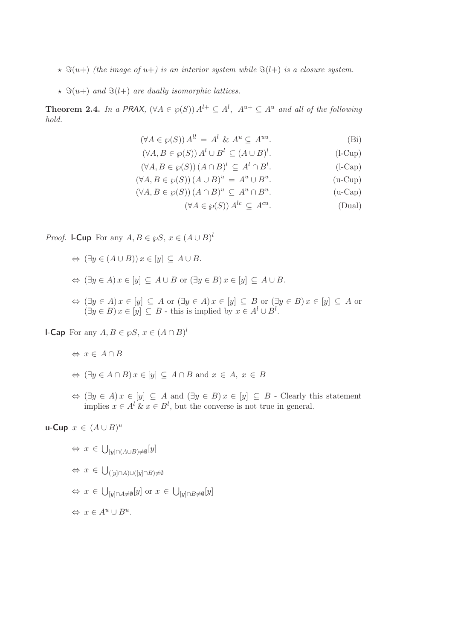- $\star$   $\Im(u+)$  (the image of u+) is an interior system while  $\Im(l+)$  is a closure system.
- $\star$   $\Im(u+)$  and  $\Im(l+)$  are dually isomorphic lattices.

**Theorem 2.4.** In a PRAX,  $(\forall A \in \wp(S)) A^{l+} \subseteq A^l$ ,  $A^{u+} \subseteq A^u$  and all of the following hold.

$$
(\forall A \in \wp(S)) A^{ll} = A^l \& A^u \subseteq A^{uu}.
$$
 (Bi)

$$
(\forall A, B \in \wp(S)) A^l \cup B^l \subseteq (A \cup B)^l. \tag{1-Cup}
$$

- $(\forall A, B \in \wp(S)) (A \cap B)^l \subseteq A^l \cap B^l$  $(l$ -Cap $)$
- $(\forall A, B \in \wp(S)) (A \cup B)^u = A^u \cup B^u$  $(u$ -Cup $)$
- $(\forall A, B \in \wp(S)) (A \cap B)^u \subseteq A^u \cap B^u$  $(u-Cap)$ 
	- $(\forall A \in \wp(S)) A^{lc} \subseteq A^{cu}$ . (Dual)

*Proof.* **l-Cup** For any  $A, B \in \wp S$ ,  $x \in (A \cup B)^l$ 

- $\Leftrightarrow$   $(\exists y \in (A \cup B)) x \in [y] \subseteq A \cup B$ .
- $\Leftrightarrow$   $(\exists y \in A) x \in [y] \subseteq A \cup B$  or  $(\exists y \in B) x \in [y] \subseteq A \cup B$ .
- $\Leftrightarrow (\exists y \in A) x \in [y] \subseteq A$  or  $(\exists y \in A) x \in [y] \subseteq B$  or  $(\exists y \in B) x \in [y] \subseteq A$  or  $(\exists y \in B) x \in [y] \subseteq B$  - this is implied by  $x \in A^l \cup B^l$ .

**l-Cap** For any  $A, B \in \wp S, x \in (A \cap B)^l$ 

- $\Leftrightarrow x \in A \cap B$
- $\Leftrightarrow$   $(\exists y \in A \cap B) x \in [y] \subseteq A \cap B$  and  $x \in A$ ,  $x \in B$
- $\Leftrightarrow (\exists y \in A) x \in [y] \subseteq A$  and  $(\exists y \in B) x \in [y] \subseteq B$  Clearly this statement implies  $x \in A^l$  &  $x \in B^l$ , but the converse is not true in general.

u-Cup  $x \in (A \cup B)^u$ 

- $\Leftrightarrow x \in \bigcup_{[y]\cap(A\cup B)\neq\emptyset}[y]$
- $\Leftrightarrow$   $x \in \bigcup_{([y]\cap A)\cup([y]\cap B)\neq\emptyset}$
- $\Leftrightarrow x \in \bigcup_{[y]\cap A\neq\emptyset}[y] \text{ or } x \in \bigcup_{[y]\cap B\neq\emptyset}[y]$

 $\Leftrightarrow x \in A^u \cup B^u.$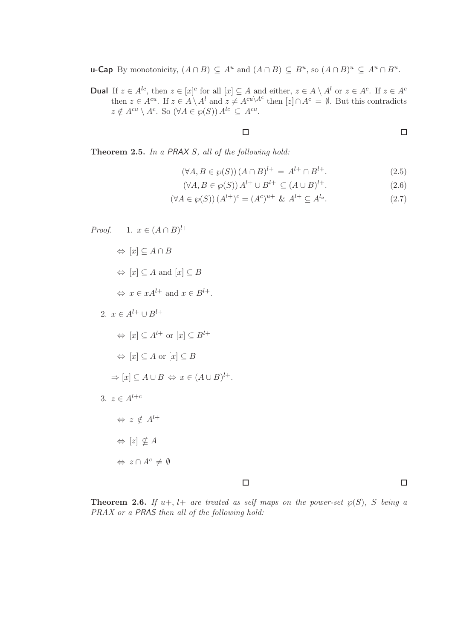**u-Cap** By monotonicity,  $(A \cap B) \subseteq A^u$  and  $(A \cap B) \subseteq B^u$ , so  $(A \cap B)^u \subseteq A^u \cap B^u$ .

**Dual** If  $z \in A^{lc}$ , then  $z \in [x]^c$  for all  $[x] \subseteq A$  and either,  $z \in A \setminus A^l$  or  $z \in A^c$ . If  $z \in A^c$ then  $z \in A^{cu}$ . If  $z \in A \backslash A^{l}$  and  $z \neq A^{cu \backslash A^{c}}$  then  $[z] \cap A^{c} = \emptyset$ . But this contradicts  $z \notin A^{cu} \setminus A^c$ . So  $(\forall A \in \wp(S)) A^{lc} \subseteq A^{cu}$ .

 $\Box$ 

 $\Box$ 

 $\Box$ 

Theorem 2.5. In a PRAX S, all of the following hold:

- $(\forall A, B \in \wp(S)) (A \cap B)^{l+} = A^{l+} \cap B$  $(2.5)$
- $(\forall A, B \in \wp(S)) A^{l+} \cup B^{l+} \subseteq (A \cup B)$  $(2.6)$

$$
(\forall A \in \wp(S)) (A^{l+})^c = (A^c)^{u+} \& A^{l+} \subseteq A^{l_o}.
$$
 (2.7)

Proof. 1. 
$$
x \in (A \cap B)^{l+}
$$
  
\n $\Leftrightarrow [x] \subseteq A \cap B$   
\n $\Leftrightarrow [x] \subseteq A$  and  $[x] \subseteq B$   
\n $\Leftrightarrow x \in xA^{l+}$  and  $x \in B^{l+}$ .  
\n2.  $x \in A^{l+} \cup B^{l+}$   
\n $\Leftrightarrow [x] \subseteq A^{l+}$  or  $[x] \subseteq B^{l+}$   
\n $\Leftrightarrow [x] \subseteq A$  or  $[x] \subseteq B$   
\n $\Rightarrow [x] \subseteq A \cup B \Leftrightarrow x \in (A \cup B)^{l+}$ .  
\n3.  $z \in A^{l+c}$   
\n $\Leftrightarrow z \notin A^{l+}$   
\n $\Leftrightarrow [z] \nsubseteq A$   
\n $\Leftrightarrow z \cap A^c \neq \emptyset$ 

#### $\Box$

**Theorem 2.6.** If  $u+$ ,  $l+$  are treated as self maps on the power-set  $\wp(S)$ , S being a PRAX or a PRAS then all of the following hold: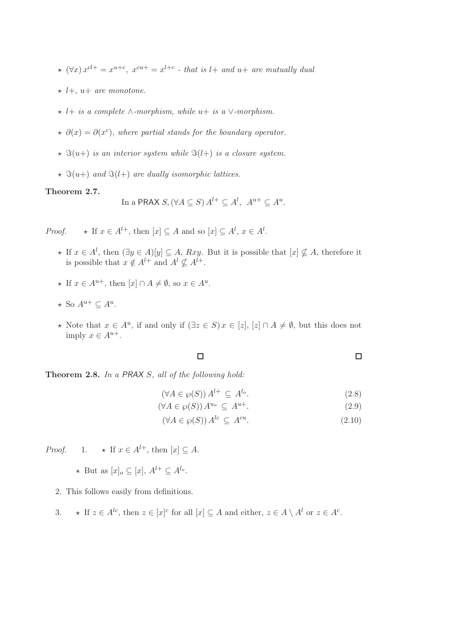- $\star$   $(\forall x) x^{cl+} = x^{u+c}, x^{cu+} = x^{l+c}$  that is  $l+$  and  $u+$  are mutually dual
- $\star$  l+, u+ are monotone.
- $\star$  l+ is a complete ∧-morphism, while u+ is a  $\vee$ -morphism.
- $\star \partial(x) = \partial(x^c)$ , where partial stands for the boundary operator.
- $\star$   $\Im(u+)$  is an interior system while  $\Im(l+)$  is a closure system.
- $\star$   $\Im(u+)$  and  $\Im(l+)$  are dually isomorphic lattices.

#### Theorem 2.7.

In a PRAX 
$$
S
$$
,  $(\forall A \subseteq S) A^{l+} \subseteq A^l$ ,  $A^{u+} \subseteq A^u$ .

*Proof.*  $\star$  If  $x \in A^{l+}$ , then  $[x] \subseteq A$  and so  $[x] \subseteq A^l$ ,  $x \in A^l$ .

- ★ If  $x \in A^l$ , then  $(\exists y \in A)[y] \subseteq A$ ,  $Rxy$ . But it is possible that  $[x] \nsubseteq A$ , therefore it is possible that  $x \notin A^{l+}$  and  $A^l \nsubseteq A^{l+}$ .
- $\star$  If  $x \in A^{u+}$ , then  $[x] \cap A \neq \emptyset$ , so  $x \in A^u$ .
- $\star$  So  $A^{u+} \subseteq A^u$ .
- ★ Note that  $x \in A^u$ , if and only if  $(\exists z \in S)$   $x \in [z]$ ,  $[z] \cap A \neq \emptyset$ , but this does not imply  $x \in A^{u+}.$

$$
\Box \qquad \qquad \Box
$$

Theorem 2.8. In a PRAX S, all of the following hold:

$$
(\forall A \in \wp(S)) A^{l+} \subseteq A^{l_o}.
$$
\n
$$
(2.8)
$$

$$
(\forall A \in \wp(S)) A^{u_o} \subseteq A^{u+}.
$$
\n
$$
(2.9)
$$

$$
(\forall A \in \wp(S)) A^{lc} \subseteq A^{cu}.
$$
\n
$$
(2.10)
$$

*Proof.* 1.  $\star$  If  $x \in A^{l+}$ , then  $[x] \subseteq A$ .

- $\star$  But as  $[x]_o \subseteq [x]$ ,  $A^{l+} \subseteq A^{l_o}$ .
- 2. This follows easily from definitions.
- 3.  $\star$  If  $z \in A^{lc}$ , then  $z \in [x]^{c}$  for all  $[x] \subseteq A$  and either,  $z \in A \setminus A^{l}$  or  $z \in A^{c}$ .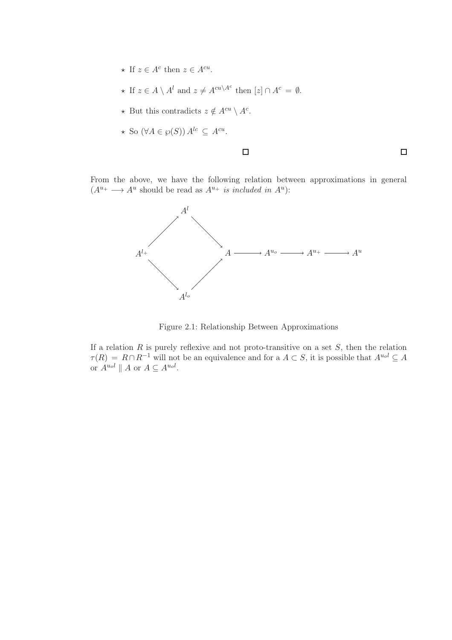- $\star$  If  $z \in A^c$  then  $z \in A^{cu}$ .
- ★ If  $z \in A \setminus A^l$  and  $z \neq A^{cu \setminus A^c}$  then  $[z] \cap A^c = \emptyset$ .
- ★ But this contradicts  $z \notin A^{cu} \setminus A^c$ .
- $\star$  So  $(\forall A \in \wp(S)) A^{lc} \subseteq A^{cu}.$

#### $\Box$

 $\Box$ 

From the above, we have the following relation between approximations in general  $(A^{u_+} \longrightarrow A^u$  should be read as  $A^{u_+}$  is included in  $A^u$ ):



Figure 2.1: Relationship Between Approximations

If a relation  $R$  is purely reflexive and not proto-transitive on a set  $S$ , then the relation  $\tau(R) = R \cap R^{-1}$  will not be an equivalence and for a  $A \subset S$ , it is possible that  $A^{u_0 l} \subseteq A$ or  $A^{u_0l} \parallel A$  or  $A \subseteq A^{u_0l}$ .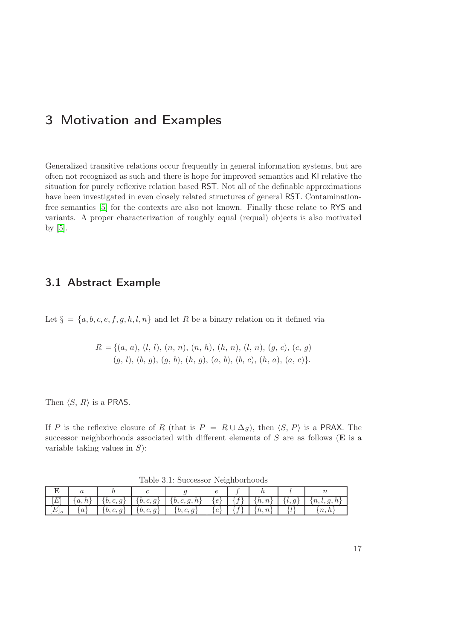# <span id="page-22-0"></span>3 Motivation and Examples

Generalized transitive relations occur frequently in general information systems, but are often not recognized as such and there is hope for improved semantics and KI relative the situation for purely reflexive relation based RST. Not all of the definable approximations have been investigated in even closely related structures of general RST. Contaminationfree semantics [\[5\]](#page-86-4) for the contexts are also not known. Finally these relate to RYS and variants. A proper characterization of roughly equal (requal) objects is also motivated by [\[5\]](#page-86-4).

### <span id="page-22-1"></span>3.1 Abstract Example

Let  $\S = \{a, b, c, e, f, g, h, l, n\}$  and let R be a binary relation on it defined via

$$
R = \{(a, a), (l, l), (n, n), (n, h), (h, n), (l, n), (g, c), (c, g) (g, l), (b, g), (g, b), (h, g), (a, b), (b, c), (h, a), (a, c)\}.
$$

Then  $\langle S, R \rangle$  is a PRAS.

If P is the reflexive closure of R (that is  $P = R \cup \Delta_S$ ), then  $\langle S, P \rangle$  is a PRAX. The successor neighborhoods associated with different elements of  $S$  are as follows ( $E$  is a variable taking values in  $S$ :

Table 3.1: Successor Neighborhoods

| [E]     |         |  | $\left[\{a,h\}\right] \left[\{b,c,g\}\right] \left[\{b,c,g\}\right] \left[\{b,c,g,h\}\right] \left[\{e\}\right] \left[\{f\}\right] \left[\{h,n\}\right] \left[\{l,g\}\right] \left[\{n,l,g,h\}\right]$ |  |  |            |
|---------|---------|--|--------------------------------------------------------------------------------------------------------------------------------------------------------------------------------------------------------|--|--|------------|
| $[E]_o$ | $\{a\}$ |  | $\left[\begin{array}{c c} \{b,c,g\} & \{b,c,g\} \end{array}\right] = \left\{b,c,g\right\} = \left[\begin{array}{c c} \{e\} & \{f\} \end{array}\right] = \left\{h,n\right\}$                            |  |  | $\{n, h\}$ |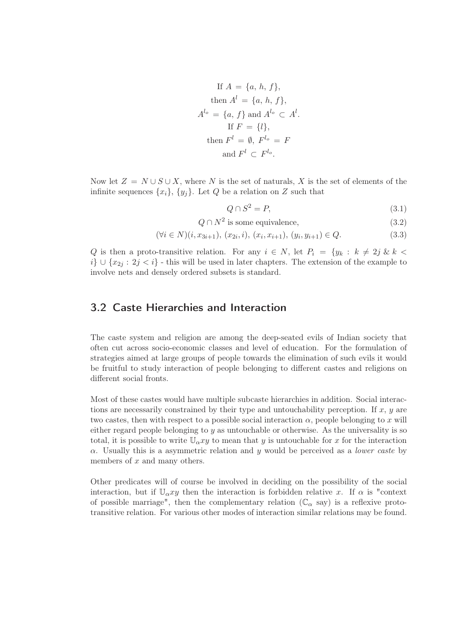If 
$$
A = \{a, h, f\}
$$
,  
\nthen  $A^l = \{a, h, f\}$ ,  
\n $A^{l_o} = \{a, f\}$  and  $A^{l_o} \subset A^l$ .  
\nIf  $F = \{l\}$ ,  
\nthen  $F^l = \emptyset$ ,  $F^{l_o} = F$   
\nand  $F^l \subset F^{l_o}$ .

Now let  $Z = N \cup S \cup X$ , where N is the set of naturals, X is the set of elements of the infinite sequences  $\{x_i\}$ ,  $\{y_j\}$ . Let Q be a relation on Z such that

$$
Q \cap S^2 = P,\tag{3.1}
$$

 $Q \cap N^2$  is some equivalence, (3.2)

$$
(\forall i \in N)(i, x_{3i+1}), (x_{2i}, i), (x_i, x_{i+1}), (y_i, y_{i+1}) \in Q.
$$
\n
$$
(3.3)
$$

Q is then a proto-transitive relation. For any  $i \in N$ , let  $P_i = \{y_k : k \neq 2j \& k <$  $i\} \cup \{x_{2i} : 2i \leq i\}$  - this will be used in later chapters. The extension of the example to involve nets and densely ordered subsets is standard.

### <span id="page-23-0"></span>3.2 Caste Hierarchies and Interaction

The caste system and religion are among the deep-seated evils of Indian society that often cut across socio-economic classes and level of education. For the formulation of strategies aimed at large groups of people towards the elimination of such evils it would be fruitful to study interaction of people belonging to different castes and religions on different social fronts.

Most of these castes would have multiple subcaste hierarchies in addition. Social interactions are necessarily constrained by their type and untouchability perception. If  $x, y$  are two castes, then with respect to a possible social interaction  $\alpha$ , people belonging to x will either regard people belonging to  $y$  as untouchable or otherwise. As the universality is so total, it is possible to write  $\mathbb{U}_{\alpha}$  to mean that y is untouchable for x for the interaction  $\alpha$ . Usually this is a asymmetric relation and y would be perceived as a *lower caste* by members of  $x$  and many others.

Other predicates will of course be involved in deciding on the possibility of the social interaction, but if  $\mathbb{U}_{\alpha}$ xy then the interaction is forbidden relative x. If  $\alpha$  is "context" of possible marriage", then the complementary relation  $(\mathbb{C}_{\alpha}$  say) is a reflexive prototransitive relation. For various other modes of interaction similar relations may be found.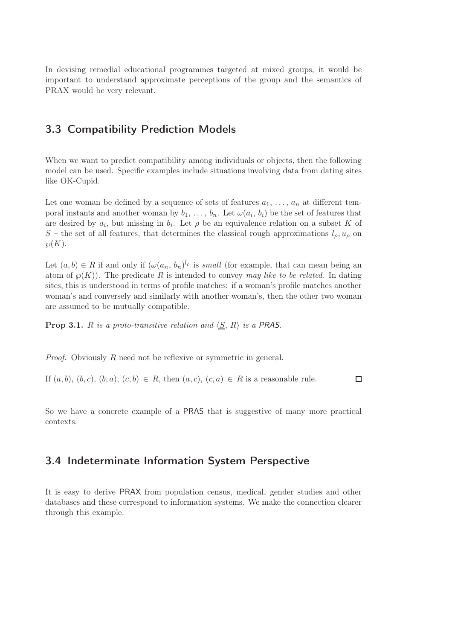In devising remedial educational programmes targeted at mixed groups, it would be important to understand approximate perceptions of the group and the semantics of PRAX would be very relevant.

### <span id="page-24-0"></span>3.3 Compatibility Prediction Models

When we want to predict compatibility among individuals or objects, then the following model can be used. Specific examples include situations involving data from dating sites like OK-Cupid.

Let one woman be defined by a sequence of sets of features  $a_1, \ldots, a_n$  at different temporal instants and another woman by  $b_1, \ldots, b_n$ . Let  $\omega(a_i, b_i)$  be the set of features that are desired by  $a_i$ , but missing in  $b_i$ . Let  $\rho$  be an equivalence relation on a subset K of S – the set of all features, that determines the classical rough approximations  $l_{\rho}, u_{\rho}$  on  $\wp(K).$ 

Let  $(a, b) \in R$  if and only if  $(\omega(a_n, b_n)^{l_p})$  is small (for example, that can mean being an atom of  $\mathcal{O}(K)$ ). The predicate R is intended to convey may like to be related. In dating sites, this is understood in terms of profile matches: if a woman's profile matches another woman's and conversely and similarly with another woman's, then the other two woman are assumed to be mutually compatible.

**Prop 3.1.** R is a proto-transitive relation and  $\langle S, R \rangle$  is a PRAS.

Proof. Obviously R need not be reflexive or symmetric in general.

 $\Box$ If  $(a, b)$ ,  $(b, c)$ ,  $(b, a)$ ,  $(c, b) \in R$ , then  $(a, c)$ ,  $(c, a) \in R$  is a reasonable rule.

<span id="page-24-1"></span>So we have a concrete example of a PRAS that is suggestive of many more practical contexts.

### 3.4 Indeterminate Information System Perspective

It is easy to derive PRAX from population census, medical, gender studies and other databases and these correspond to information systems. We make the connection clearer through this example.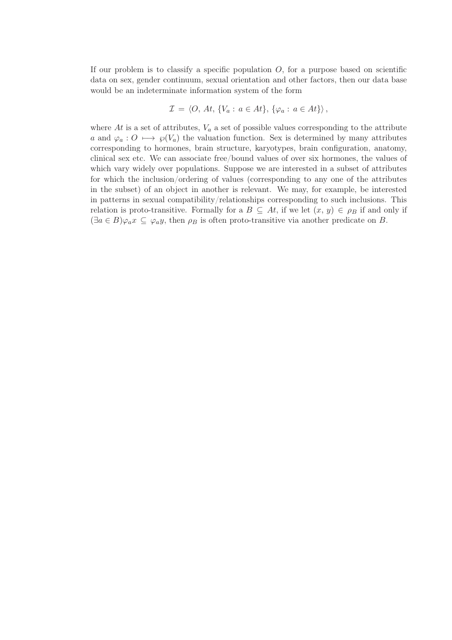If our problem is to classify a specific population  $O$ , for a purpose based on scientific data on sex, gender continuum, sexual orientation and other factors, then our data base would be an indeterminate information system of the form

$$
\mathcal{I} = \langle O, At, \{V_a : a \in At\}, \{\varphi_a : a \in At\} \rangle,
$$

where  $At$  is a set of attributes,  $V_a$  a set of possible values corresponding to the attribute a and  $\varphi_a: O \mapsto \varphi(V_a)$  the valuation function. Sex is determined by many attributes corresponding to hormones, brain structure, karyotypes, brain configuration, anatomy, clinical sex etc. We can associate free/bound values of over six hormones, the values of which vary widely over populations. Suppose we are interested in a subset of attributes for which the inclusion/ordering of values (corresponding to any one of the attributes in the subset) of an object in another is relevant. We may, for example, be interested in patterns in sexual compatibility/relationships corresponding to such inclusions. This relation is proto-transitive. Formally for a  $B \subseteq At$ , if we let  $(x, y) \in \rho_B$  if and only if  $(\exists a \in B)\varphi_a x \subseteq \varphi_a y$ , then  $\rho_B$  is often proto-transitive via another predicate on B.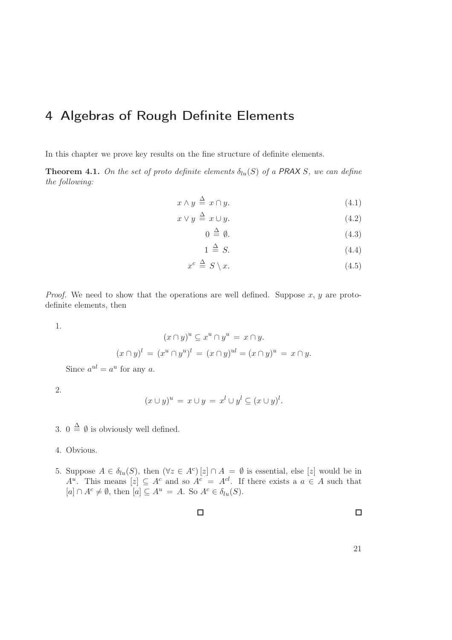# <span id="page-26-0"></span>4 Algebras of Rough Definite Elements

In this chapter we prove key results on the fine structure of definite elements.

**Theorem 4.1.** On the set of proto definite elements  $\delta_{lu}(S)$  of a PRAX S, we can define the following:

$$
x \wedge y \stackrel{\Delta}{=} x \cap y. \tag{4.1}
$$

$$
x \lor y \stackrel{\Delta}{=} x \cup y. \tag{4.2}
$$

$$
0 \stackrel{\Delta}{=} \emptyset. \tag{4.3}
$$

$$
1 \stackrel{\Delta}{=} S. \tag{4.4}
$$

$$
x^c \stackrel{\Delta}{=} S \setminus x. \tag{4.5}
$$

*Proof.* We need to show that the operations are well defined. Suppose  $x, y$  are protodefinite elements, then

1.

$$
(x \cap y)^u \subseteq x^u \cap y^u = x \cap y.
$$

$$
(x \cap y)^l = (x^u \cap y^u)^l = (x \cap y)^{ul} = (x \cap y)^u = x \cap y.
$$

Since  $a^{ul} = a^u$  for any a.

2.

$$
(x \cup y)^u = x \cup y = x^l \cup y^l \subseteq (x \cup y)^l.
$$

3.  $0 \stackrel{\Delta}{=} \emptyset$  is obviously well defined.

- 4. Obvious.
- 5. Suppose  $A \in \delta_{lu}(S)$ , then  $(\forall z \in A^c) [z] \cap A = \emptyset$  is essential, else [z] would be in  $A^u$ . This means  $[z] \subseteq A^c$  and so  $A^c = A^{cl}$ . If there exists a  $a \in A$  such that  $[a] \cap A^c \neq \emptyset$ , then  $[a] \subseteq A^u = A$ . So  $A^c \in \delta_{lu}(S)$ .

 $\Box$ 

 $\Box$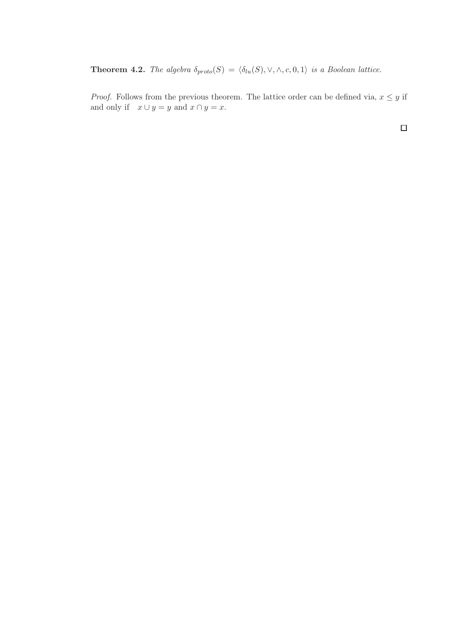**Theorem 4.2.** The algebra  $\delta_{proto}(S) = \langle \delta_{lu}(S), \vee, \wedge, c, 0, 1 \rangle$  is a Boolean lattice.

*Proof.* Follows from the previous theorem. The lattice order can be defined via,  $x \leq y$  if and only if  $x \cup y = y$  and  $x \cap y = x$ .

 $\Box$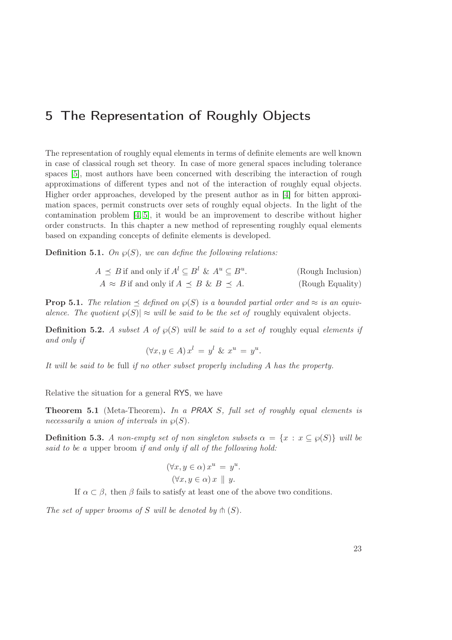# <span id="page-28-0"></span>5 The Representation of Roughly Objects

The representation of roughly equal elements in terms of definite elements are well known in case of classical rough set theory. In case of more general spaces including tolerance spaces [\[5\]](#page-86-4), most authors have been concerned with describing the interaction of rough approximations of different types and not of the interaction of roughly equal objects. Higher order approaches, developed by the present author as in [\[4\]](#page-86-3) for bitten approximation spaces, permit constructs over sets of roughly equal objects. In the light of the contamination problem  $\left[4, 5\right]$ , it would be an improvement to describe without higher order constructs. In this chapter a new method of representing roughly equal elements based on expanding concepts of definite elements is developed.

**Definition 5.1.** On  $\wp(S)$ , we can define the following relations:

| $A \preceq B$ if and only if $A^l \subseteq B^l$ & $A^u \subseteq B^u$ . | (Rough Inclusion) |
|--------------------------------------------------------------------------|-------------------|
| $A \approx B$ if and only if $A \preceq B$ & $B \preceq A$ .             | (Rough Equality)  |

**Prop 5.1.** The relation  $\preceq$  defined on  $\wp(S)$  is a bounded partial order and  $\approx$  is an equivalence. The quotient  $\varphi(S)| \approx$  will be said to be the set of roughly equivalent objects.

**Definition 5.2.** A subset A of  $\wp(S)$  will be said to a set of roughly equal elements if and only if

$$
(\forall x, y \in A) x^l = y^l \& x^u = y^u.
$$

It will be said to be full if no other subset properly including A has the property.

Relative the situation for a general RYS, we have

Theorem 5.1 (Meta-Theorem). In a PRAX S, full set of roughly equal elements is necessarily a union of intervals in  $\mathcal{O}(S)$ .

**Definition 5.3.** A non-empty set of non singleton subsets  $\alpha = \{x : x \subseteq \wp(S)\}\$  will be said to be a upper broom if and only if all of the following hold:

$$
(\forall x, y \in \alpha) x^u = y^u.
$$

$$
(\forall x, y \in \alpha) x \parallel y.
$$

If  $\alpha \subset \beta$ , then  $\beta$  fails to satisfy at least one of the above two conditions.

The set of upper brooms of S will be denoted by  $\mathfrak{h}(S)$ .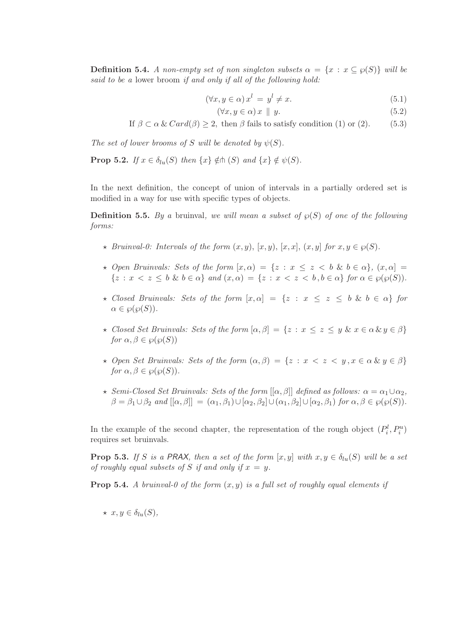**Definition 5.4.** A non-empty set of non singleton subsets  $\alpha = \{x : x \subseteq \wp(S)\}\$  will be said to be a lower broom if and only if all of the following hold:

$$
(\forall x, y \in \alpha) x^l = y^l \neq x. \tag{5.1}
$$

$$
(\forall x, y \in \alpha) x \parallel y. \tag{5.2}
$$

If 
$$
\beta \subset \alpha \& \text{Card}(\beta) \geq 2
$$
, then  $\beta$  fails to satisfy condition (1) or (2). (5.3)

The set of lower brooms of S will be denoted by  $\psi(S)$ .

**Prop 5.2.** If  $x \in \delta_{lu}(S)$  then  $\{x\} \notin \mathbb{A}$   $(S)$  and  $\{x\} \notin \psi(S)$ .

In the next definition, the concept of union of intervals in a partially ordered set is modified in a way for use with specific types of objects.

**Definition 5.5.** By a bruinval, we will mean a subset of  $\varphi(S)$  of one of the following forms:

- $\star$  Bruinval-0: Intervals of the form  $(x, y)$ ,  $[x, y)$ ,  $[x, x]$ ,  $(x, y]$  for  $x, y \in \wp(S)$ .
- $\star$  Open Bruinvals: Sets of the form  $[x, \alpha] = \{z : x \leq z \leq b \& b \in \alpha\}, \ (x, \alpha] =$  $\{z : x < z \leq b \ \& \ b \in \alpha\}$  and  $(x, \alpha) = \{z : x < z < b, b \in \alpha\}$  for  $\alpha \in \wp(\wp(S)).$
- $\star$  Closed Bruinvals: Sets of the form  $[x, \alpha] = \{z : x \leq z \leq b \& b \in \alpha\}$  for  $\alpha \in \mathcal{O}(\mathcal{O}(S)).$
- $\star$  Closed Set Bruinvals: Sets of the form  $[\alpha, \beta] = \{z : x \le z \le y \& x \in \alpha \& y \in \beta\}$ for  $\alpha, \beta \in \wp(\wp(S))$
- $\star$  Open Set Bruinvals: Sets of the form  $(\alpha, \beta) = \{z : x < z < y, x \in \alpha \& y \in \beta\}$ for  $\alpha, \beta \in \mathcal{P}(\mathcal{P}(S))$ .
- $\star$  Semi-Closed Set Bruinvals: Sets of the form  $[[\alpha, \beta]]$  defined as follows:  $\alpha = \alpha_1 \cup \alpha_2$ ,  $\beta = \beta_1 \cup \beta_2$  and  $[[\alpha, \beta]] = (\alpha_1, \beta_1) \cup [\alpha_2, \beta_2] \cup (\alpha_1, \beta_2] \cup [\alpha_2, \beta_1)$  for  $\alpha, \beta \in \wp(\wp(S)).$

In the example of the second chapter, the representation of the rough object  $(P_i^l, P_i^u)$ requires set bruinvals.

**Prop 5.3.** If S is a PRAX, then a set of the form  $[x, y]$  with  $x, y \in \delta_{lu}(S)$  will be a set of roughly equal subsets of S if and only if  $x = y$ .

**Prop 5.4.** A bruinval-0 of the form  $(x, y)$  is a full set of roughly equal elements if

 $\star x, y \in \delta_{lu}(S),$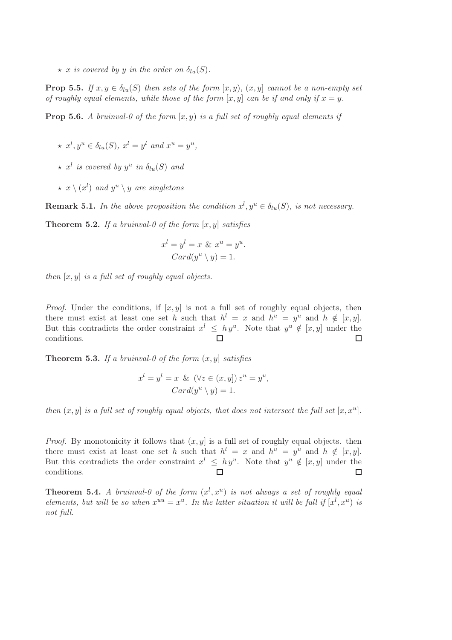$\star$  x is covered by y in the order on  $\delta_{lu}(S)$ .

**Prop 5.5.** If  $x, y \in \delta_{lu}(S)$  then sets of the form  $[x, y)$ ,  $(x, y]$  cannot be a non-empty set of roughly equal elements, while those of the form  $[x, y]$  can be if and only if  $x = y$ .

**Prop 5.6.** A bruinval-0 of the form  $[x, y)$  is a full set of roughly equal elements if

- $\star x^{l}, y^{u} \in \delta_{lu}(S), x^{l} = y^{l}$  and  $x^{u} = y^{u},$
- $\star$  x<sup>l</sup> is covered by y<sup>u</sup> in  $\delta_{lu}(S)$  and
- $\star\,x\setminus (x^l)\,$  and  $y^u\setminus y$  are singletons

**Remark 5.1.** In the above proposition the condition  $x^l, y^u \in \delta_{lu}(S)$ , is not necessary.

**Theorem 5.2.** If a bruinval-0 of the form  $[x, y]$  satisfies

$$
x^{l} = y^{l} = x \& x^{u} = y^{u}.
$$

$$
Card(y^{u} \setminus y) = 1.
$$

then  $[x, y]$  is a full set of roughly equal objects.

*Proof.* Under the conditions, if  $[x, y]$  is not a full set of roughly equal objects, then there must exist at least one set h such that  $h^l = x$  and  $h^u = y^u$  and  $h \notin [x, y]$ . But this contradicts the order constraint  $x^l \leq hy^u$ . Note that  $y^u \notin [x, y]$  under the conditions.  $\Box$  $\Box$ 

**Theorem 5.3.** If a bruinval-0 of the form  $(x, y)$  satisfies

$$
x^{l} = y^{l} = x \& (\forall z \in (x, y]) z^{u} = y^{u},
$$
  
Card $(y^{u} \setminus y) = 1.$ 

then  $(x, y]$  is a full set of roughly equal objects, that does not intersect the full set  $[x, x^u]$ .

*Proof.* By monotonicity it follows that  $(x, y]$  is a full set of roughly equal objects. then there must exist at least one set h such that  $h^l = x$  and  $h^u = y^u$  and  $h \notin [x, y]$ . But this contradicts the order constraint  $x^l \leq hy^u$ . Note that  $y^u \notin [x, y]$  under the conditions.  $\Box$  $\Box$ 

**Theorem 5.4.** A bruinval-0 of the form  $(x^l, x^u)$  is not always a set of roughly equal elements, but will be so when  $x^{uu} = x^u$ . In the latter situation it will be full if  $[x^l, x^u)$  is not full.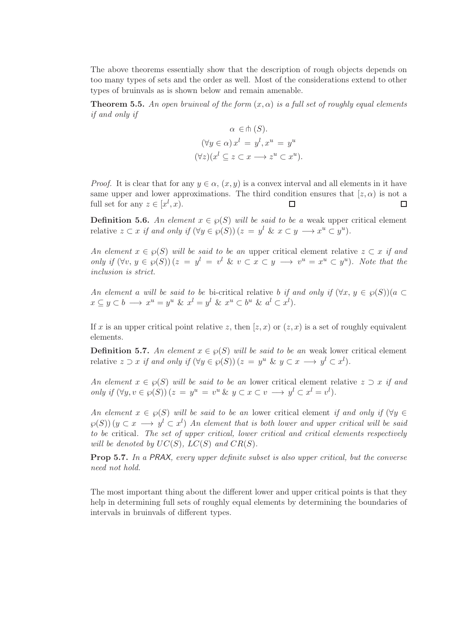The above theorems essentially show that the description of rough objects depends on too many types of sets and the order as well. Most of the considerations extend to other types of bruinvals as is shown below and remain amenable.

**Theorem 5.5.** An open bruinval of the form  $(x, \alpha)$  is a full set of roughly equal elements if and only if

$$
\alpha \in \mathsf{m}(S).
$$
  

$$
(\forall y \in \alpha) x^{l} = y^{l}, x^{u} = y^{u}
$$
  

$$
(\forall z)(x^{l} \subseteq z \subseteq x \longrightarrow z^{u} \subseteq x^{u}).
$$

*Proof.* It is clear that for any  $y \in \alpha$ ,  $(x, y)$  is a convex interval and all elements in it have same upper and lower approximations. The third condition ensures that  $[z, \alpha)$  is not a full set for any  $z \in [x^l, x)$ .  $\Box$  $\Box$ 

**Definition 5.6.** An element  $x \in \wp(S)$  will be said to be a weak upper critical element relative  $z \subset x$  if and only if  $(\forall y \in \wp(S))$   $(z = y^l \& x \subset y \longrightarrow x^u \subset y^u)$ .

An element  $x \in \wp(S)$  will be said to be an upper critical element relative  $z \subset x$  if and only if  $(\forall v, y \in \varphi(S)) (z = y^l = v^l \& v \subset x \subset y \longrightarrow v^u = x^u \subset y^u)$ . Note that the inclusion is strict.

An element a will be said to be bi-critical relative b if and only if  $(\forall x, y \in \wp(S))(a \subset$  $x \subseteq y \subset b \longrightarrow x^u = y^u \& x^l = y^l \& x^u \subset b^u \& a^l \subset x^l$ .

If x is an upper critical point relative z, then  $(z, x)$  or  $(z, x)$  is a set of roughly equivalent elements.

**Definition 5.7.** An element  $x \in \mathcal{G}(S)$  will be said to be an weak lower critical element relative  $z \supset x$  if and only if  $(\forall y \in \wp(S))$   $(z = y^u \& y \subset x \longrightarrow y^l \subset x^l)$ .

An element  $x \in \mathcal{O}(S)$  will be said to be an lower critical element relative  $z \supset x$  if and only if  $(\forall y, v \in \wp(S)) (z = y^u = v^u \& y \subset x \subset v \longrightarrow y^l \subset x^l = v^l).$ 

An element  $x \in \wp(S)$  will be said to be an lower critical element if and only if  $(\forall y \in$  $\varphi(S)$ )  $(y \subset x \longrightarrow y^l \subset x^l)$  An element that is both lower and upper critical will be said to be critical. The set of upper critical, lower critical and critical elements respectively will be denoted by  $UC(S)$ ,  $LC(S)$  and  $CR(S)$ .

**Prop 5.7.** In a PRAX, every upper definite subset is also upper critical, but the converse need not hold.

The most important thing about the different lower and upper critical points is that they help in determining full sets of roughly equal elements by determining the boundaries of intervals in bruinvals of different types.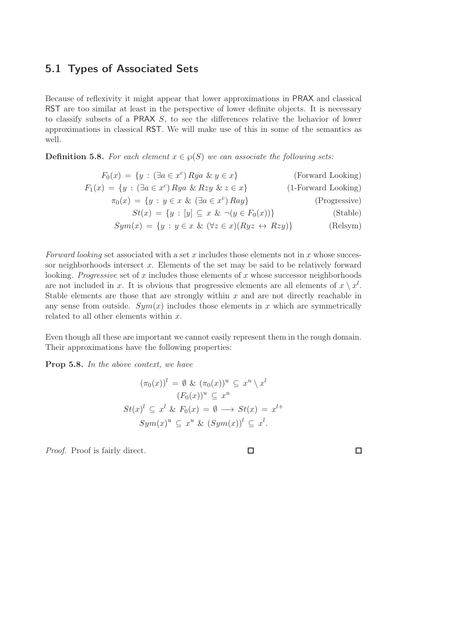### <span id="page-32-0"></span>5.1 Types of Associated Sets

Because of reflexivity it might appear that lower approximations in PRAX and classical RST are too similar at least in the perspective of lower definite objects. It is necessary to classify subsets of a PRAX S, to see the differences relative the behavior of lower approximations in classical RST. We will make use of this in some of the semantics as well.

**Definition 5.8.** For each element  $x \in \wp(S)$  we can associate the following sets:

$$
F_0(x) = \{y : (\exists a \in x^c) \, Rya \& y \in x\}
$$
 (Forward Looking)  
\n
$$
F_1(x) = \{y : (\exists a \in x^c) \, Rya \& Rzy \& z \in x\}
$$
 (1-Forward Looking)  
\n
$$
\pi_0(x) = \{y : y \in x \& (\exists a \in x^c) \, Ray\}
$$
 (Progressive)  
\n
$$
St(x) = \{y : [y] \subseteq x \& \neg(y \in F_0(x))\}
$$
 (Stable)  
\n
$$
Sym(x) = \{y : y \in x \& (\forall z \in x)(Ryz \leftrightarrow Rzy)\}
$$
 (Relsym)

Forward looking set associated with a set x includes those elements not in x whose successor neighborhoods intersect  $x$ . Elements of the set may be said to be relatively forward looking. Progressive set of x includes those elements of x whose successor neighborhoods are not included in x. It is obvious that progressive elements are all elements of  $x \setminus x^l$ . Stable elements are those that are strongly within  $x$  and are not directly reachable in any sense from outside.  $Sym(x)$  includes those elements in x which are symmetrically related to all other elements within  $x$ .

Even though all these are important we cannot easily represent them in the rough domain. Their approximations have the following properties:

Prop 5.8. In the above context, we have

$$
(\pi_0(x))^l = \emptyset \& (\pi_0(x))^u \subseteq x^u \setminus x^l
$$

$$
(F_0(x))^u \subseteq x^u
$$

$$
St(x)^l \subseteq x^l \& F_0(x) = \emptyset \longrightarrow St(x) = x^{l+}
$$

$$
Sym(x)^u \subseteq x^u \& (Sym(x))^l \subseteq x^l.
$$

Proof. Proof is fairly direct.

 $\Box$ 

 $\Box$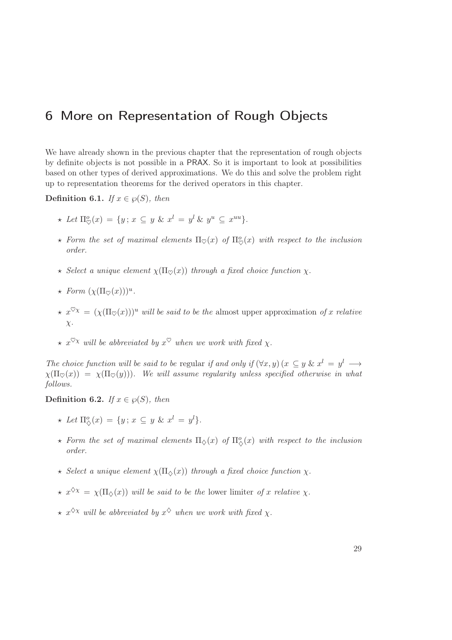# <span id="page-34-0"></span>6 More on Representation of Rough Objects

We have already shown in the previous chapter that the representation of rough objects by definite objects is not possible in a PRAX. So it is important to look at possibilities based on other types of derived approximations. We do this and solve the problem right up to representation theorems for the derived operators in this chapter.

Definition 6.1. If  $x \in \wp(S)$ , then

- $\star$  Let  $\Pi_{\heartsuit}^o(x) = \{y \mid x \subseteq y \& x^l = y^l \& y^u \subseteq x^{uu}\}.$
- $\star$  Form the set of maximal elements  $\Pi_{\heartsuit}(x)$  of  $\Pi_{\heartsuit}^o(x)$  with respect to the inclusion order.
- $\star$  Select a unique element  $\chi(\Pi_{\heartsuit}(x))$  through a fixed choice function  $\chi$ .
- $\star$  Form  $(\chi(\Pi_{\heartsuit}(x)))^u$ .
- $\star x^{\heartsuit\chi} = (\chi(\Pi_{\heartsuit}(x)))^u$  will be said to be the almost upper approximation of x relative  $\chi$ .
- $\star \; x^{\heartsuit} \chi$  will be abbreviated by  $x^{\heartsuit}$  when we work with fixed  $\chi$ .

The choice function will be said to be regular if and only if  $(\forall x, y)$   $(x \subseteq y \& x^l = y^l \rightarrow y^l)$  $\chi(\Pi_{\mathcal{D}}(x)) = \chi(\Pi_{\mathcal{D}}(y))$ . We will assume regularity unless specified otherwise in what follows.

Definition 6.2. If  $x \in \wp(S)$ , then

- $\star$  Let  $\Pi_{\diamondsuit}^o(x) = \{y \colon x \subseteq y \& x^l = y^l\}.$
- $\star$  Form the set of maximal elements  $\Pi_{\diamondsuit}(x)$  of  $\Pi^o_{\diamondsuit}(x)$  with respect to the inclusion order.
- $\star$  Select a unique element  $\chi(\Pi_{\diamond}(x))$  through a fixed choice function  $\chi$ .
- $\star x^{\diamondsuit_{\chi}} = \chi(\Pi_{\diamondsuit}(x))$  will be said to be the lower limiter of x relative  $\chi$ .
- $\star x^{\diamondsuit \chi}$  will be abbreviated by  $x^{\diamondsuit}$  when we work with fixed  $\chi$ .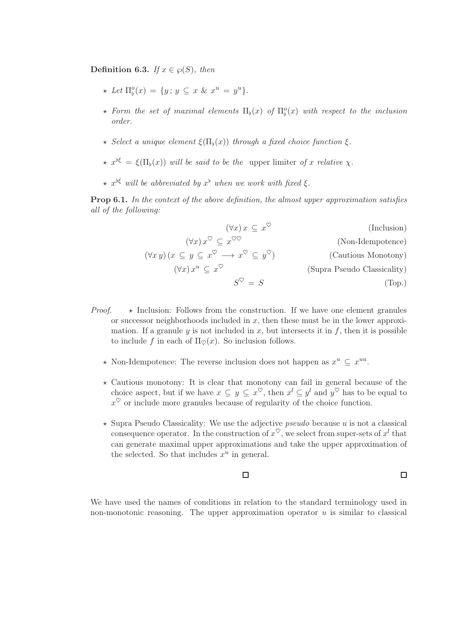Definition 6.3. If  $x \in \wp(S)$ , then

- $\star$  Let  $\Pi_{\flat}^o(x) = \{y \, ; \, y \subseteq x \, \& \, x^u = y^u\}.$
- $\star$  Form the set of maximal elements  $\Pi_{\flat}(x)$  of  $\Pi_{\flat}^{o}(x)$  with respect to the inclusion order.
- $\star$  Select a unique element  $\xi(\Pi_{\flat}(x))$  through a fixed choice function  $\xi$ .
- $\star x^{\flat\xi} = \xi(\Pi_{\flat}(x))$  will be said to be the upper limiter of x relative  $\chi$ .
- $\star x^{\flat\xi}$  will be abbreviated by  $x^{\flat}$  when we work with fixed  $\xi$ .

Prop 6.1. In the context of the above definition, the almost upper approximation satisfies all of the following:

| (Inclusion)                 | $(\forall x) x \subseteq x^{\vee}$                                                                                     |
|-----------------------------|------------------------------------------------------------------------------------------------------------------------|
| (Non-Idempotence)           | $(\forall x) x^{\heartsuit} \subseteq x^{\heartsuit\heartsuit}$                                                        |
| (Cautious Monotony)         | $(\forall x \, y) \, (x \subseteq y \subseteq x^{\heartsuit} \longrightarrow x^{\heartsuit} \subseteq y^{\heartsuit})$ |
| (Supra Pseudo Classicality) | $(\forall x) x^u \subseteq x^{\vee}$                                                                                   |
| (Top.)                      | $S^{\heartsuit} = S$                                                                                                   |

- *Proof.*  $\star$  Inclusion: Follows from the construction. If we have one element granules or successor neighborhoods included in  $x$ , then these must be in the lower approximation. If a granule y is not included in x, but intersects it in f, then it is possible to include f in each of  $\Pi_{\heartsuit}(x)$ . So inclusion follows.
	- $\star$  Non-Idempotence: The reverse inclusion does not happen as  $x^u \subseteq x^{uu}$ .
	- $\star$  Cautious monotony: It is clear that monotony can fail in general because of the choice aspect, but if we have  $x \subseteq y \subseteq x^{\heartsuit}$ , then  $x^l \subseteq y^l$  and  $y^{\heartsuit}$  has to be equal to  $x^{\heartsuit}$  or include more granules because of regularity of the choice function.
	- $\star$  Supra Pseudo Classicality: We use the adjective *pseudo* because u is not a classical consequence operator. In the construction of  $x^{\heartsuit}$ , we select from super-sets of  $x^l$  that can generate maximal upper approximations and take the upper approximation of the selected. So that includes  $x^u$  in general.

#### $\Box$

 $\Box$ 

We have used the names of conditions in relation to the standard terminology used in non-monotonic reasoning. The upper approximation operator  $u$  is similar to classical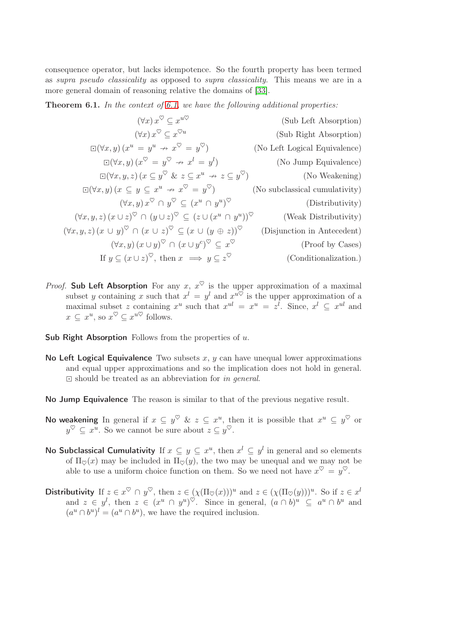consequence operator, but lacks idempotence. So the fourth property has been termed as supra pseudo classicality as opposed to supra classicality. This means we are in a more general domain of reasoning relative the domains of [\[33\]](#page-88-0).

Theorem 6.1. In the context of [6.1,](#page-35-0) we have the following additional properties:

$$
(\forall x) x^{\heartsuit} \subseteq x^{u\heartsuit}
$$
 (Sub Left Absorption)  
\n
$$
\Box(\forall x, y) (x^{u} = y^{u} \nrightarrow x^{\heartsuit} = y^{\heartsuit})
$$
 (No Left Logical Equivalence)  
\n
$$
\Box(\forall x, y) (x^{\heartsuit} = y^{\heartsuit} \nrightarrow x^{l} = y^{l})
$$
 (No Jump Equivalence)  
\n
$$
\Box(\forall x, y) (x^{\heartsuit} = y^{\heartsuit} \nrightarrow x^{l} = y^{l})
$$
 (No Jump Equivalence)  
\n
$$
\Box(\forall x, y, z) (x \subseteq y^{\heartsuit} \& z \subseteq x^{u} \nrightarrow z \subseteq y^{\heartsuit})
$$
 (No Wekening)  
\n
$$
(\forall x, y) (x \subseteq y \subseteq x^{u} \nrightarrow x^{\heartsuit} = y^{\heartsuit})
$$
 (No subclassical cumulative)  
\n
$$
(\forall x, y) x^{\heartsuit} \cap y^{\heartsuit} \subseteq (x^{u} \cap y^{u})^{\heartsuit}
$$
 (Distributivity)  
\n
$$
(\forall x, y, z) (x \cup z)^{\heartsuit} \cap (y \cup z)^{\heartsuit} \subseteq (z \cup (x^{u} \cap y^{u}))^{\heartsuit}
$$
 (Weak Distributivity)  
\n
$$
(\forall x, y, z) (x \cup y)^{\heartsuit} \cap (x \cup z)^{\heartsuit} \subseteq (x \cup (y \oplus z))^{\heartsuit}
$$
 (Disjunction in Antecedent)  
\n
$$
(\forall x, y) (x \cup y)^{\heartsuit} \cap (x \cup y^{c})^{\heartsuit} \subseteq x^{\heartsuit}
$$
 (Proof by Cases)  
\nIf  $y \subseteq (x \cup z)^{\heartsuit}$ , then  $x \implies y \subseteq z^{\heartsuit}$  (Conditionalization.)

- *Proof.* Sub Left Absorption For any x,  $x^{\heartsuit}$  is the upper approximation of a maximal subset y containing x such that  $x^l = y^l$  and  $x^{u\heartsuit}$  is the upper approximation of a maximal subset z containing  $x^u$  such that  $x^{ul} = x^u = z^l$ . Since,  $x^l \subseteq x^{ul}$  and  $x \subseteq x^u$ , so  $x^{\heartsuit} \subseteq x^{u\heartsuit}$  follows.
- Sub Right Absorption Follows from the properties of  $u$ .
- No Left Logical Equivalence Two subsets  $x, y$  can have unequal lower approximations and equal upper approximations and so the implication does not hold in general.  $\Box$  should be treated as an abbreviation for in general.
- No Jump Equivalence The reason is similar to that of the previous negative result.
- **No weakening** In general if  $x \subseteq y^{\heartsuit}$  &  $z \subseteq x^u$ , then it is possible that  $x^u \subseteq y^{\heartsuit}$  or  $y^{\heartsuit} \subseteq x^u$ . So we cannot be sure about  $z \subseteq y^{\heartsuit}$ .
- No Subclassical Cumulativity If  $x \subseteq y \subseteq x^u$ , then  $x^l \subseteq y^l$  in general and so elements of  $\Pi_{\heartsuit}(x)$  may be included in  $\Pi_{\heartsuit}(y)$ , the two may be unequal and we may not be able to use a uniform choice function on them. So we need not have  $x^{\heartsuit} = y^{\heartsuit}$ .
- Distributivity If  $z \in x^{\heartsuit} \cap y^{\heartsuit}$ , then  $z \in (\chi(\Pi_{\heartsuit}(x)))^u$  and  $z \in (\chi(\Pi_{\heartsuit}(y)))^u$ . So if  $z \in x^l$ and  $z \in y^l$ , then  $z \in (x^u \cap y^u)^\heartsuit$ . Since in general,  $(a \cap b)^u \subseteq a^u \cap b^u$  and  $(a^u \cap b^u)^l = (a^u \cap b^u)$ , we have the required inclusion.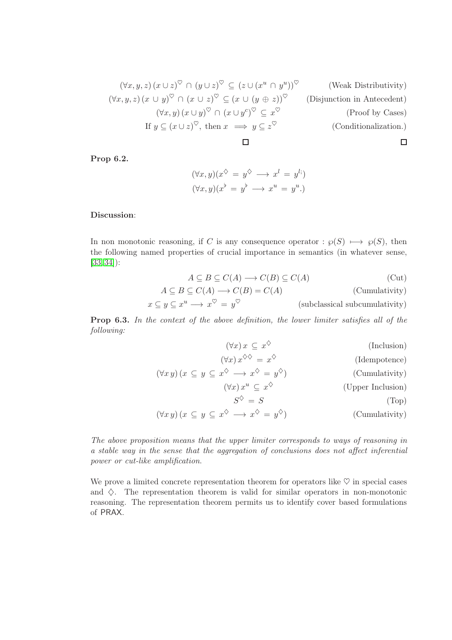$$
(\forall x, y, z) (x \cup z)^{\heartsuit} \cap (y \cup z)^{\heartsuit} \subseteq (z \cup (x^u \cap y^u))^{\heartsuit}
$$
 (Weak Distributivity)  
\n
$$
(\forall x, y, z) (x \cup y)^{\heartsuit} \cap (x \cup z)^{\heartsuit} \subseteq (x \cup (y \oplus z))^{\heartsuit}
$$
 (Disjunction in Antecedent)  
\n
$$
(\forall x, y) (x \cup y)^{\heartsuit} \cap (x \cup y^c)^{\heartsuit} \subseteq x^{\heartsuit}
$$
 (Proof by Cases)  
\nIf  $y \subseteq (x \cup z)^{\heartsuit}$ , then  $x \implies y \subseteq z^{\heartsuit}$  (Conditionalization.)

Prop 6.2.

$$
(\forall x, y)(x^{\diamondsuit} = y^{\diamondsuit} \longrightarrow x^l = y^l)
$$
  

$$
(\forall x, y)(x^{\flat} = y^{\flat} \longrightarrow x^u = y^u.)
$$

## Discussion:

In non monotonic reasoning, if C is any consequence operator :  $\wp(S) \longmapsto \wp(S)$ , then the following named properties of crucial importance in semantics (in whatever sense, [\[33,](#page-88-0) [34\]](#page-88-1)):

$$
A \subseteq B \subseteq C(A) \longrightarrow C(B) \subseteq C(A) \tag{Cut}
$$

$$
A \subseteq B \subseteq C(A) \longrightarrow C(B) = C(A) \tag{Cumulativity}
$$

$$
x \subseteq y \subseteq x^u \longrightarrow x^{\heartsuit} = y^{\heartsuit}
$$
 (subclassical subcumularity)

Prop 6.3. In the context of the above definition, the lower limiter satisfies all of the following:

| (Inclusion)                                          | $(\forall x) x \subseteq x^{\diamondsuit}$                                                                                             |
|------------------------------------------------------|----------------------------------------------------------------------------------------------------------------------------------------|
| (Idempotence)                                        | $(\forall x) x^{\diamondsuit\diamondsuit} = x^{\diamondsuit}$                                                                          |
| (Cumulativity)                                       | $(\forall x \, y) \, (x \subseteq y \subseteq x^{\diamondsuit} \longrightarrow x^{\diamondsuit} = y^{\diamondsuit})$                   |
| (Upper Inclusion)                                    | $(\forall x) x^u \subseteq x^{\diamondsuit}$                                                                                           |
| (Top)                                                | $S^{\diamondsuit} = S$                                                                                                                 |
| $(\bigcap_{i=1}^{n} 1_{i} + 1_{i} + \dots + 1_{n} )$ | $(\forall \dots)$ ( $\in \mathbb{C}$ $\Rightarrow$ $\langle \rangle$ $\Rightarrow$ $\langle \rangle$ $\Rightarrow$ $\langle \rangle$ ) |

$$
(\forall x \, y) \, (x \subseteq y \subseteq x^{\diamondsuit} \longrightarrow x^{\diamondsuit} = y^{\diamondsuit}) \tag{Cumulativity}
$$

The above proposition means that the upper limiter corresponds to ways of reasoning in a stable way in the sense that the aggregation of conclusions does not affect inferential power or cut-like amplification.

We prove a limited concrete representation theorem for operators like  $\heartsuit$  in special cases and  $\diamondsuit$ . The representation theorem is valid for similar operators in non-monotonic reasoning. The representation theorem permits us to identify cover based formulations of PRAX.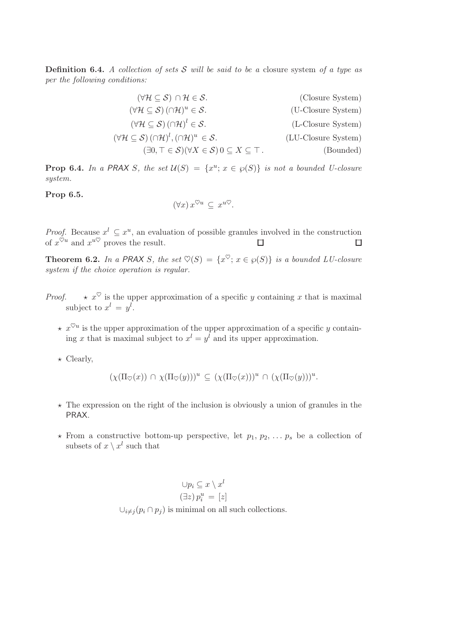**Definition 6.4.** A collection of sets  $S$  will be said to be a closure system of a type as per the following conditions:

| $(\forall \mathcal{H} \subseteq \mathcal{S}) \cap \mathcal{H} \in \mathcal{S}.$                                 | (Closure System)    |
|-----------------------------------------------------------------------------------------------------------------|---------------------|
| $(\forall \mathcal{H} \subseteq \mathcal{S})$ $(\cap \mathcal{H})^u \in \mathcal{S}$ .                          | (U-Closure System)  |
| $(\forall \mathcal{H} \subseteq \mathcal{S}) (\cap \mathcal{H})^l \in \mathcal{S}.$                             | (L-Closure System)  |
| $(\forall \mathcal{H} \subseteq \mathcal{S})$ $(\cap \mathcal{H})^l$ , $(\cap \mathcal{H})^u \in \mathcal{S}$ . | (LU-Closure System) |
| $(\exists 0, \top \in \mathcal{S})(\forall X \in \mathcal{S})\ 0 \subseteq X \subseteq \top$ .                  | (Bounded)           |

**Prop 6.4.** In a PRAX S, the set  $\mathcal{U}(S) = \{x^u : x \in \wp(S)\}\$ is not a bounded U-closure system.

Prop 6.5.

$$
(\forall x) x^{\heartsuit u} \subseteq x^{u\heartsuit}.
$$

*Proof.* Because  $x^l \subseteq x^u$ , an evaluation of possible granules involved in the construction of  $x^{\heartsuit u}$  and  $x^{u\heartsuit}$  proves the result.

**Theorem 6.2.** In a PRAX S, the set  $\heartsuit(S) = \{x^{\heartsuit}; x \in \wp(S)\}\$ is a bounded LU-closure system if the choice operation is regular.

- *Proof.*  $\star x^{\heartsuit}$  is the upper approximation of a specific y containing x that is maximal subject to  $x^l = y^l$ .
	- $\star x^{\heartsuit u}$  is the upper approximation of the upper approximation of a specific y containing x that is maximal subject to  $x^l = y^l$  and its upper approximation.
	- $\star$  Clearly,

 $(\chi(\Pi_{\heartsuit}(x)) \cap \chi(\Pi_{\heartsuit}(y)))^u \subseteq (\chi(\Pi_{\heartsuit}(x)))^u \cap (\chi(\Pi_{\heartsuit}(y)))^u.$ 

- $\star$  The expression on the right of the inclusion is obviously a union of granules in the PRAX.
- $\star$  From a constructive bottom-up perspective, let  $p_1, p_2, \ldots, p_s$  be a collection of subsets of  $x \setminus x^l$  such that

$$
\bigcup p_i \subseteq x \setminus x^l
$$

$$
(\exists z) p_i^u = [z]
$$

$$
\bigcup_{i \neq j} (p_i \cap p_j)
$$
 is minimal on all such collections.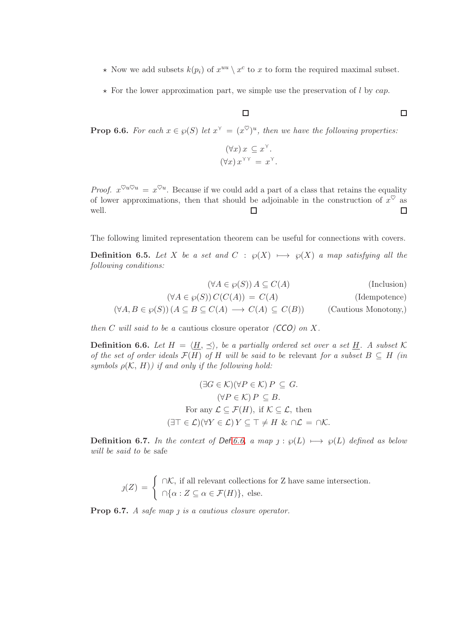- $\star$  Now we add subsets  $k(p_i)$  of  $x^{uu} \setminus x^c$  to x to form the required maximal subset.
- $\star$  For the lower approximation part, we simple use the preservation of l by cap.

## $\Box$

**Prop 6.6.** For each  $x \in \wp(S)$  let  $x^{\gamma} = (x^{\heartsuit})^u$ , then we have the following properties:

$$
(\forall x) x \subseteq x^{\curlyvee}.
$$

$$
(\forall x) x^{\curlyvee \curlyvee} = x^{\curlyvee}.
$$

*Proof.*  $x^{\heartsuit u \heartsuit u} = x^{\heartsuit u}$ . Because if we could add a part of a class that retains the equality of lower approximations, then that should be adjoinable in the construction of  $x^{\heartsuit}$  as well. □  $\Box$ 

The following limited representation theorem can be useful for connections with covers.

**Definition 6.5.** Let X be a set and C :  $\wp(X)$  →  $\wp(X)$  a map satisfying all the following conditions:

$$
(\forall A \in \wp(S)) A \subseteq C(A)
$$
 (Inclusion)  

$$
(\forall A \in \wp(S)) C(C(A)) = C(A)
$$
 (Idenpotence)  

$$
(\forall A, B \in \wp(S)) (A \subseteq B \subseteq C(A) \longrightarrow C(A) \subseteq C(B))
$$
 (Cautious Monotomy,

then C will said to be a cautious closure operator  $(CCO)$  on X.

<span id="page-39-0"></span>**Definition 6.6.** Let  $H = \langle \underline{H}, \preceq \rangle$ , be a partially ordered set over a set  $\underline{H}$ . A subset K of the set of order ideals  $\mathcal{F}(H)$  of H will be said to be relevant for a subset  $B \subseteq H$  (in symbols  $\rho(\mathcal{K}, H)$ ) if and only if the following hold:

$$
(\exists G \in \mathcal{K})(\forall P \in \mathcal{K}) P \subseteq G.
$$
  
\n
$$
(\forall P \in \mathcal{K}) P \subseteq B.
$$
  
\nFor any  $\mathcal{L} \subseteq \mathcal{F}(H)$ , if  $\mathcal{K} \subseteq \mathcal{L}$ , then  
\n
$$
(\exists \top \in \mathcal{L})(\forall Y \in \mathcal{L}) Y \subseteq \top \neq H \& \cap \mathcal{L} = \cap \mathcal{K}.
$$

Definition 6.7. In the context of Def.[6.6,](#page-39-0) a map  $j: \wp(L) \longmapsto \wp(L)$  defined as below will be said to be safe

$$
j(Z) = \begin{cases} \cap \mathcal{K}, \text{ if all relevant collections for } Z \text{ have same intersection.} \\ \cap \{\alpha : Z \subseteq \alpha \in \mathcal{F}(H)\}, \text{ else.} \end{cases}
$$

**Prop 6.7.** A safe map  $j$  is a cautious closure operator.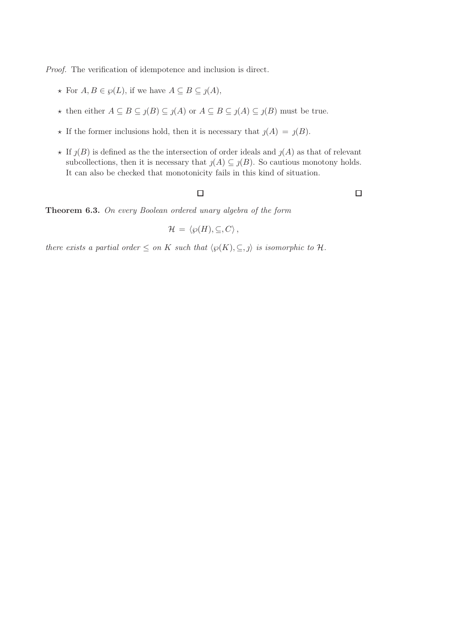Proof. The verification of idempotence and inclusion is direct.

- ★ For  $A, B \in \wp(L)$ , if we have  $A \subseteq B \subseteq j(A)$ ,
- ★ then either  $A \subseteq B \subseteq j(B) \subseteq j(A)$  or  $A \subseteq B \subseteq j(A) \subseteq j(B)$  must be true.
- $\star$  If the former inclusions hold, then it is necessary that  $j(A) = j(B)$ .
- $\star$  If  $\jmath(B)$  is defined as the the intersection of order ideals and  $\jmath(A)$  as that of relevant subcollections, then it is necessary that  $j(A) \subseteq j(B)$ . So cautious monotony holds. It can also be checked that monotonicity fails in this kind of situation.

 $\Box$ 

 $\Box$ 

Theorem 6.3. On every Boolean ordered unary algebra of the form

$$
\mathcal{H} = \langle \wp(H), \subseteq, C \rangle
$$

there exists a partial order  $\leq$  on K such that  $\langle \varphi(K), \subseteq, \jmath \rangle$  is isomorphic to H.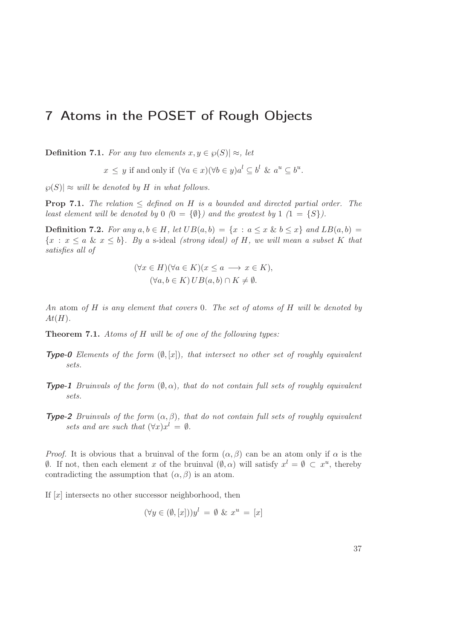# 7 Atoms in the POSET of Rough Objects

**Definition 7.1.** For any two elements  $x, y \in \wp(S) \approx \wp(S)$ , let

 $x \leq y$  if and only if  $(\forall a \in x)(\forall b \in y)a^l \subseteq b^l$  &  $a^u \subseteq b^u$ .

 $|\wp(S)| \approx$  will be denoted by H in what follows.

**Prop 7.1.** The relation  $\leq$  defined on H is a bounded and directed partial order. The least element will be denoted by  $0$   $(0 = {\emptyset})$  and the greatest by  $1$   $(1 = {\{S\}})$ .

**Definition 7.2.** For any  $a, b \in H$ , let  $UB(a, b) = \{x : a \le x \& b \le x\}$  and  $LB(a, b) =$  ${x : x \le a \& x \le b}$ . By a s-ideal (strong ideal) of H, we will mean a subset K that satisfies all of

$$
(\forall x \in H)(\forall a \in K)(x \le a \longrightarrow x \in K),
$$
  

$$
(\forall a, b \in K) \cup B(a, b) \cap K \neq \emptyset.
$$

An atom of  $H$  is any element that covers 0. The set of atoms of  $H$  will be denoted by  $At(H)$ .

Theorem 7.1. Atoms of H will be of one of the following types:

- **Type-0** Elements of the form  $(\emptyset, [x])$ , that intersect no other set of roughly equivalent sets.
- **Type-1** Bruinvals of the form  $(\emptyset, \alpha)$ , that do not contain full sets of roughly equivalent sets.
- **Type-2** Bruinvals of the form  $(\alpha, \beta)$ , that do not contain full sets of roughly equivalent sets and are such that  $(\forall x) x^l = \emptyset$ .

*Proof.* It is obvious that a bruinval of the form  $(\alpha, \beta)$  can be an atom only if  $\alpha$  is the  $\emptyset$ . If not, then each element x of the bruinval  $($ emptyset, α) will satisfy  $x<sup>l</sup> = ∅ ⊂ x<sup>u</sup>$ , thereby contradicting the assumption that  $(\alpha, \beta)$  is an atom.

If  $[x]$  intersects no other successor neighborhood, then

 $(\forall y \in (\emptyset, [x]))y^l = \emptyset \& x^u = [x]$ 

37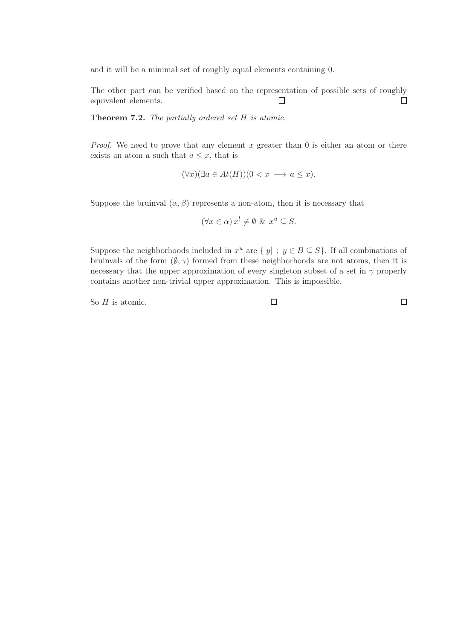and it will be a minimal set of roughly equal elements containing 0.

The other part can be verified based on the representation of possible sets of roughly equivalent elements.  $\Box$  $\Box$ 

Theorem 7.2. The partially ordered set H is atomic.

*Proof.* We need to prove that any element  $x$  greater than  $0$  is either an atom or there exists an atom a such that  $a \leq x$ , that is

$$
(\forall x)(\exists a \in At(H))(0 < x \longrightarrow a \le x).
$$

Suppose the bruinval  $(\alpha, \beta)$  represents a non-atom, then it is necessary that

$$
(\forall x \in \alpha) x^l \neq \emptyset \& x^u \subseteq S.
$$

Suppose the neighborhoods included in  $x^u$  are  $\{[y] : y \in B \subseteq S\}$ . If all combinations of bruinvals of the form  $(\emptyset, \gamma)$  formed from these neighborhoods are not atoms, then it is necessary that the upper approximation of every singleton subset of a set in  $\gamma$  properly contains another non-trivial upper approximation. This is impossible.

So  $H$  is atomic.

 $\Box$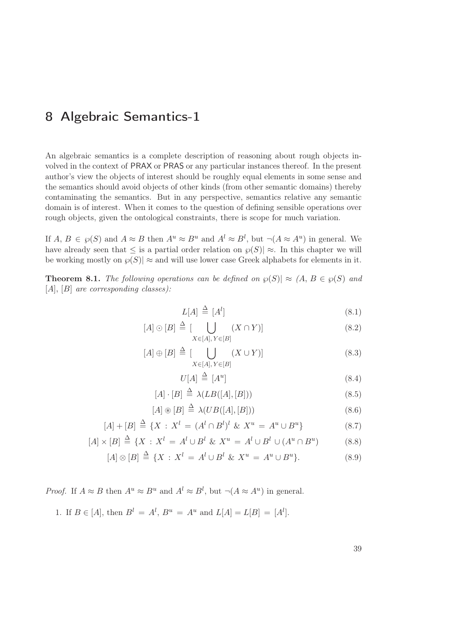# 8 Algebraic Semantics-1

An algebraic semantics is a complete description of reasoning about rough objects involved in the context of PRAX or PRAS or any particular instances thereof. In the present author's view the objects of interest should be roughly equal elements in some sense and the semantics should avoid objects of other kinds (from other semantic domains) thereby contaminating the semantics. But in any perspective, semantics relative any semantic domain is of interest. When it comes to the question of defining sensible operations over rough objects, given the ontological constraints, there is scope for much variation.

If  $A, B \in \mathcal{P}(S)$  and  $A \approx B$  then  $A^u \approx B^u$  and  $A^l \approx B^l$ , but  $\neg(A \approx A^u)$  in general. We have already seen that  $\leq$  is a partial order relation on  $\wp(S)| \approx$ . In this chapter we will be working mostly on  $\wp(S)| \approx$  and will use lower case Greek alphabets for elements in it.

**Theorem 8.1.** The following operations can be defined on  $\varphi(S)| \approx (A, B \in \varphi(S))$  and  $[A], [B]$  are corresponding classes):

$$
L[A] \stackrel{\Delta}{=} [A^l] \tag{8.1}
$$

$$
[A] \odot [B] \triangleq [\bigcup_{X \in [A], Y \in [B]} (X \cap Y)] \tag{8.2}
$$

$$
[A] \oplus [B] \stackrel{\Delta}{=} \left[ \bigcup_{X \in [A], Y \in [B]} (X \cup Y) \right] \tag{8.3}
$$

$$
U[A] \stackrel{\Delta}{=} [A^u] \tag{8.4}
$$

$$
[A] \cdot [B] \stackrel{\Delta}{=} \lambda(LB([A],[B])) \tag{8.5}
$$

$$
[A] \circledast [B] \stackrel{\Delta}{=} \lambda (UB([A],[B])) \tag{8.6}
$$

$$
[A] + [B] \stackrel{\Delta}{=} \{X : X^l = (A^l \cap B^l)^l \& X^u = A^u \cup B^u\}
$$
\n(8.7)

$$
[A] \times [B] \stackrel{\Delta}{=} \{ X : X^l = A^l \cup B^l \& X^u = A^l \cup B^l \cup (A^u \cap B^u) \tag{8.8}
$$

$$
[A] \otimes [B] \stackrel{\Delta}{=} \{ X : X^l = A^l \cup B^l \& X^u = A^u \cup B^u \}. \tag{8.9}
$$

*Proof.* If  $A \approx B$  then  $A^u \approx B^u$  and  $A^l \approx B^l$ , but  $\neg(A \approx A^u)$  in general.

1. If 
$$
B \in [A]
$$
, then  $B^l = A^l$ ,  $B^u = A^u$  and  $L[A] = L[B] = [A^l]$ .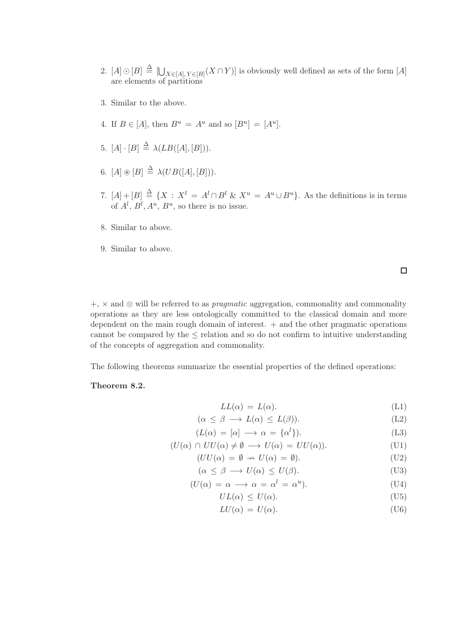- 2.  $[A] \odot [B] \triangleq [\bigcup_{X \in [A], Y \in [B]} (X \cap Y)]$  is obviously well defined as sets of the form  $[A]$ are elements of partitions
- 3. Similar to the above.
- 4. If  $B \in [A]$ , then  $B^u = A^u$  and so  $[B^u] = [A^u]$ .
- 5.  $[A] \cdot [B] \stackrel{\Delta}{=} \lambda(LB([A],[B])).$
- 6.  $[A] \circledast [B] \stackrel{\Delta}{=} \lambda(UB([A],[B])).$
- 7.  $[A] + [B] \triangleq \{ X : X^l = A^l \cap B^l \& X^u = A^u \cup B^u \}.$  As the definitions is in terms of  $A^l$ ,  $B^l$ ,  $A^u$ ,  $B^u$ , so there is no issue.
- 8. Similar to above.
- 9. Similar to above.

 $\Box$ 

 $+, \times$  and  $\otimes$  will be referred to as *pragmatic* aggregation, commonality and commonality operations as they are less ontologically committed to the classical domain and more dependent on the main rough domain of interest.  $+$  and the other pragmatic operations cannot be compared by the ≤ relation and so do not confirm to intuitive understanding of the concepts of aggregation and commonality.

The following theorems summarize the essential properties of the defined operations:

## Theorem 8.2.

$$
LL(\alpha) = L(\alpha). \tag{L1}
$$

$$
(\alpha \le \beta \longrightarrow L(\alpha) \le L(\beta)). \tag{L2}
$$

$$
(L(\alpha) = [\alpha] \longrightarrow \alpha = {\alphal}). \tag{L3}
$$

$$
(U(\alpha) \cap UU(\alpha) \neq \emptyset \longrightarrow U(\alpha) = UU(\alpha)). \tag{U1}
$$

$$
(UU(\alpha) = \emptyset \to U(\alpha) = \emptyset). \tag{U2}
$$

$$
(\alpha \le \beta \longrightarrow U(\alpha) \le U(\beta). \tag{U3}
$$

$$
(U(\alpha) = \alpha \longrightarrow \alpha = \alpha^l = \alpha^u). \tag{U4}
$$

$$
UL(\alpha) \le U(\alpha). \tag{U5}
$$

 $LU(\alpha) = U(\alpha).$  (U6)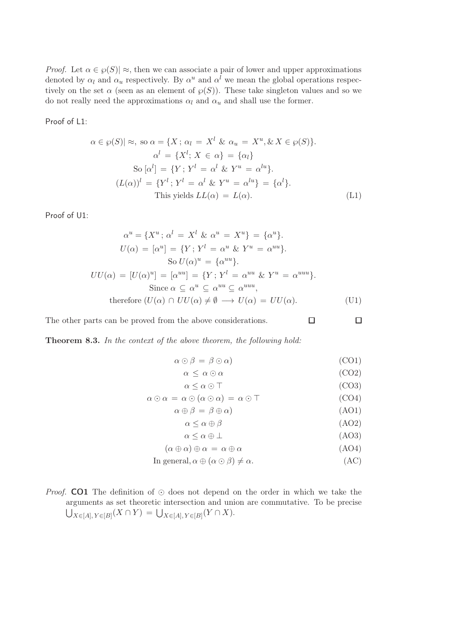*Proof.* Let  $\alpha \in \wp(S) \geq$ , then we can associate a pair of lower and upper approximations denoted by  $\alpha_l$  and  $\alpha_u$  respectively. By  $\alpha^u$  and  $\alpha^l$  we mean the global operations respectively on the set  $\alpha$  (seen as an element of  $\wp(S)$ ). These take singleton values and so we do not really need the approximations  $\alpha_l$  and  $\alpha_u$  and shall use the former.

Proof of L1:

$$
\alpha \in \wp(S) \mid \approx, \text{ so } \alpha = \{X \, ; \, \alpha_l = X^l \, \& \, \alpha_u = X^u, \& X \in \wp(S)\}.
$$
\n
$$
\alpha^l = \{X^l \, ; \, X \in \alpha\} = \{\alpha_l\}
$$
\n
$$
\text{So } [\alpha^l] = \{Y \, ; \, Y^l = \alpha^l \, \& \, Y^u = \alpha^{lu}\}.
$$
\n
$$
(L(\alpha))^l = \{Y^l \, ; \, Y^l = \alpha^l \, \& \, Y^u = \alpha^{lu}\} = \{\alpha^l\}.
$$
\nThis yields 
$$
LL(\alpha) = L(\alpha).
$$
\n
$$
(L1)
$$

Proof of U1:

$$
\alpha^{u} = \{X^{u}; \alpha^{l} = X^{l} \& \alpha^{u} = X^{u}\} = \{\alpha^{u}\}.
$$
  
\n
$$
U(\alpha) = [\alpha^{u}] = \{Y; Y^{l} = \alpha^{u} \& Y^{u} = \alpha^{uu}\}.
$$
  
\nSo  $U(\alpha)^{u} = \{\alpha^{uu}\}.$   
\n
$$
UU(\alpha) = [U(\alpha)^{u}] = [\alpha^{uu}] = \{Y; Y^{l} = \alpha^{uu} \& Y^{u} = \alpha^{uuu}\}.
$$
  
\nSince  $\alpha \subseteq \alpha^{u} \subseteq \alpha^{uu} \subseteq \alpha^{uuu},$   
\ntherefore  $(U(\alpha) \cap UU(\alpha) \neq \emptyset \longrightarrow U(\alpha) = UU(\alpha).$  (U1)

The other parts can be proved from the above considerations.

Theorem 8.3. In the context of the above theorem, the following hold:

$$
\alpha \odot \beta = \beta \odot \alpha) \tag{CO1}
$$

$$
\alpha \leq \alpha \odot \alpha \tag{CO2}
$$

 $\Box$ 

$$
\alpha \le \alpha \odot \top
$$
 (CO3)  

$$
\alpha \odot \alpha = \alpha \odot (\alpha \odot \alpha) = \alpha \odot \top
$$
 (CO4)

$$
\alpha \oplus \beta = \beta \oplus \alpha \tag{AO1}
$$

$$
\alpha < \alpha \oplus \beta \tag{AO2}
$$

- $\alpha \leq \alpha \oplus \perp$  (AO3)
- $(\alpha \oplus \alpha) \oplus \alpha = \alpha \oplus \alpha$  (AO4)
- In general,  $\alpha \oplus (\alpha \odot \beta) \neq \alpha$ . (AC)
- *Proof.* CO1 The definition of  $\odot$  does not depend on the order in which we take the arguments as set theoretic intersection and union are commutative. To be precise  $\bigcup_{X\in [A], Y\in [B]} (X\cap Y) = \bigcup_{X\in [A], Y\in [B]} (Y\cap X).$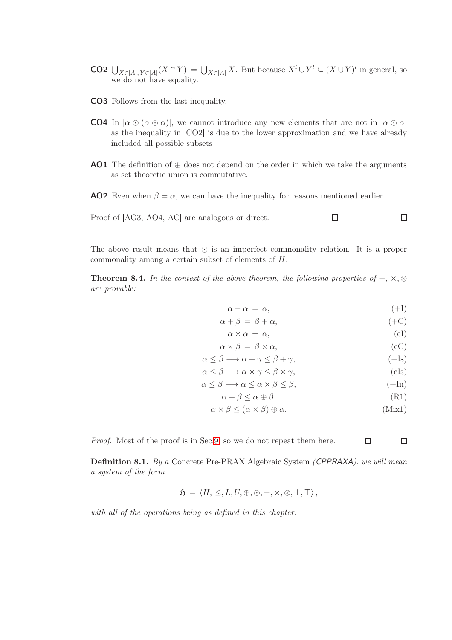- **CO2**  $\bigcup_{X \in [A], Y \in [A]} (X \cap Y) = \bigcup_{X \in [A]} X$ . But because  $X^l \cup Y^l \subseteq (X \cup Y)^l$  in general, so we do not have equality.
- CO3 Follows from the last inequality.
- **CO4** In  $[\alpha \odot (\alpha \odot \alpha)]$ , we cannot introduce any new elements that are not in  $[\alpha \odot \alpha]$ as the inequality in [CO2] is due to the lower approximation and we have already included all possible subsets
- **AO1** The definition of  $\oplus$  does not depend on the order in which we take the arguments as set theoretic union is commutative.
- **AO2** Even when  $\beta = \alpha$ , we can have the inequality for reasons mentioned earlier.



The above result means that ⊙ is an imperfect commonality relation. It is a proper commonality among a certain subset of elements of H.

**Theorem 8.4.** In the context of the above theorem, the following properties of  $+$ ,  $\times$ ,  $\otimes$ are provable:

$$
\alpha + \alpha = \alpha, \tag{+I}
$$

$$
\alpha + \beta = \beta + \alpha, \tag{+C}
$$

$$
\alpha \times \alpha = \alpha, \tag{cl}
$$

$$
\alpha \times \beta = \beta \times \alpha, \qquad (cC)
$$

$$
\alpha \le \beta \longrightarrow \alpha + \gamma \le \beta + \gamma \qquad (+Is)
$$

$$
\alpha \le \beta \implies \alpha + \gamma \le \beta + \gamma, \tag{+18}
$$
\n
$$
\alpha < \beta \implies \alpha \times \gamma < \beta \times \gamma \tag{61}
$$

$$
\alpha \le \beta \implies \alpha \times \gamma \le \beta \times \gamma, \tag{CIS}
$$
\n
$$
\alpha \le \beta \implies \alpha \le \alpha \times \beta \le \beta. \tag{Hn}
$$

$$
x \leq \rho \qquad \text{(1 in)}
$$

$$
\alpha + \beta \le \alpha \oplus \beta,\tag{R1}
$$

$$
\alpha \times \beta \leq (\alpha \times \beta) \oplus \alpha. \tag{Mix1}
$$

 $\Box$ 

 $\Box$ 

Proof. Most of the proof is in Sec[.9,](#page-50-0) so we do not repeat them here.

Definition 8.1. By a Concrete Pre-PRAX Algebraic System (CPPRAXA), we will mean a system of the form

$$
\mathfrak{H} = \langle H, \leq, L, U, \oplus, \odot, +, \times, \otimes, \perp, \top \rangle,
$$

with all of the operations being as defined in this chapter.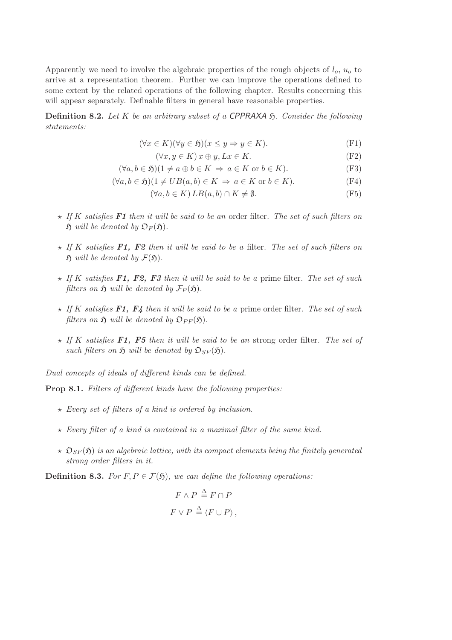Apparently we need to involve the algebraic properties of the rough objects of  $l_o$ ,  $u_o$  to arrive at a representation theorem. Further we can improve the operations defined to some extent by the related operations of the following chapter. Results concerning this will appear separately. Definable filters in general have reasonable properties.

**Definition 8.2.** Let K be an arbitrary subset of a CPPRAXA  $\mathfrak{H}$ . Consider the following statements:

$$
(\forall x \in K)(\forall y \in \mathfrak{H})(x \le y \Rightarrow y \in K). \tag{F1}
$$

$$
(\forall x, y \in K) \, x \oplus y, Lx \in K. \tag{F2}
$$

$$
(\forall a, b \in \mathfrak{H})(1 \neq a \oplus b \in K \Rightarrow a \in K \text{ or } b \in K).
$$
 (F3)

$$
(\forall a, b \in \mathfrak{H})(1 \neq UB(a, b) \in K \Rightarrow a \in K \text{ or } b \in K).
$$
 (F4)

$$
(\forall a, b \in K) LB(a, b) \cap K \neq \emptyset.
$$
 (F5)

- $\star$  If K satisfies **F1** then it will be said to be an order filter. The set of such filters on  $\mathfrak H$  will be denoted by  $\mathfrak O_F(\mathfrak H)$ .
- $\star$  If K satisfies F1, F2 then it will be said to be a filter. The set of such filters on  $\mathfrak H$  will be denoted by  $\mathcal F(\mathfrak H)$ .
- $\star$  If K satisfies F1, F2, F3 then it will be said to be a prime filter. The set of such filters on  $\mathfrak H$  will be denoted by  $\mathcal{F}_P(\mathfrak H)$ .
- $\star$  If K satisfies F1, F4 then it will be said to be a prime order filter. The set of such filters on  $\mathfrak H$  will be denoted by  $\mathfrak{O}_{PF}(\mathfrak H)$ .
- $\star$  If K satisfies F1, F5 then it will be said to be an strong order filter. The set of such filters on  $\mathfrak{H}$  will be denoted by  $\mathfrak{O}_{SF}(\mathfrak{H})$ .

Dual concepts of ideals of different kinds can be defined.

Prop 8.1. Filters of different kinds have the following properties:

- $\star$  Every set of filters of a kind is ordered by inclusion.
- $\star$  Every filter of a kind is contained in a maximal filter of the same kind.
- $\star$   $\mathfrak{O}_{SF}(\mathfrak{H})$  is an algebraic lattice, with its compact elements being the finitely generated strong order filters in it.

**Definition 8.3.** For  $F, P \in \mathcal{F}(\mathfrak{H})$ , we can define the following operations:

$$
F \wedge P \stackrel{\Delta}{=} F \cap P
$$
  

$$
F \vee P \stackrel{\Delta}{=} \langle F \cup P \rangle,
$$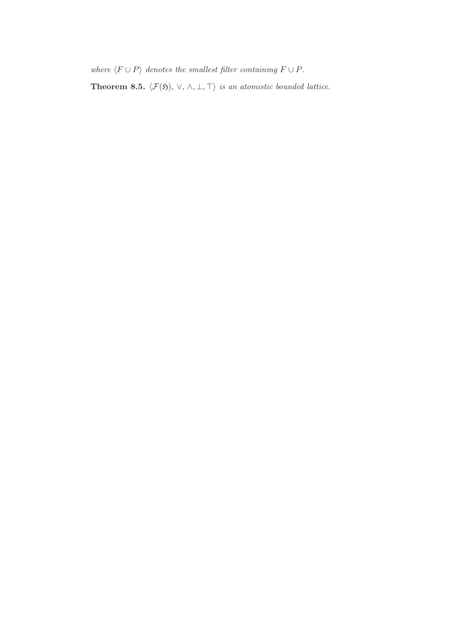where  $\langle F \cup P \rangle$  denotes the smallest filter containing  $F \cup P$ .

**Theorem 8.5.**  $\langle \mathcal{F}(\mathfrak{H}), \vee, \wedge, \bot, \top \rangle$  is an atomistic bounded lattice.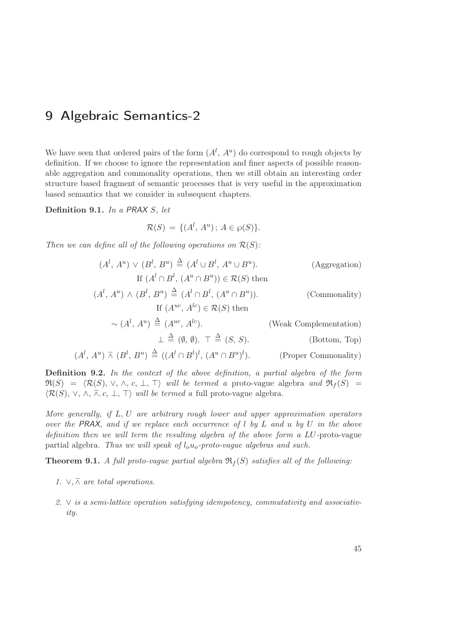# <span id="page-50-0"></span>9 Algebraic Semantics-2

We have seen that ordered pairs of the form  $(A^l, A^u)$  do correspond to rough objects by definition. If we choose to ignore the representation and finer aspects of possible reasonable aggregation and commonality operations, then we still obtain an interesting order structure based fragment of semantic processes that is very useful in the approximation based semantics that we consider in subsequent chapters.

Definition 9.1. In a PRAX S, let

$$
\mathcal{R}(S) = \{ (A^l, A^u) \, ; \, A \in \wp(S) \}.
$$

Then we can define all of the following operations on  $\mathcal{R}(S)$ :

$$
(A^{l}, A^{u}) \vee (B^{l}, B^{u}) \stackrel{\Delta}{=} (A^{l} \cup B^{l}, A^{u} \cup B^{u}).
$$
 (Aggregation)  
If  $(A^{l} \cap B^{l}, (A^{u} \cap B^{u})) \in \mathcal{R}(S)$  then  

$$
(A^{l}, A^{u}) \wedge (B^{l}, B^{u}) \stackrel{\Delta}{=} (A^{l} \cap B^{l}, (A^{u} \cap B^{u})).
$$
 (Commonality)  
If  $(A^{uc}, A^{lc}) \in \mathcal{R}(S)$  then  
 $\sim (A^{l}, A^{u}) \stackrel{\Delta}{=} (A^{uc}, A^{lc}).$  (Weak Complementation)  
 $\perp \stackrel{\Delta}{=} (\emptyset, \emptyset). \top \stackrel{\Delta}{=} (S, S).$  (Bottom, Top)  
 $(A^{l}, A^{u}) \overline{\wedge} (B^{l}, B^{u}) \stackrel{\Delta}{=} ((A^{l} \cap B^{l})^{l}, (A^{u} \cap B^{u})^{l}).$  (Proper Commonality)

Definition 9.2. In the context of the above definition, a partial algebra of the form  $\Re(S) = \langle \mathcal{R}(S), \vee, \wedge, c, \perp, \perp \rangle$  will be termed a proto-vague algebra and  $\Re_f (S) =$  $\langle \mathcal{R}(S), \vee, \wedge, \overline{\wedge}. c, \perp, \top \rangle$  will be termed a full proto-vague algebra.

More generally, if L, U are arbitrary rough lower and upper approximation operators over the PRAX, and if we replace each occurrence of  $l$  by  $L$  and  $u$  by  $U$  in the above definition then we will term the resulting algebra of the above form a LU-proto-vague partial algebra. Thus we will speak of  $l_0u_0$ -proto-vaque algebras and such.

**Theorem 9.1.** A full proto-vague partial algebra  $\Re_f(S)$  satisfies all of the following:

- 1.  $\vee, \overline{\wedge}$  are total operations.
- 2. ∨ is a semi-lattice operation satisfying idempotency, commutativity and associativity.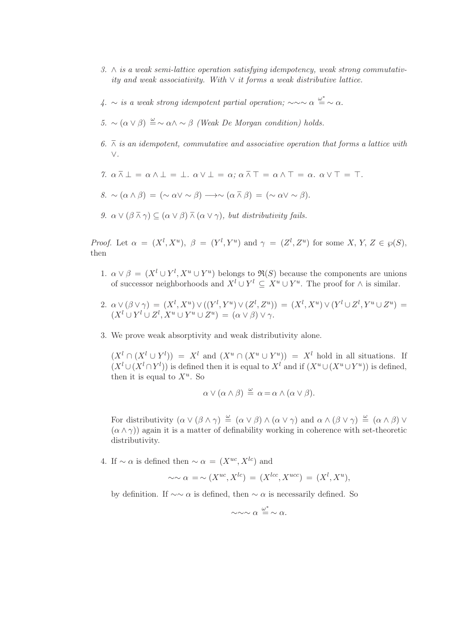- 3. ∧ is a weak semi-lattice operation satisfying idempotency, weak strong commutativity and weak associativity. With  $\vee$  it forms a weak distributive lattice.
- 4. ∼ is a weak strong idempotent partial operation;  $\sim \sim \alpha \stackrel{\omega^*}{=} \sim \alpha$ .
- 5. ~  $(\alpha \vee \beta) \stackrel{\omega}{=} \sim \alpha \wedge \sim \beta$  (Weak De Morgan condition) holds.
- 6.  $\bar{\wedge}$  is an idempotent, commutative and associative operation that forms a lattice with ∨.
- 7.  $\alpha \bar{\wedge} \bot = \alpha \wedge \bot = \bot$ .  $\alpha \vee \bot = \alpha$ ;  $\alpha \bar{\wedge} \top = \alpha \wedge \top = \alpha$ .  $\alpha \vee \top = \top$ .
- $8. \sim (\alpha \wedge \beta) = (\sim \alpha \vee \sim \beta) \longrightarrow \sim (\alpha \wedge \beta) = (\sim \alpha \vee \sim \beta).$
- 9.  $\alpha \vee (\beta \overline{\wedge} \gamma) \subseteq (\alpha \vee \beta) \overline{\wedge} (\alpha \vee \gamma)$ , but distributivity fails.

*Proof.* Let  $\alpha = (X^l, X^u)$ ,  $\beta = (Y^l, Y^u)$  and  $\gamma = (Z^l, Z^u)$  for some X, Y, Z  $\in \mathcal{P}(S)$ , then

- 1.  $\alpha \vee \beta = (X^l \cup Y^l, X^u \cup Y^u)$  belongs to  $\Re(S)$  because the components are unions of successor neighborhoods and  $X^l \cup Y^l \subseteq X^u \cup Y^u$ . The proof for  $\wedge$  is similar.
- 2.  $\alpha \vee (\beta \vee \gamma) = (X^l, X^u) \vee ((Y^l, Y^u) \vee (Z^l, Z^u)) = (X^l, X^u) \vee (Y^l \cup Z^l, Y^u \cup Z^u) =$  $(X^l \cup Y^l \cup Z^l, X^u \cup Y^u \cup Z^u) = (\alpha \vee \beta) \vee \gamma.$
- 3. We prove weak absorptivity and weak distributivity alone.

 $(X^l \cap (X^l \cup Y^l)) = X^l$  and  $(X^u \cap (X^u \cup Y^u)) = X^l$  hold in all situations. If  $(X^l \cup (X^l \cap Y^l))$  is defined then it is equal to  $X^l$  and if  $(X^u \cup (X^u \cup Y^u))$  is defined, then it is equal to  $X^u$ . So

$$
\alpha \vee (\alpha \wedge \beta) \stackrel{\omega}{=} \alpha = \alpha \wedge (\alpha \vee \beta).
$$

For distributivity  $(\alpha \vee (\beta \wedge \gamma) \stackrel{\omega}{=} (\alpha \vee \beta) \wedge (\alpha \vee \gamma)$  and  $\alpha \wedge (\beta \vee \gamma) \stackrel{\omega}{=} (\alpha \wedge \beta) \vee$  $(\alpha \wedge \gamma)$  again it is a matter of definability working in coherence with set-theoretic distributivity.

4. If  $\sim \alpha$  is defined then  $\sim \alpha = (X^{uc}, X^{lc})$  and

$$
\sim \sim \alpha = \sim (X^{uc}, X^{lc}) = (X^{lcc}, X^{ucc}) = (X^l, X^u),
$$

by definition. If  $\sim \alpha$  is defined, then  $\sim \alpha$  is necessarily defined. So

$$
\sim\sim\sim\alpha\stackrel{\omega^*}{=}\sim\alpha.
$$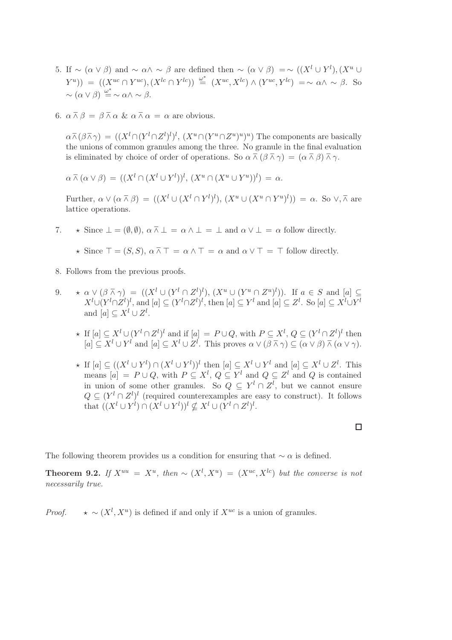- 5. If  $\sim (\alpha \vee \beta)$  and  $\sim \alpha \wedge \sim \beta$  are defined then  $\sim (\alpha \vee \beta) = \sim ((X^l \cup Y^l), (X^u \cup Y^l))$  $(Y^u)$ ) =  $((X^{uc} \cap Y^{uc}), (X^{lc} \cap Y^{lc})) \stackrel{\omega^*}{=} (X^{uc}, X^{lc}) \wedge (Y^{uc}, Y^{lc}) = \sim \alpha \wedge \sim \beta$ . So  $\sim (\alpha \vee \beta) \stackrel{\omega^*}{=} \sim \alpha \wedge \sim \beta.$
- 6.  $\alpha \bar{\wedge} \beta = \beta \bar{\wedge} \alpha \& \alpha \bar{\wedge} \alpha = \alpha$  are obvious.

 $\alpha \bar{\wedge} (\beta \bar{\wedge} \gamma) = ((X^l \cap (Y^l \cap Z^l))^l, (X^u \cap (Y^u \cap Z^u)^u))^u)$  The components are basically the unions of common granules among the three. No granule in the final evaluation is eliminated by choice of order of operations. So  $\alpha \bar{\wedge} (\beta \bar{\wedge} \gamma) = (\alpha \bar{\wedge} \beta) \bar{\wedge} \gamma$ .

 $\alpha \bar{\wedge} (\alpha \vee \beta) = ((X^l \cap (X^l \cup Y^l))^l, (X^u \cap (X^u \cup Y^u))^l) = \alpha.$ 

Further,  $\alpha \vee (\alpha \overline{\wedge} \beta) = ((X^l \cup (X^l \cap Y^l)^l), (X^u \cup (X^u \cap Y^u)^l)) = \alpha$ . So  $\vee, \overline{\wedge}$  are lattice operations.

- 7.  $\star$  Since  $\bot = (\emptyset, \emptyset), \alpha \bar{\wedge} \bot = \alpha \wedge \bot = \bot$  and  $\alpha \vee \bot = \alpha$  follow directly.
	- $\star$  Since  $\top$  = (S, S),  $\alpha \bar{\wedge} \top$  =  $\alpha \wedge \top$  =  $\alpha$  and  $\alpha \vee \top$  =  $\top$  follow directly.
- 8. Follows from the previous proofs.
- 9.  $\star \alpha \vee (\beta \bar{\wedge} \gamma) = ((X^l \cup (Y^l \cap Z^l)^l), (X^u \cup (Y^u \cap Z^u)^l))$ . If  $a \in S$  and  $[a] \subseteq$  $X^l\cup (Y^l\cap Z^l)^l$ , and  $[a]\subseteq (Y^l\cap Z^l)^l$ , then  $[a]\subseteq Y^l$  and  $[a]\subseteq Z^l$ . So  $[a]\subseteq X^l\cup Y^l$ and  $[a] \subseteq X^l \cup Z^l$ .
	- ★ If  $[a] \subseteq X^l \cup (Y^l \cap Z^l)^l$  and if  $[a] = P \cup Q$ , with  $P \subseteq X^l$ ,  $Q \subseteq (Y^l \cap Z^l)^l$  then  $[a] \subseteq X^l \cup Y^l$  and  $[a] \subseteq X^l \cup Z^l$ . This proves  $\alpha \vee (\beta \overline{\wedge} \gamma) \subseteq (\alpha \vee \beta) \overline{\wedge} (\alpha \vee \gamma)$ .
	- $\star$  If  $[a] \subseteq ((X^l \cup Y^l) \cap (X^l \cup Y^l))^l$  then  $[a] \subseteq X^l \cup Y^l$  and  $[a] \subseteq X^l \cup Z^l$ . This means  $[a] = P \cup Q$ , with  $P \subseteq X^l$ ,  $Q \subseteq Y^l$  and  $Q \subseteq Z^l$  and  $Q$  is contained in union of some other granules. So  $Q \subseteq Y^l \cap Z^l$ , but we cannot ensure  $Q \subseteq (Y^l \cap Z^l)^l$  (required counterexamples are easy to construct). It follows that  $((X^l \cup Y^l) \cap (X^l \cup Y^l))^l \nsubseteq X^l \cup (Y^l \cap Z^l)^l$ .

The following theorem provides us a condition for ensuring that  $\sim \alpha$  is defined.

**Theorem 9.2.** If  $X^{uu} = X^u$ , then ~  $(X^l, X^u) = (X^{uc}, X^{lc})$  but the converse is not necessarily true.

*Proof.*  $\star \sim (X^l, X^u)$  is defined if and only if  $X^{uc}$  is a union of granules.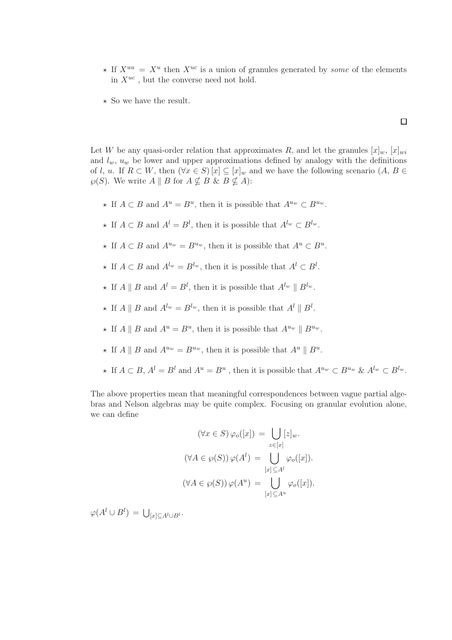$\star$  If  $X^{uu} = X^u$  then  $X^{uc}$  is a union of granules generated by some of the elements in  $X^{uc}$ , but the converse need not hold.

 $\Box$ 

 $\star$  So we have the result.

Let W be any quasi-order relation that approximates R, and let the granules  $[x]_w$ ,  $[x]_{wi}$ and  $l_w$ ,  $u_w$  be lower and upper approximations defined by analogy with the definitions of l, u. If  $R \subset W$ , then  $(\forall x \in S) [x] \subseteq [x]_w$  and we have the following scenario  $(A, B \in$  $\wp(S)$ . We write  $A \parallel B$  for  $A \not\subset B$  &  $B \not\subset A$ ):

- ★ If  $A \subset B$  and  $A^u = B^u$ , then it is possible that  $A^{u_w} \subset B^{u_w}$ .
- ★ If  $A \subset B$  and  $A^l = B^l$ , then it is possible that  $A^{l_w} \subset B^{l_w}$ .
- ★ If  $A \subset B$  and  $A^{u_w} = B^{u_w}$ , then it is possible that  $A^u \subset B^u$ .
- ★ If  $A \subset B$  and  $A^{l_w} = B^{l_w}$ , then it is possible that  $A^l \subset B^l$ .
- $\star$  If  $A \parallel B$  and  $A^{l} = B^{l}$ , then it is possible that  $A^{l_{w}} \parallel B^{l_{w}}$ .
- $\star$  If  $A \parallel B$  and  $A^{l_w} = B^{l_w}$ , then it is possible that  $A^l \parallel B^l$ .
- $\star$  If  $A \parallel B$  and  $A^u = B^u$ , then it is possible that  $A^{u_w} \parallel B^{u_w}$ .
- $\star$  If  $A \parallel B$  and  $A^{u_w} = B^{u_w}$ , then it is possible that  $A^u \parallel B^u$ .
- $\star$  If  $A \subset B$ ,  $A^l = B^l$  and  $A^u = B^u$ , then it is possible that  $A^{u_w} \subset B^{u_w}$  &  $A^{l_w} \subset B^{l_w}$ .

The above properties mean that meaningful correspondences between vague partial algebras and Nelson algebras may be quite complex. Focusing on granular evolution alone, we can define

$$
(\forall x \in S) \varphi_o([x]) = \bigcup_{z \in [x]} [z]_w.
$$

$$
(\forall A \in \varphi(S)) \varphi(A^l) = \bigcup_{[x] \subseteq A^l} \varphi_o([x]).
$$

$$
(\forall A \in \varphi(S)) \varphi(A^u) = \bigcup_{[x] \subseteq A^u} \varphi_o([x]).
$$

 $\varphi(A^l \cup B^l) = \bigcup_{[x] \subseteq A^l \cup B^l}.$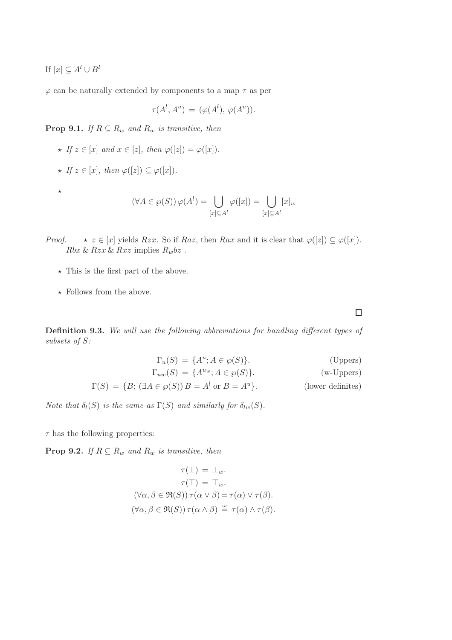If  $[x] \subseteq A^l \cup B^l$ 

 $\varphi$  can be naturally extended by components to a map  $\tau$  as per

$$
\tau(A^l, A^u) = (\varphi(A^l), \varphi(A^u)).
$$

**Prop 9.1.** If  $R \subseteq R_w$  and  $R_w$  is transitive, then

- $\star$  If  $z \in [x]$  and  $x \in [z]$ , then  $\varphi([z]) = \varphi([x])$ .  $\star$  If  $z \in [x]$ , then  $\varphi([z]) \subseteq \varphi([x])$ .  $\star$  $(\forall A \in \wp(S)) \, \varphi(A^l) = \ \Box$  $[x]\subseteq A^l$  $\varphi([x]) = \begin{pmatrix} \end{pmatrix}$  $[x]\subseteq A^l$
- *Proof.*  $\star z \in [x]$  yields Rzx. So if Raz, then Rax and it is clear that  $\varphi([z]) \subseteq \varphi([x])$ .  $Rbx \& Rzx \& Rxz$  implies  $R_wbz$ .
	- $\star$  This is the first part of the above.
	- $\star$  Follows from the above.

Definition 9.3. We will use the following abbreviations for handling different types of subsets of S:

$$
\Gamma_u(S) = \{A^u; A \in \wp(S)\}.
$$
\n(Uppers)  
\n
$$
\Gamma_{uw}(S) = \{A^{uw}; A \in \wp(S)\}.
$$
\n(v-Uppers)  
\n
$$
\Gamma(S) = \{B; (\exists A \in \wp(S)) B = A^l \text{ or } B = A^u\}.
$$
\n(lower definites)

Note that  $\delta_l(S)$  is the same as  $\Gamma(S)$  and similarly for  $\delta_{lw}(S)$ .

 $\tau$  has the following properties:

**Prop 9.2.** If  $R \subseteq R_w$  and  $R_w$  is transitive, then

$$
\tau(\bot) = \bot_w.
$$

$$
\tau(\top) = \top_w.
$$

$$
(\forall \alpha, \beta \in \mathfrak{R}(S)) \tau(\alpha \vee \beta) = \tau(\alpha) \vee \tau(\beta).
$$

$$
(\forall \alpha, \beta \in \mathfrak{R}(S)) \tau(\alpha \wedge \beta) \stackrel{\omega}{=} \tau(\alpha) \wedge \tau(\beta).
$$

 $\Box$ 

 $[x]_w$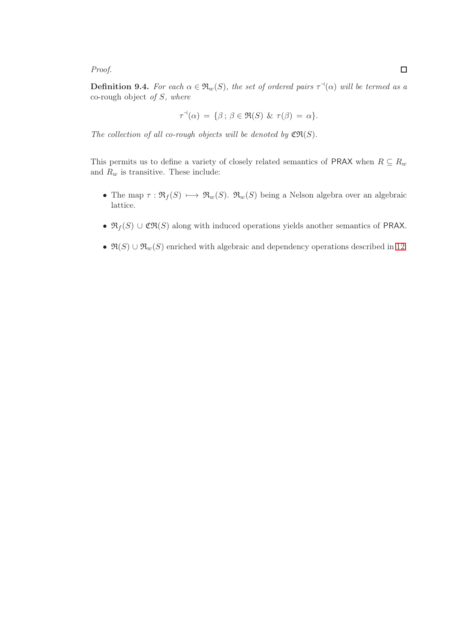Proof.

**Definition 9.4.** For each  $\alpha \in \mathfrak{R}_w(S)$ , the set of ordered pairs  $\tau^{\dashv}(\alpha)$  will be termed as a co-rough object of  $S$ , where

$$
\tau^{\dashv}(\alpha) = \{\beta \, ; \, \beta \in \Re(S) \, \& \, \tau(\beta) = \alpha\}.
$$

The collection of all co-rough objects will be denoted by  $\mathfrak{CR}(S)$ .

This permits us to define a variety of closely related semantics of PRAX when  $R \subseteq R_w$ and  $\mathcal{R}_w$  is transitive. These include:

- The map  $\tau : \mathfrak{R}_f(S) \longrightarrow \mathfrak{R}_w(S)$ .  $\mathfrak{R}_w(S)$  being a Nelson algebra over an algebraic lattice.
- $\mathfrak{R}_f(S) \cup \mathfrak{CR}(S)$  along with induced operations yields another semantics of PRAX.
- $\Re(S) \cup \Re_w(S)$  enriched with algebraic and dependency operations described in [12.](#page-66-0)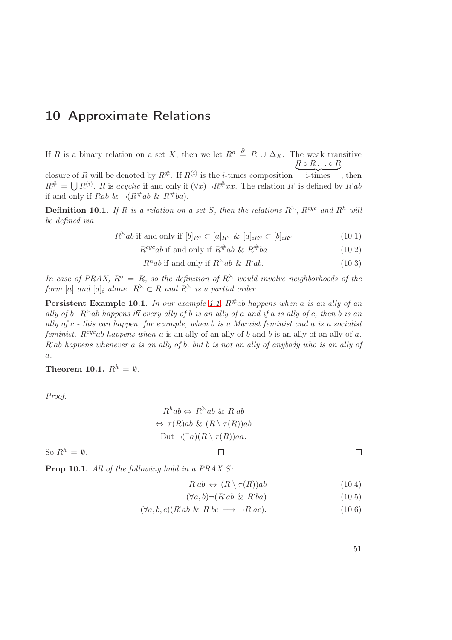# 10 Approximate Relations

If R is a binary relation on a set X, then we let  $R^o \stackrel{\partial}{=} R \cup \Delta_X$ . The weak transitive  $R \circ R \ldots \circ R$ 

closure of R will be denoted by  $R^{\#}$ . If  $R^{(i)}$  is the *i*-times composition i-times , then  $R^{\#} = \bigcup R^{(i)}$ . R is acyclic if and only if  $(\forall x) \neg R^{\#}xx$ . The relation R is defined by R ab if and only if Rab &  $\neg (R^{\#}ab \& R^{\#}ba)$ .

**Definition 10.1.** If R is a relation on a set S, then the relations  $R^{\lambda}$ ,  $R^{cyc}$  and  $R^h$  will be defined via

 $R^{\lambda}ab$  if and only if  $[b]_{R^o} \subset [a]_{R^o} \& [a]_{iR^o} \subset [b]_{iR^o}$  (10.1)

 $R^{cyc}ab$  if and only if  $R^{\#}ab \& R$  $(10.2)$ 

$$
Rhab if and only if  $R^{\lambda}ab \& R^{\lambda}ab.$  (10.3)
$$

In case of PRAX,  $R^{\circ} = R$ , so the definition of  $R^{\wedge}$  would involve neighborhoods of the form [a] and  $[a]_i$  alone.  $R^{\wedge} \subset R$  and  $R^{\wedge}$  is a partial order.

**Persistent Example 10.1.** In our example [1.1,](#page-8-0)  $R^{\#}ab$  happens when a is an ally of an ally of b. R $\lambda$ ab happens iff every ally of b is an ally of a and if a is ally of c, then b is an ally of  $c$  - this can happen, for example, when b is a Marxist feminist and a is a socialist feminist.  $R^{cyc}ab$  happens when a is an ally of an ally of b and b is an ally of an ally of a. R·ab happens whenever a is an ally of b, but b is not an ally of anybody who is an ally of a.

Theorem 10.1.  $R^h = \emptyset$ .

Proof.

$$
R^{h}ab \Leftrightarrow R^{\lambda}ab \& R^{h}ab
$$
  

$$
\Leftrightarrow \tau(R)ab \& (R \setminus \tau(R))ab
$$
  
But 
$$
\neg (\exists a)(R \setminus \tau(R))aa.
$$

 $\Box$ 

So  $R^h = \emptyset$ .

 $\Box$ 

Prop 10.1. All of the following hold in a PRAX S:

$$
R\hat{a}b \leftrightarrow (R\setminus \tau(R))ab \tag{10.4}
$$

$$
(\forall a, b) \neg (R \ ab \ \& \ R \ ba) \tag{10.5}
$$

$$
(\forall a, b, c)(R \ ab \ \& \ R \ bc \ \longrightarrow \ \neg R \ ac). \tag{10.6}
$$

51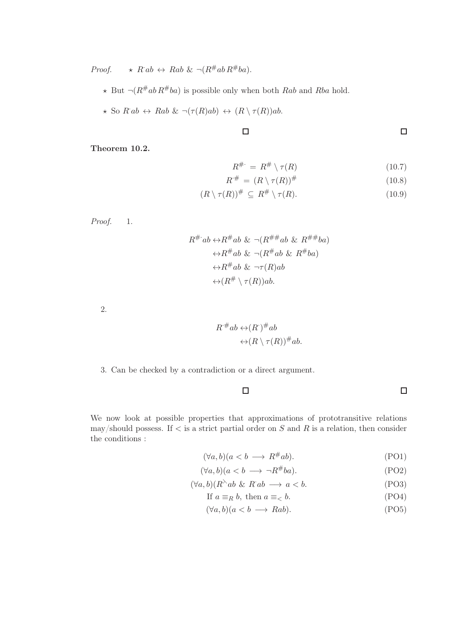Proof.  $\star$  R·ab  $\leftrightarrow$  Rab &  $\neg (R^{\#}ab R^{\#}ba)$ .

 $\star$  But  $\neg (R^{\#}ab R^{\#}ba)$  is possible only when both Rab and Rba hold.

 $\Box$ 

$$
\star \text{ So } R ab \leftrightarrow R ab \& \neg(\tau(R)ab) \leftrightarrow (R \setminus \tau(R))ab.
$$

$$
f_{\rm{max}}(x)
$$

## Theorem 10.2.

$$
R^{\#} = R^{\#} \setminus \tau(R) \tag{10.7}
$$

 $\Box$ 

 $\Box$ 

$$
R^{\#} = (R \setminus \tau(R))^{\#} \tag{10.8}
$$

$$
(R \setminus \tau(R))^\# \subseteq R^\# \setminus \tau(R). \tag{10.9}
$$

Proof. 1.

$$
R^{\#} ab \leftrightarrow R^{\#} ab \& \neg (R^{\#} \# ab \& R^{\#} \# ba)
$$
  

$$
\leftrightarrow R^{\#} ab \& \neg (R^{\#} ab \& R^{\#} ba)
$$
  

$$
\leftrightarrow R^{\#} ab \& \neg \tau(R) ab
$$
  

$$
\leftrightarrow (R^{\#} \setminus \tau(R)) ab.
$$

2.

$$
R^{\dagger}ab \leftrightarrow (R^{\dagger})^{\#}ab
$$

$$
\leftrightarrow (R \setminus \tau(R))^{\#}ab.
$$

3. Can be checked by a contradiction or a direct argument.

$$
f_{\rm{max}}
$$

We now look at possible properties that approximations of prototransitive relations may/should possess. If  $\lt$  is a strict partial order on S and R is a relation, then consider the conditions :

$$
(\forall a, b)(a < b \longrightarrow R^{\#}ab). \tag{PO1}
$$

$$
(\forall a, b)(a < b \longrightarrow \neg R^{\#}ba). \tag{PO2}
$$

$$
(\forall a, b)(R^{\lambda}ab \& R^{a}ab \longrightarrow a < b. \tag{PO3}
$$

If 
$$
a \equiv_R b
$$
, then  $a \equiv_< b$ . (PO4)

$$
(\forall a, b)(a < b \longrightarrow Rab).
$$
 (PO5)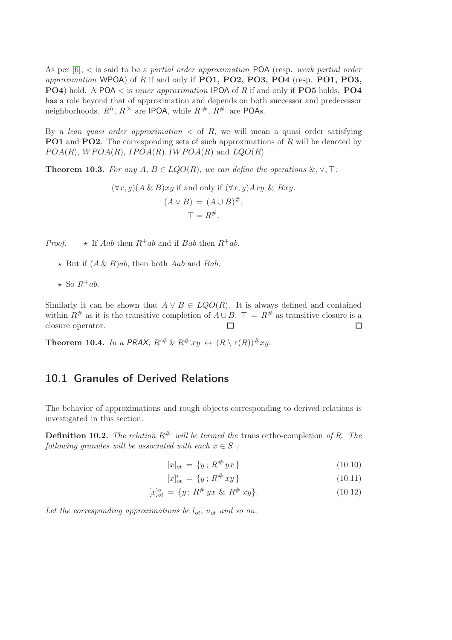As per  $[6]$ ,  $\lt$  is said to be a *partial order approximation* POA (resp. *weak partial order* approximation WPOA) of R if and only if  $PO1$ ,  $PO2$ ,  $PO3$ ,  $PO4$  (resp.  $PO1$ ,  $PO3$ , **PO4**) hold. A POA  $\lt$  is *inner approximation* IPOA of R if and only if **PO5** holds. **PO4** has a role beyond that of approximation and depends on both successor and predecessor neighborhoods.  $R^h$ ,  $R^{\infty}$  are IPOA, while  $R^{\#}, R^{\#}$  are POAs.

By a lean quasi order approximation  $\langle$  of R, we will mean a quasi order satisfying **PO1** and **PO2**. The corresponding sets of such approximations of R will be denoted by  $POA(R)$ ,  $WPOA(R)$ ,  $IPOA(R)$ ,  $IWPOA(R)$  and  $LQO(R)$ 

Theorem 10.3. For any  $A, B \in LQO(R)$ , we can define the operations  $\&, \vee, \top$ :

$$
(\forall x, y)(A \& B)xy \text{ if and only if } (\forall x, y)Axy \& Bxy.
$$

$$
(A \lor B) = (A \cup B)^{\#},
$$

$$
\top = R^{\#}.
$$

*Proof.*  $\star$  If Aab then  $R^+ab$  and if Bab then  $R^+ab$ .

- $\star$  But if  $(A \& B)ab$ , then both Aab and Bab.
- $\star$  So  $R^+ab$ .

Similarly it can be shown that  $A \vee B \in LQO(R)$ . It is always defined and contained within  $R^{\#}$  as it is the transitive completion of  $A \cup B$ .  $\top = R^{\#}$  as transitive closure is a closure operator.  $\Box$  $\Box$ 

**Theorem 10.4.** In a PRAX,  $R^{\#} \& R^{\#}xy \leftrightarrow (R \setminus \tau(R))^{\#}xy$ .

## 10.1 Granules of Derived Relations

The behavior of approximations and rough objects corresponding to derived relations is investigated in this section.

**Definition 10.2.** The relation  $R^{\#}$  will be termed the trans ortho-completion of R. The following granules will be associated with each  $x \in S$ :

$$
[x]_{ot} = \{y \, ; \, R^{\# \cdot} yx \}
$$
\n(10.10)

$$
[x]_{ot}^{i} = \{y \, ; \, R^{\# \cdot} xy \}
$$
\n(10.11)

$$
[x]_{ot}^{o} = \{y \, ; \, R^{\#} \, yx \, \& \, R^{\#} \, xy\}. \tag{10.12}
$$

Let the corresponding approximations be  $l_{ot}$ ,  $u_{ot}$  and so on.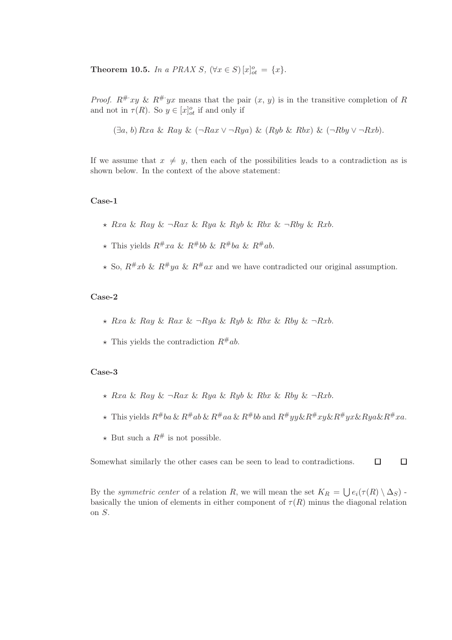Theorem 10.5. In a PRAX S,  $(\forall x \in S) [x]_{ot}^o = \{x\}.$ 

*Proof.*  $R^{\#}xy \& R^{\#}yx$  means that the pair  $(x, y)$  is in the transitive completion of R and not in  $\tau(R)$ . So  $y \in [x]_{ot}^o$  if and only if

(∃a, b) Rxa & Ray & (¬Rax ∨ ¬Rya) & (Ryb & Rbx) & (¬Rby ∨ ¬Rxb).

If we assume that  $x \neq y$ , then each of the possibilities leads to a contradiction as is shown below. In the context of the above statement:

## Case-1

- $\star$  Rxa & Ray &  $\neg Rax$  & Rya & Ryb & Rbx &  $\neg Rby$  & Rxb.
- $\star$  This yields  $R^{\#}xa \& R^{\#}bb \& R^{\#}ba \& R^{\#}ab.$
- $\star$  So,  $R^{\#}xb \& R^{\#}ya \& R^{\#}ax$  and we have contradicted our original assumption.

## Case-2

- $\star$  Rxa & Ray & Rax &  $\neg Rya$  & Ryb & Rbx & Rby &  $\neg Rxb$ .
- $\star$  This yields the contradiction  $R^{\#}ab$ .

#### Case-3

- $\star$  Rxa & Ray &  $\neg$ Rax & Rya & Ryb & Rbx & Rby &  $\neg$ Rxb.
- $\star$  This yields  $R#ba \& R#ab \& R#aa \& R#bb$  and  $R#yy \& R#xy \& R#yx \& Ruak R#xa$ .
- $\star$  But such a  $R^{\#}$  is not possible.

 $\Box$  $\Box$ Somewhat similarly the other cases can be seen to lead to contradictions.

By the symmetric center of a relation R, we will mean the set  $K_R = \bigcup e_i(\tau(R) \setminus \Delta_S)$ . basically the union of elements in either component of  $\tau(R)$  minus the diagonal relation on S.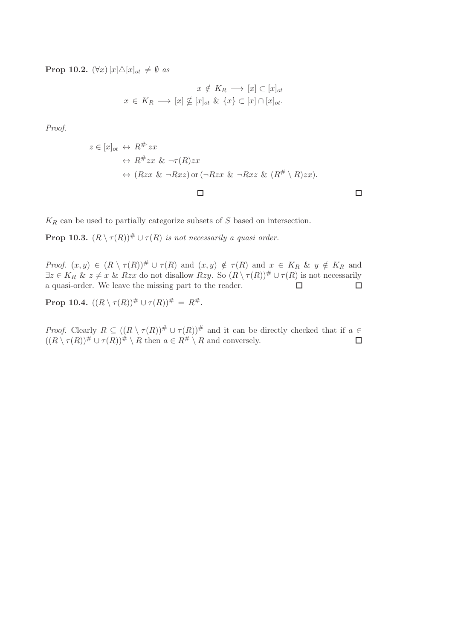**Prop 10.2.**  $(\forall x) [x] \triangle [x]_{ot} \neq \emptyset$  as

$$
x \notin K_R \longrightarrow [x] \subseteq [x]_{ot}
$$

$$
x \in K_R \longrightarrow [x] \nsubseteq [x]_{ot} \& \{x\} \subseteq [x] \cap [x]_{ot}.
$$

Proof.

$$
z \in [x]_{ot} \leftrightarrow R^{\#zx}
$$
  
\n
$$
\leftrightarrow R^{\#zx} \& \neg \tau(R)zx
$$
  
\n
$$
\leftrightarrow (Rzx \& \neg Rxz) \text{ or } (\neg Rzx \& \neg Rxz \& (R^{\#} \setminus R)zx).
$$

 $\mathcal{K}_R$  can be used to partially categorize subsets of  $S$  based on intersection.

**Prop 10.3.**  $(R \setminus \tau(R))$ <sup>#</sup>  $\cup \tau(R)$  is not necessarily a quasi order.

Proof.  $(x, y) \in (R \setminus \tau(R))^\# \cup \tau(R)$  and  $(x, y) \notin \tau(R)$  and  $x \in K_R$  &  $y \notin K_R$  and  $\exists z \in K_R \& z \neq x \& Rzx$  do not disallow  $Rzy$ . So  $(R \setminus \tau(R)) \# \cup \tau(R)$  is not necessarily a quasi-order. We leave the missing part to the reader.  $\Box$  $\Box$ 

**Prop 10.4.**  $((R \setminus \tau(R))^\# \cup \tau(R))^\# = R^\#$ .

*Proof.* Clearly  $R \subseteq ((R \setminus \tau(R))^\# \cup \tau(R))^\#$  and it can be directly checked that if  $a \in$  $((R \setminus \tau(R))^\# \cup \tau(R))^\# \setminus R$  then  $a \in R^\# \setminus R$  and conversely.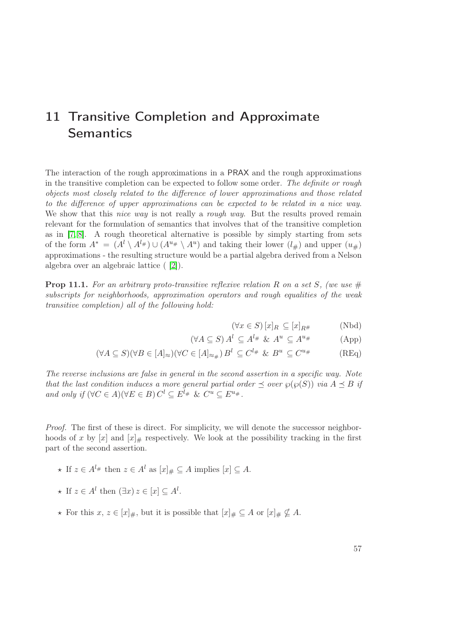# 11 Transitive Completion and Approximate **Semantics**

The interaction of the rough approximations in a PRAX and the rough approximations in the transitive completion can be expected to follow some order. The definite or rough objects most closely related to the difference of lower approximations and those related to the difference of upper approximations can be expected to be related in a nice way. We show that this *nice way* is not really a *rough way*. But the results proved remain relevant for the formulation of semantics that involves that of the transitive completion as in [\[7,](#page-86-1) [8\]](#page-86-2). A rough theoretical alternative is possible by simply starting from sets of the form  $A^* = (A^l \setminus A^{l_\#}) \cup (A^{u_\#} \setminus A^u)$  and taking their lower  $(l_\#)$  and upper  $(u_\#)$ approximations - the resulting structure would be a partial algebra derived from a Nelson algebra over an algebraic lattice ( [\[2\]](#page-86-3)).

**Prop 11.1.** For an arbitrary proto-transitive reflexive relation R on a set S, (we use  $\#$ subscripts for neighborhoods, approximation operators and rough equalities of the weak transitive completion) all of the following hold:

$$
(\forall x \in S) [x]_R \subseteq [x]_{R^{\#}} \qquad (\text{Nbd})
$$

$$
(\forall A \subseteq S) A^l \subseteq A^{l_{\#}} \& A^u \subseteq A^{u_{\#}} \tag{App}
$$

$$
(\forall A \subseteq S)(\forall B \in [A]_{\approx}) (\forall C \in [A]_{\approx_{\#}}) B^{l} \subseteq C^{l_{\#}} \& B^{u} \subseteq C^{u_{\#}} \tag{REq}
$$

The reverse inclusions are false in general in the second assertion in a specific way. Note that the last condition induces a more general partial order  $\preceq$  over  $\wp(\wp(S))$  via  $A \preceq B$  if and only if  $(\forall C \in A)(\forall E \in B) C^l \subseteq E^{l_{\#}} \& C^u \subseteq E^{u_{\#}}$ .

Proof. The first of these is direct. For simplicity, we will denote the successor neighborhoods of x by  $[x]$  and  $[x]_{\#}$  respectively. We look at the possibility tracking in the first part of the second assertion.

- $\star$  If  $z \in A^{l_{\#}}$  then  $z \in A^{l}$  as  $[x]_{\#} \subseteq A$  implies  $[x] \subseteq A$ .
- $\star$  If  $z \in A^l$  then  $(\exists x)$   $z \in [x] \subseteq A^l$ .
- ★ For this  $x, z \in [x]_{\#}$ , but it is possible that  $[x]_{\#} \subseteq A$  or  $[x]_{\#} \nsubseteq A$ .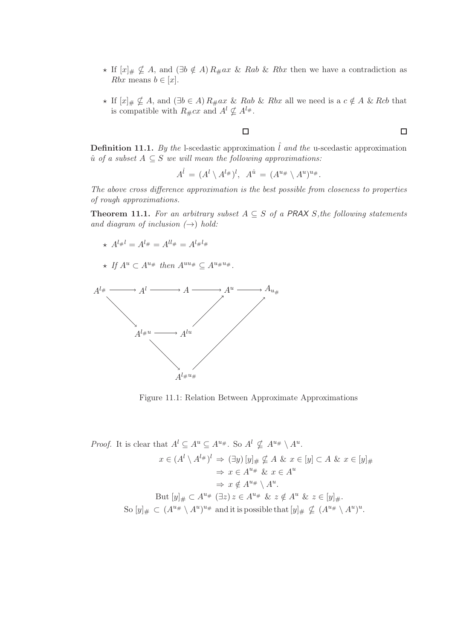- ★ If  $[x]_{\#} \nsubseteq A$ , and  $(\exists b \notin A) R_{\#}ax \& Rab \& Rbx$  then we have a contradiction as Rbx means  $b \in [x]$ .
- ★ If  $[x]_# \nsubseteq A$ , and  $(\exists b \in A) R_{#} ax \& Rab \& Rbx$  all we need is a  $c \notin A \& Rcb$  that is compatible with  $R_{\#}cx$  and  $A^{l} \nsubseteq A^{l_{\#}}$ .

 $\Box$ 

**Definition 11.1.** By the l-scedastic approximation  $\hat{l}$  and the u-scedastic approximation  $\hat{u}$  of a subset  $A \subseteq S$  we will mean the following approximations:

$$
A^{\hat{l}} = (A^l \setminus A^{l_{\#}})^l, \ \ A^{\hat{u}} = (A^{u_{\#}} \setminus A^u)^{u_{\#}}.
$$

The above cross difference approximation is the best possible from closeness to properties of rough approximations.

**Theorem 11.1.** For an arbitrary subset  $A \subseteq S$  of a PRAX S, the following statements and diagram of inclusion  $(\rightarrow)$  hold:

- $A^{l} \#^{l} = A^{l} \# = A^{l} \#^{l} = A^{l} \#^{l} \#^{l}$
- $\star$  If  $A^u \subset A^{u_{\#}}$  then  $A^{uu_{\#}} \subset A^{u_{\#}u_{\#}}$ .



Figure 11.1: Relation Between Approximate Approximations

Proof. It is clear that 
$$
A^l \subseteq A^u \subseteq A^{u_{\#}}
$$
. So  $A^l \nsubseteq A^{u_{\#}} \setminus A^u$ .  
\n $x \in (A^l \setminus A^{l_{\#}})^l \Rightarrow (\exists y) [y]_{\#} \nsubseteq A \& x \in [y] \subset A \& x \in [y]_{\#}$   
\n $\Rightarrow x \in A^{u_{\#}} \& x \in A^u$   
\n $\Rightarrow x \notin A^{u_{\#}} \setminus A^u$ .  
\nBut  $[y]_{\#} \subset A^{u_{\#}} (\exists z) z \in A^{u_{\#}} \& z \notin A^u \& z \in [y]_{\#}$ .  
\nSo  $[y]_{\#} \subset (A^{u_{\#}} \setminus A^u)^{u_{\#}}$  and it is possible that  $[y]_{\#} \nsubseteq (A^{u_{\#}} \setminus A^u)^u$ .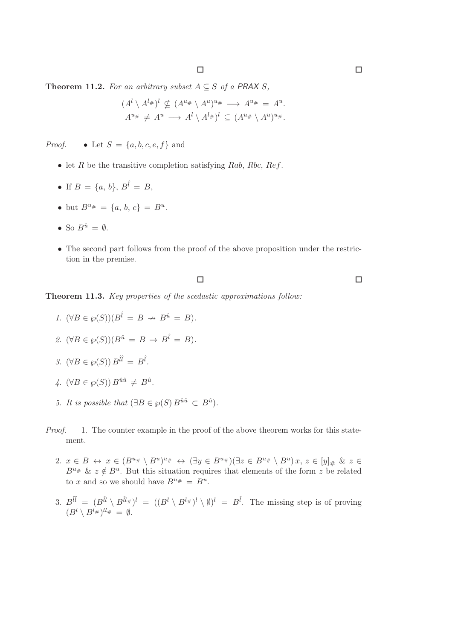Theorem 11.2. For an arbitrary subset  $A \subseteq S$  of a PRAX S,

$$
(Al \setminus Al#)l \nsubseteq (Au# \setminus Au)u# \longrightarrow Au# = Au.
$$
  

$$
Au# \neq Au \longrightarrow Al \setminus Al#)l \subseteq (Au# \setminus Au)u#.
$$

*Proof.* • Let  $S = \{a, b, c, e, f\}$  and

- let  $R$  be the transitive completion satisfying  $Rab$ ,  $Rbc$ ,  $Ref$ .
- If  $B = \{a, b\}, B^{\hat{i}} = B$ ,
- but  $B^{u_{\#}} = \{a, b, c\} = B^{u}$ .
- So  $B^{\hat{u}} = \emptyset$ .
- The second part follows from the proof of the above proposition under the restriction in the premise.

 $\Box$ 

Theorem 11.3. Key properties of the scedastic approximations follow:

- 1.  $(\forall B \in \wp(S))(B^{\hat{i}} = B \rightarrow B^{\hat{u}} = B).$
- 2.  $(\forall B \in \wp(S))(B^{\hat{u}} = B \rightarrow B^{\hat{l}} = B).$
- 3.  $(\forall B \in \wp(S)) B^{l\hat{l}} = B^{\hat{l}}$ .
- $\psi_+$ .  $(\forall B \in \wp(S)) B^{\hat{u}\hat{u}} \neq B^{\hat{u}}$ .
- 5. It is possible that  $(\exists B \in \wp(S) B^{\hat{u}\hat{u}} \subset B^{\hat{u}})$ .
- Proof. 1. The counter example in the proof of the above theorem works for this statement.
	- 2.  $x \in B \leftrightarrow x \in (B^{u_{\#}} \setminus B^{u})^{u_{\#}} \leftrightarrow (\exists y \in B^{u_{\#}})(\exists z \in B^{u_{\#}} \setminus B^{u}) x, z \in [y]_{\#} \& z \in$  $B^{u_{\#}}$  &  $z \notin B^{u}$ . But this situation requires that elements of the form z be related to x and so we should have  $B^{u_{\#}} = B^u$ .
	- 3.  $B^{i\hat{l}} = (B^{i\hat{l}} \setminus B^{i\hat{l}\#})^l = ((B^l \setminus B^{l\#})^l \setminus \emptyset)^l = B^{\hat{l}}$ . The missing step is of proving  $(B^l \setminus B^{l_\#})^{ll_\#} = \emptyset.$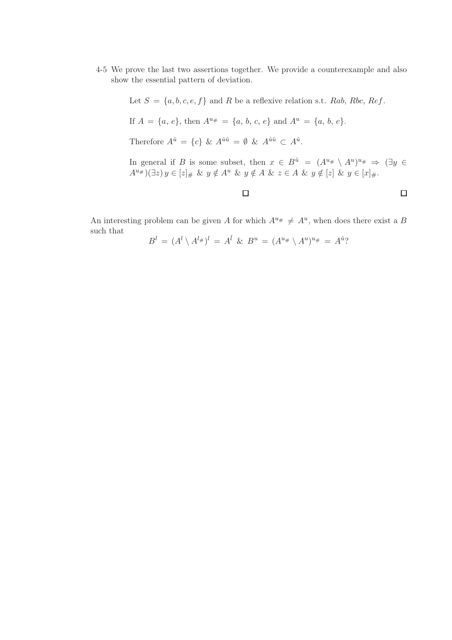4-5 We prove the last two assertions together. We provide a counterexample and also show the essential pattern of deviation.

Let  $S = \{a, b, c, e, f\}$  and R be a reflexive relation s.t. Rab, Rbc, Ref.

If 
$$
A = \{a, e\}
$$
, then  $A^{u_{\#}} = \{a, b, c, e\}$  and  $A^{u} = \{a, b, e\}$ .

Therefore  $A^{\hat{u}} = \{c\} \& A^{\hat{u}\hat{u}} = \emptyset \& A^{\hat{u}\hat{u}} \subset A^{\hat{u}}$ .

In general if B is some subset, then  $x \in B^{\hat{u}} = (A^{u_{\#}} \setminus A^{u})^{u_{\#}} \Rightarrow (\exists y \in A^{u_{\#}} \setminus A^{u_{\#}})$  $A^{u_{\#}})(\exists z) y \in [z]_{\#} \& y \notin A^{u} \& y \notin A \& z \in A \& y \notin [z] \& y \in [x]_{\#}.$ 

 $\Box$ 

An interesting problem can be given A for which  $A^{u_{\#}} \neq A^{u}$ , when does there exist a B such that

$$
B^{l} = (A^{l} \setminus A^{l_{\#}})^{l} = A^{\hat{l}} \& B^{u} = (A^{u_{\#}} \setminus A^{u})^{u_{\#}} = A^{\hat{u}}?
$$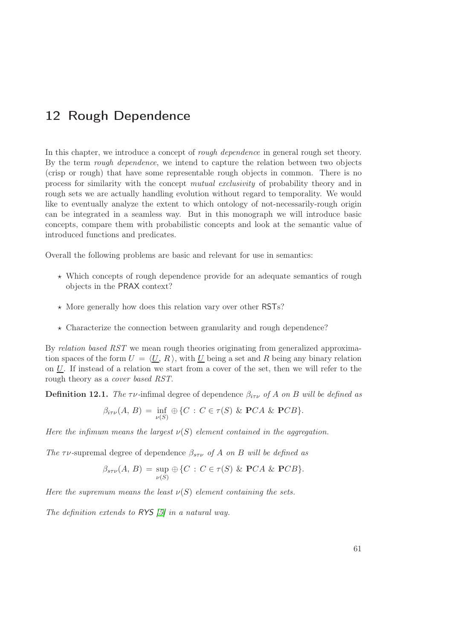# <span id="page-66-0"></span>12 Rough Dependence

In this chapter, we introduce a concept of *rough dependence* in general rough set theory. By the term *rough dependence*, we intend to capture the relation between two objects (crisp or rough) that have some representable rough objects in common. There is no process for similarity with the concept mutual exclusivity of probability theory and in rough sets we are actually handling evolution without regard to temporality. We would like to eventually analyze the extent to which ontology of not-necessarily-rough origin can be integrated in a seamless way. But in this monograph we will introduce basic concepts, compare them with probabilistic concepts and look at the semantic value of introduced functions and predicates.

Overall the following problems are basic and relevant for use in semantics:

- $\star$  Which concepts of rough dependence provide for an adequate semantics of rough objects in the PRAX context?
- $\star$  More generally how does this relation vary over other RSTs?
- $\star$  Characterize the connection between granularity and rough dependence?

By relation based RST we mean rough theories originating from generalized approximation spaces of the form  $U = \langle U, R \rangle$ , with U being a set and R being any binary relation on  $U$ . If instead of a relation we start from a cover of the set, then we will refer to the rough theory as a cover based RST.

**Definition 12.1.** The  $\tau \nu$ -infimal degree of dependence  $\beta_{i\tau \nu}$  of A on B will be defined as

$$
\beta_{i\tau\nu}(A, B) = \inf_{\nu(S)} \oplus \{C : C \in \tau(S) \& \mathbf{PC}A \& \mathbf{PC}B\}.
$$

Here the infimum means the largest  $\nu(S)$  element contained in the aggregation.

The  $\tau \nu$ -supremal degree of dependence  $\beta_{s\tau \nu}$  of A on B will be defined as

$$
\beta_{s\tau\nu}(A, B) = \sup_{\nu(S)} \oplus \{C : C \in \tau(S) \& \mathbf{PC}A \& \mathbf{PC}B\}.
$$

Here the supremum means the least  $\nu(S)$  element containing the sets.

The definition extends to RYS [\[5\]](#page-86-4) in a natural way.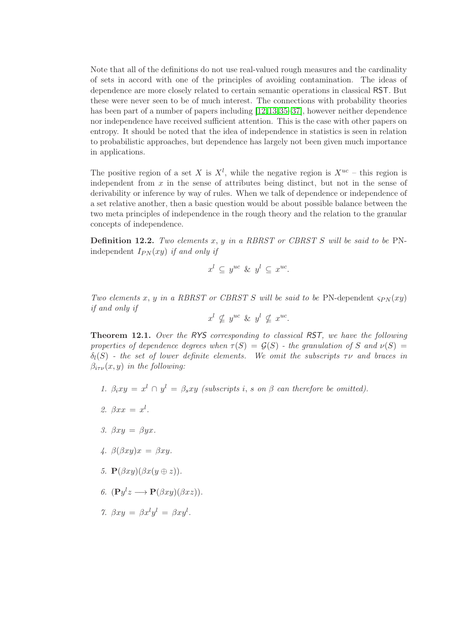Note that all of the definitions do not use real-valued rough measures and the cardinality of sets in accord with one of the principles of avoiding contamination. The ideas of dependence are more closely related to certain semantic operations in classical RST. But these were never seen to be of much interest. The connections with probability theories has been part of a number of papers including [\[12,](#page-87-0)[13,](#page-87-1)[35](#page-88-2)[–37\]](#page-88-3), however neither dependence nor independence have received sufficient attention. This is the case with other papers on entropy. It should be noted that the idea of independence in statistics is seen in relation to probabilistic approaches, but dependence has largely not been given much importance in applications.

The positive region of a set X is  $X^l$ , while the negative region is  $X^{uc}$  – this region is independent from  $x$  in the sense of attributes being distinct, but not in the sense of derivability or inference by way of rules. When we talk of dependence or independence of a set relative another, then a basic question would be about possible balance between the two meta principles of independence in the rough theory and the relation to the granular concepts of independence.

**Definition 12.2.** Two elements  $x, y$  in a RBRST or CBRST S will be said to be PNindependent  $I_{PN}(xy)$  if and only if

$$
x^l \subseteq y^{uc} \& y^l \subseteq x^{uc}.
$$

Two elements x, y in a RBRST or CBRST S will be said to be PN-dependent  $\varsigma_{PN}(xy)$ if and only if

$$
x^l \nsubseteq y^{uc} \& y^l \nsubseteq x^{uc}.
$$

Theorem 12.1. Over the RYS corresponding to classical RST, we have the following properties of dependence degrees when  $\tau(S) = \mathcal{G}(S)$  - the granulation of S and  $\nu(S)$  =  $\delta_l(S)$  - the set of lower definite elements. We omit the subscripts  $\tau \nu$  and braces in  $\beta_{i\tau\nu}(x, y)$  in the following:

- 1.  $\beta_i xy = x^l \cap y^l = \beta_s xy$  (subscripts i, s on  $\beta$  can therefore be omitted).
- 2.  $\beta xx = x^l$ .
- 3.  $\beta xy = \beta yx$ .
- 4.  $\beta(\beta xy)x = \beta xy$ .
- 5.  $\mathbf{P}(\beta xy)(\beta x(y \oplus z)).$
- 6.  $(\mathbf{P}y^l z \longrightarrow \mathbf{P}(\beta xy)(\beta xz)).$
- 7.  $\beta xy = \beta x^l y^l = \beta xy^l$ .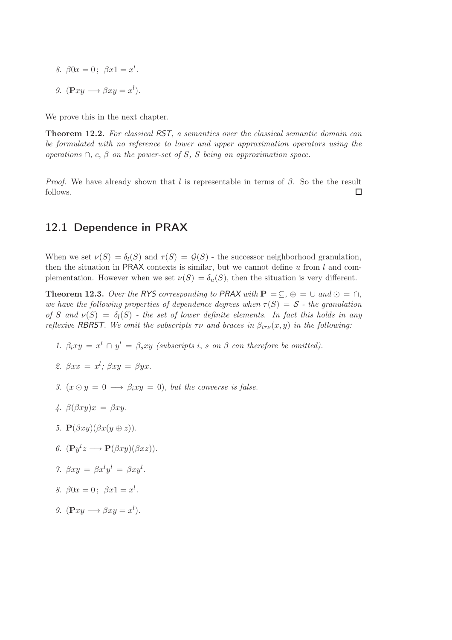- 8.  $\beta 0x = 0$ ;  $\beta x1 = x^l$ .
- 9.  $(\mathbf{P} xy \longrightarrow \beta xy = x^l).$

We prove this in the next chapter.

Theorem 12.2. For classical RST, a semantics over the classical semantic domain can be formulated with no reference to lower and upper approximation operators using the operations  $\cap$ , c,  $\beta$  on the power-set of S, S being an approximation space.

*Proof.* We have already shown that l is representable in terms of  $\beta$ . So the the result follows.  $\Box$ 

## 12.1 Dependence in PRAX

When we set  $\nu(S) = \delta_l(S)$  and  $\tau(S) = \mathcal{G}(S)$  - the successor neighborhood granulation, then the situation in PRAX contexts is similar, but we cannot define  $u$  from  $l$  and complementation. However when we set  $\nu(S) = \delta_u(S)$ , then the situation is very different.

<span id="page-68-0"></span>**Theorem 12.3.** Over the RYS corresponding to PRAX with  $P = \subseteq$ ,  $\oplus = \cup$  and  $\odot = \cap$ , we have the following properties of dependence degrees when  $\tau(S) = S$  - the granulation of S and  $\nu(S) = \delta_l(S)$  - the set of lower definite elements. In fact this holds in any reflexive RBRST. We omit the subscripts  $\tau \nu$  and braces in  $\beta_{i\tau \nu}(x, y)$  in the following:

- 1.  $\beta_i xy = x^l \cap y^l = \beta_s xy$  (subscripts i, s on  $\beta$  can therefore be omitted).
- 2.  $\beta xx = x^l$ ;  $\beta xy = \beta yx$ .
- 3.  $(x \odot y = 0 \rightarrow \beta_i xy = 0)$ , but the converse is false.
- 4.  $\beta(\beta xy)x = \beta xy$ .
- 5.  $\mathbf{P}(\beta xy)(\beta x(y \oplus z)).$
- 6.  $(\mathbf{P}y^l z \longrightarrow \mathbf{P}(\beta xy)(\beta xz)).$
- 7.  $\beta xy = \beta x^l y^l = \beta xy^l$ .
- 8.  $\beta 0x = 0$ ;  $\beta x1 = x^l$ .
- 9.  $(\mathbf{P} xy \longrightarrow \beta xy = x^l).$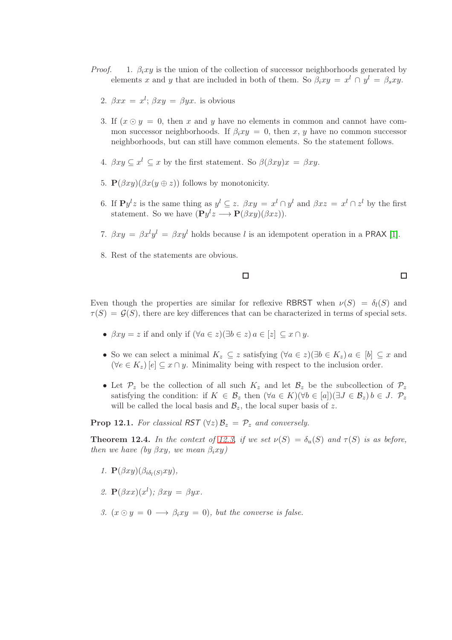- *Proof.* 1.  $\beta_i xy$  is the union of the collection of successor neighborhoods generated by elements x and y that are included in both of them. So  $\beta_i xy = x^l \cap y^l = \beta_s xy$ .
	- 2.  $\beta xx = x^l$ ;  $\beta xy = \beta yx$ . is obvious
	- 3. If  $(x \odot y = 0$ , then x and y have no elements in common and cannot have common successor neighborhoods. If  $\beta_i x y = 0$ , then x, y have no common successor neighborhoods, but can still have common elements. So the statement follows.
	- 4.  $\beta xy \subseteq x^l \subseteq x$  by the first statement. So  $\beta(\beta xy)x = \beta xy$ .
	- 5.  $\mathbf{P}(\beta xy)(\beta x(y \oplus z))$  follows by monotonicity.
	- 6. If  $\mathbf{P}y^l z$  is the same thing as  $y^l \subseteq z$ .  $\beta xy = x^l \cap y^l$  and  $\beta xz = x^l \cap z^l$  by the first statement. So we have  $(\mathbf{P}y^l z \longrightarrow \mathbf{P}(\beta xy)(\beta xz)).$
	- 7.  $\beta xy = \beta x^{l}y^{l} = \beta xy^{l}$  holds because l is an idempotent operation in a PRAX [\[1\]](#page-86-5).
	- 8. Rest of the statements are obvious.

### $\Box$

 $\Box$ 

Even though the properties are similar for reflexive RBRST when  $\nu(S) = \delta_l(S)$  and  $\tau(S) = \mathcal{G}(S)$ , there are key differences that can be characterized in terms of special sets.

- $\beta xy = z$  if and only if  $(\forall a \in z)(\exists b \in z) \land a \in [z] \subseteq x \cap y$ .
- So we can select a minimal  $K_z \subseteq z$  satisfying  $(\forall a \in z)(\exists b \in K_z)$   $a \in [b] \subseteq x$  and  $(\forall e \in K_z) [e] \subseteq x \cap y$ . Minimality being with respect to the inclusion order.
- Let  $\mathcal{P}_z$  be the collection of all such  $K_z$  and let  $\mathcal{B}_z$  be the subcollection of  $\mathcal{P}_z$ satisfying the condition: if  $K \in \mathcal{B}_z$  then  $(\forall a \in K)(\forall b \in [a])(\exists J \in \mathcal{B}_z) b \in J$ .  $\mathcal{P}_z$ will be called the local basis and  $\mathcal{B}_z$ , the local super basis of z.

**Prop 12.1.** For classical RST  $(\forall z)$   $\mathcal{B}_z = \mathcal{P}_z$  and conversely.

**Theorem 12.4.** In the context of [12.3,](#page-68-0) if we set  $\nu(S) = \delta_u(S)$  and  $\tau(S)$  is as before, then we have (by  $\beta xy$ , we mean  $\beta_i xy$ )

- 1.  $\mathbf{P}(\beta xy)(\beta_{i\delta_i(S)}xy),$
- 2.  $\mathbf{P}(\beta xx)(x^{l}); \beta xy = \beta yx.$
- 3.  $(x \odot y = 0 \rightarrow \beta_i xy = 0)$ , but the converse is false.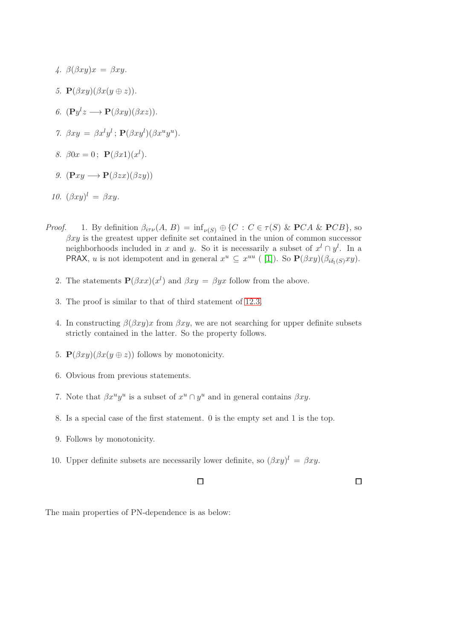- 4.  $\beta(\beta xy)x = \beta xy$ .
- 5.  $\mathbf{P}(\beta xy)(\beta x(y \oplus z)).$
- 6.  $(\mathbf{P}y^l z \longrightarrow \mathbf{P}(\beta xy)(\beta xz)).$
- 7.  $\beta xy = \beta x^l y^l$ ;  $\mathbf{P}(\beta xy^l)(\beta x^u y^u)$ .
- 8.  $\beta 0x = 0; \ \mathbf{P}(\beta x1)(x^{l}).$
- 9.  $(\mathbf{P} xy \longrightarrow \mathbf{P}(\beta zx)(\beta zy))$

10. 
$$
(\beta xy)^l = \beta xy.
$$

- *Proof.* 1. By definition  $\beta_{i\tau\nu}(A, B) = \inf_{\nu(S)} \oplus \{C : C \in \tau(S) \& PCA \& PCB\}$ , so  $\beta xy$  is the greatest upper definite set contained in the union of common successor neighborhoods included in x and y. So it is necessarily a subset of  $x^l \nightharpoonup y^l$ . In a **PRAX**, u is not idempotent and in general  $x^u \subseteq x^{uu}$  ([1]). So  $\mathbf{P}(\beta xy)(\beta_{i\delta_i(S)}xy)$ .
	- 2. The statements  $\mathbf{P}(\beta xx)(x^l)$  and  $\beta xy = \beta yx$  follow from the above.
	- 3. The proof is similar to that of third statement of [12.3.](#page-68-0)
	- 4. In constructing  $\beta(\beta xy)x$  from  $\beta xy$ , we are not searching for upper definite subsets strictly contained in the latter. So the property follows.
	- 5.  $\mathbf{P}(\beta xy)(\beta x(y \oplus z))$  follows by monotonicity.
	- 6. Obvious from previous statements.
	- 7. Note that  $\beta x^u y^u$  is a subset of  $x^u \cap y^u$  and in general contains  $\beta xy$ .
	- 8. Is a special case of the first statement. 0 is the empty set and 1 is the top.
	- 9. Follows by monotonicity.
	- 10. Upper definite subsets are necessarily lower definite, so  $(\beta xy)^l = \beta xy$ .

 $\Box$ 

 $\Box$ 

The main properties of PN-dependence is as below: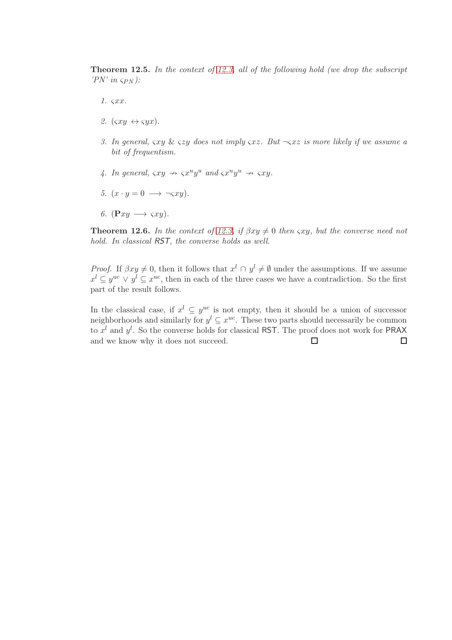**Theorem 12.5.** In the context of [12.3,](#page-68-0) all of the following hold (we drop the subscript 'PN' in  $\varsigma_{PN}$ ):

- 1. ςxx.
- 2.  $(\varsigma xy \leftrightarrow \varsigma yx)$ .
- 3. In general,  $\zeta xy \& \zeta zy$  does not imply  $\zeta xz$ . But  $\neg \zeta xz$  is more likely if we assume a bit of frequentism.
- 4. In general,  $\varsigma xy \rightarrow \varsigma x^u y^u$  and  $\varsigma x^u y^u \rightarrow \varsigma xy$ .
- 5.  $(x \cdot y = 0 \rightarrow \neg \varsigma xy).$
- 6.  $(\mathbf{P} xy \rightarrow \varsigma xy)$ .

**Theorem 12.6.** In the context of [12.3,](#page-68-0) if  $\beta xy \neq 0$  then  $\gamma xy$ , but the converse need not hold. In classical RST, the converse holds as well.

*Proof.* If  $\beta xy \neq 0$ , then it follows that  $x^l \cap y^l \neq \emptyset$  under the assumptions. If we assume  $x^{l} \subseteq y^{uc} \lor y^{l} \subseteq x^{uc}$ , then in each of the three cases we have a contradiction. So the first part of the result follows.

In the classical case, if  $x^l \subseteq y^{uc}$  is not empty, then it should be a union of successor neighborhoods and similarly for  $y^l \subseteq x^{uc}$ . These two parts should necessarily be common to  $x^l$  and  $y^l$ . So the converse holds for classical RST. The proof does not work for PRAX and we know why it does not succeed. $\Box$  $\Box$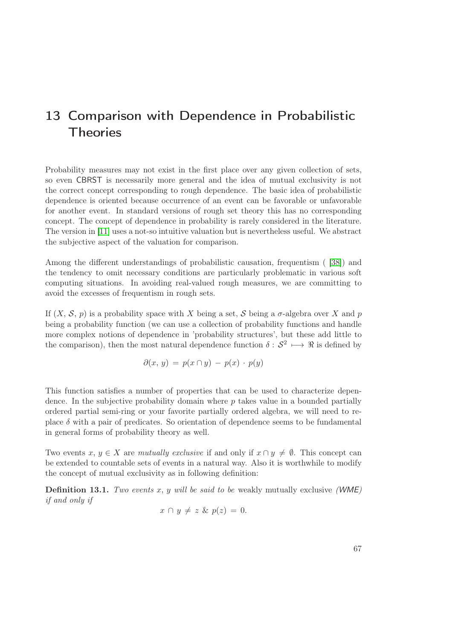## 13 Comparison with Dependence in Probabilistic **Theories**

Probability measures may not exist in the first place over any given collection of sets, so even CBRST is necessarily more general and the idea of mutual exclusivity is not the correct concept corresponding to rough dependence. The basic idea of probabilistic dependence is oriented because occurrence of an event can be favorable or unfavorable for another event. In standard versions of rough set theory this has no corresponding concept. The concept of dependence in probability is rarely considered in the literature. The version in [\[11\]](#page-87-0) uses a not-so intuitive valuation but is nevertheless useful. We abstract the subjective aspect of the valuation for comparison.

Among the different understandings of probabilistic causation, frequentism ( [\[38\]](#page-88-0)) and the tendency to omit necessary conditions are particularly problematic in various soft computing situations. In avoiding real-valued rough measures, we are committing to avoid the excesses of frequentism in rough sets.

If  $(X, \mathcal{S}, p)$  is a probability space with X being a set, S being a  $\sigma$ -algebra over X and p being a probability function (we can use a collection of probability functions and handle more complex notions of dependence in 'probability structures', but these add little to the comparison), then the most natural dependence function  $\delta: S^2 \longrightarrow \Re$  is defined by

$$
\partial(x, y) = p(x \cap y) - p(x) \cdot p(y)
$$

This function satisfies a number of properties that can be used to characterize dependence. In the subjective probability domain where p takes value in a bounded partially ordered partial semi-ring or your favorite partially ordered algebra, we will need to replace  $\delta$  with a pair of predicates. So orientation of dependence seems to be fundamental in general forms of probability theory as well.

Two events  $x, y \in X$  are mutually exclusive if and only if  $x \cap y \neq \emptyset$ . This concept can be extended to countable sets of events in a natural way. Also it is worthwhile to modify the concept of mutual exclusivity as in following definition:

**Definition 13.1.** Two events  $x, y$  will be said to be weakly mutually exclusive (WME) if and only if

$$
x \cap y \neq z \& p(z) = 0.
$$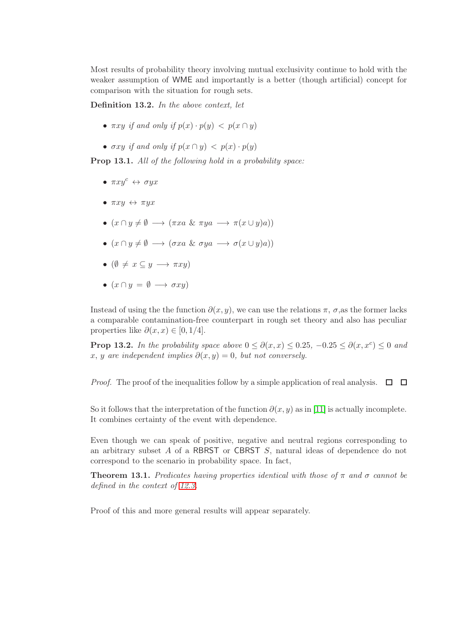Most results of probability theory involving mutual exclusivity continue to hold with the weaker assumption of WME and importantly is a better (though artificial) concept for comparison with the situation for rough sets.

Definition 13.2. In the above context, let

- $\pi x y$  if and only if  $p(x) \cdot p(y) < p(x \cap y)$
- $\sigma xy$  if and only if  $p(x \cap y) < p(x) \cdot p(y)$

Prop 13.1. All of the following hold in a probability space:

- $\pi x y^c \leftrightarrow \sigma y x^c$
- $\pi xy \leftrightarrow \pi y x$
- $(x \cap y \neq \emptyset \longrightarrow (\pi x a \& \pi y a \longrightarrow \pi (x \cup y) a))$
- $(x \cap y \neq \emptyset \longrightarrow (\sigma x a \& \sigma y a \longrightarrow \sigma (x \cup y) a))$
- $(\emptyset \neq x \subseteq y \longrightarrow \pi x y)$
- $(x \cap y = \emptyset \longrightarrow \sigma xy)$

Instead of using the the function  $\partial(x, y)$ , we can use the relations  $\pi$ ,  $\sigma$ , as the former lacks a comparable contamination-free counterpart in rough set theory and also has peculiar properties like  $\partial(x, x) \in [0, 1/4]$ .

**Prop 13.2.** In the probability space above  $0 \le \partial(x, x) \le 0.25$ ,  $-0.25 \le \partial(x, x^c) \le 0$  and x, y are independent implies  $\partial(x, y) = 0$ , but not conversely.

*Proof.* The proof of the inequalities follow by a simple application of real analysis.  $\Box$   $\Box$ 

So it follows that the interpretation of the function  $\partial(x, y)$  as in [\[11\]](#page-87-0) is actually incomplete. It combines certainty of the event with dependence.

Even though we can speak of positive, negative and neutral regions corresponding to an arbitrary subset A of a RBRST or CBRST S, natural ideas of dependence do not correspond to the scenario in probability space. In fact,

**Theorem 13.1.** Predicates having properties identical with those of  $\pi$  and  $\sigma$  cannot be defined in the context of [12.3.](#page-68-0)

Proof of this and more general results will appear separately.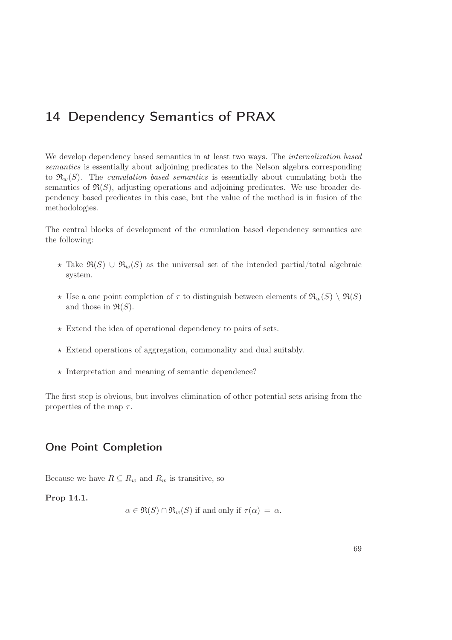# 14 Dependency Semantics of PRAX

We develop dependency based semantics in at least two ways. The *internalization based* semantics is essentially about adjoining predicates to the Nelson algebra corresponding to  $\mathfrak{R}_w(S)$ . The cumulation based semantics is essentially about cumulating both the semantics of  $\mathfrak{R}(S)$ , adjusting operations and adjoining predicates. We use broader dependency based predicates in this case, but the value of the method is in fusion of the methodologies.

The central blocks of development of the cumulation based dependency semantics are the following:

- $\star$  Take  $\Re(S) \cup \Re_w(S)$  as the universal set of the intended partial/total algebraic system.
- $\star$  Use a one point completion of  $\tau$  to distinguish between elements of  $\mathfrak{R}_w(S) \setminus \mathfrak{R}(S)$ and those in  $\mathfrak{R}(S)$ .
- $\star$  Extend the idea of operational dependency to pairs of sets.
- $\star$  Extend operations of aggregation, commonality and dual suitably.
- $\star$  Interpretation and meaning of semantic dependence?

The first step is obvious, but involves elimination of other potential sets arising from the properties of the map  $\tau$ .

### One Point Completion

Because we have  $R \subseteq R_w$  and  $R_w$  is transitive, so

Prop 14.1.

$$
\alpha \in \mathfrak{R}(S) \cap \mathfrak{R}_w(S)
$$
 if and only if  $\tau(\alpha) = \alpha$ .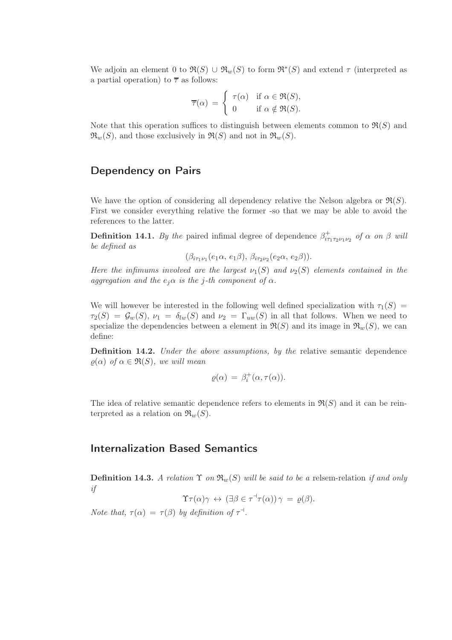We adjoin an element 0 to  $\Re(S) \cup \Re_w(S)$  to form  $\Re^*(S)$  and extend  $\tau$  (interpreted as a partial operation) to  $\bar{\tau}$  as follows:

$$
\overline{\tau}(\alpha) = \begin{cases} \tau(\alpha) & \text{if } \alpha \in \Re(S), \\ 0 & \text{if } \alpha \notin \Re(S). \end{cases}
$$

Note that this operation suffices to distinguish between elements common to  $\mathfrak{R}(S)$  and  $\mathfrak{R}_w(S)$ , and those exclusively in  $\mathfrak{R}(S)$  and not in  $\mathfrak{R}_w(S)$ .

### Dependency on Pairs

We have the option of considering all dependency relative the Nelson algebra or  $\mathfrak{R}(S)$ . First we consider everything relative the former -so that we may be able to avoid the references to the latter.

**Definition 14.1.** By the paired infimal degree of dependence  $\beta^+_{i\tau_1\tau_2\nu_1\nu_2}$  of  $\alpha$  on  $\beta$  will be defined as

 $(\beta_{i\tau_1\nu_1}(e_1\alpha, e_1\beta), \beta_{i\tau_2\nu_2}(e_2\alpha, e_2\beta)).$ 

Here the infimums involved are the largest  $\nu_1(S)$  and  $\nu_2(S)$  elements contained in the aggregation and the  $e_i\alpha$  is the j-th component of  $\alpha$ .

We will however be interested in the following well defined specialization with  $\tau_1(S)$  =  $\tau_2(S) = \mathcal{G}_w(S), \nu_1 = \delta_{lw}(S)$  and  $\nu_2 = \Gamma_{uw}(S)$  in all that follows. When we need to specialize the dependencies between a element in  $\Re(S)$  and its image in  $\Re_w(S)$ , we can define:

**Definition 14.2.** Under the above assumptions, by the relative semantic dependence  $\rho(\alpha)$  of  $\alpha \in \mathfrak{R}(S)$ , we will mean

$$
\varrho(\alpha) = \beta_i^+(\alpha, \tau(\alpha)).
$$

The idea of relative semantic dependence refers to elements in  $\mathfrak{R}(S)$  and it can be reinterpreted as a relation on  $\mathfrak{R}_w(S)$ .

### Internalization Based Semantics

**Definition 14.3.** A relation  $\Upsilon$  on  $\mathfrak{R}_w(S)$  will be said to be a relsem-relation if and only if

$$
\Upsilon \tau(\alpha) \gamma \leftrightarrow (\exists \beta \in \tau^{\dashv} \tau(\alpha)) \gamma = \varrho(\beta).
$$

Note that,  $\tau(\alpha) = \tau(\beta)$  by definition of  $\tau^{\dashv}$ .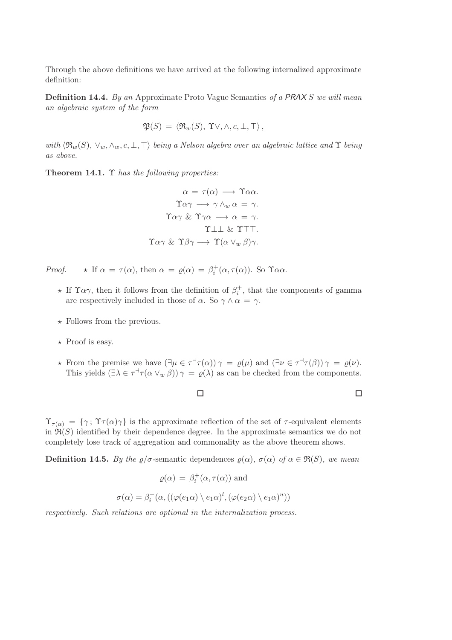Through the above definitions we have arrived at the following internalized approximate definition:

**Definition 14.4.** By an Approximate Proto Vague Semantics of a PRAX S we will mean an algebraic system of the form

$$
\mathfrak{P}(S) = \langle \mathfrak{R}_w(S), \Upsilon \vee, \wedge, c, \bot, \top \rangle,
$$

with  $\langle \mathfrak{R}_w(S), \vee_w, \wedge_w, c, \perp, \perp \rangle$  being a Nelson algebra over an algebraic lattice and  $\Upsilon$  being as above.

Theorem 14.1. Υ has the following properties:

$$
\alpha = \tau(\alpha) \longrightarrow \Upsilon \alpha \alpha.
$$

$$
\Upsilon \alpha \gamma \longrightarrow \gamma \wedge_w \alpha = \gamma.
$$

$$
\Upsilon \alpha \gamma \& \Upsilon \gamma \alpha \longrightarrow \alpha = \gamma.
$$

$$
\Upsilon \perp \perp \& \Upsilon \top \top.
$$

$$
\Upsilon \alpha \gamma \& \Upsilon \beta \gamma \longrightarrow \Upsilon(\alpha \vee_w \beta) \gamma.
$$

Proof.  $\star$  If  $\alpha = \tau(\alpha)$ , then  $\alpha = \varrho(\alpha) = \beta_i^+(\alpha, \tau(\alpha))$ . So  $\Upsilon \alpha \alpha$ .

- $\star$  If  $\Upsilon \alpha \gamma$ , then it follows from the definition of  $\beta_i^+$ , that the components of gamma are respectively included in those of  $\alpha$ . So  $\gamma \wedge \alpha = \gamma$ .
- $\star$  Follows from the previous.

 $\sigma$ 

- $\star$  Proof is easy.
- **★** From the premise we have  $(\exists \mu \in \tau^{\dagger} \tau(\alpha))$   $\gamma = \varrho(\mu)$  and  $(\exists \nu \in \tau^{\dagger} \tau(\beta))$   $\gamma = \varrho(\nu)$ . This yields  $(\exists \lambda \in \tau^{\neg} \tau(\alpha \vee_w \beta))$   $\gamma = \varrho(\lambda)$  as can be checked from the components.

 $\Box$ 

 $\Box$ 

 $\Upsilon_{\tau(\alpha)} = {\gamma; \Upsilon_{\tau(\alpha)}\gamma}$  is the approximate reflection of the set of  $\tau$ -equivalent elements in  $\mathfrak{R}(S)$  identified by their dependence degree. In the approximate semantics we do not completely lose track of aggregation and commonality as the above theorem shows.

**Definition 14.5.** By the  $\varrho/\sigma$ -semantic dependences  $\varrho(\alpha)$ ,  $\sigma(\alpha)$  of  $\alpha \in \mathfrak{R}(S)$ , we mean

$$
\varrho(\alpha) = \beta_i^+(\alpha, \tau(\alpha)) \text{ and}
$$

$$
(\alpha) = \beta_i^+(\alpha, ((\varphi(e_1\alpha) \setminus e_1\alpha)^l, (\varphi(e_2\alpha) \setminus e_1\alpha)^u))
$$

respectively. Such relations are optional in the internalization process.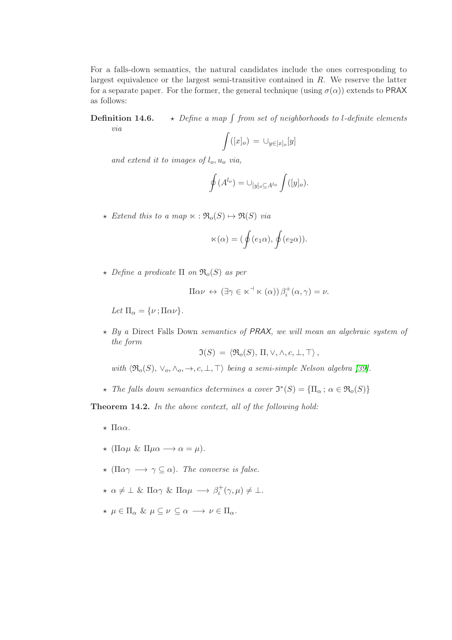For a falls-down semantics, the natural candidates include the ones corresponding to largest equivalence or the largest semi-transitive contained in R. We reserve the latter for a separate paper. For the former, the general technique (using  $\sigma(\alpha)$ ) extends to PRAX as follows:

**Definition 14.6.**  $\rightarrow$  *Define a map*  $\int$  from set of neighborhoods to l-definite elements via

$$
\int ([x]_o) = \cup_{y \in [x]_o}[y]
$$

and extend it to images of  $l_0$ ,  $u_0$  via,

$$
\oint (A^{l_o}) = \cup_{[y]_o \subseteq A^{l_o}} \int ([y]_o).
$$

 $\star$  Extend this to a map  $\ltimes : \mathfrak{R}_o(S) \mapsto \mathfrak{R}(S)$  via

$$
\ltimes(\alpha)=(\oint(e_1\alpha),\oint(e_2\alpha)).
$$

 $\star$  Define a predicate  $\Pi$  on  $\mathfrak{R}_o(S)$  as per

$$
\Pi \alpha \nu \leftrightarrow (\exists \gamma \in \kappa^{\dashv} \kappa (\alpha)) \beta_i^+(\alpha, \gamma) = \nu.
$$

Let  $\Pi_{\alpha} = {\nu; \Pi \alpha \nu}.$ 

 $\star$  By a Direct Falls Down semantics of PRAX, we will mean an algebraic system of the form

$$
\mathfrak{I}(S) = \langle \mathfrak{R}_{o}(S), \Pi, \vee, \wedge, c, \bot, \top \rangle ,
$$

with  $\langle \mathfrak{R}_{o}(S), \vee_{o}, \wedge_{o}, \rightarrow, c, \perp, \top \rangle$  being a semi-simple Nelson algebra [\[39\]](#page-89-0).

 $\star$  The falls down semantics determines a cover  $\mathfrak{I}^*(S) = {\Pi_\alpha; \alpha \in \mathfrak{R}_o(S)}$ 

Theorem 14.2. In the above context, all of the following hold:

- $\star$  Παα.
- $\star$  (Παμ & Πμα  $\longrightarrow$  α = μ).
- $\star$  (Παγ  $\longrightarrow$   $\gamma \subseteq \alpha$ ). The converse is false.
- $\star \alpha \neq \bot \& \Pi \alpha \gamma \& \Pi \alpha \mu \rightarrow \beta_i^+(\gamma, \mu) \neq \bot.$
- $\star \mu \in \Pi_{\alpha} \& \mu \subseteq \nu \subseteq \alpha \longrightarrow \nu \in \Pi_{\alpha}.$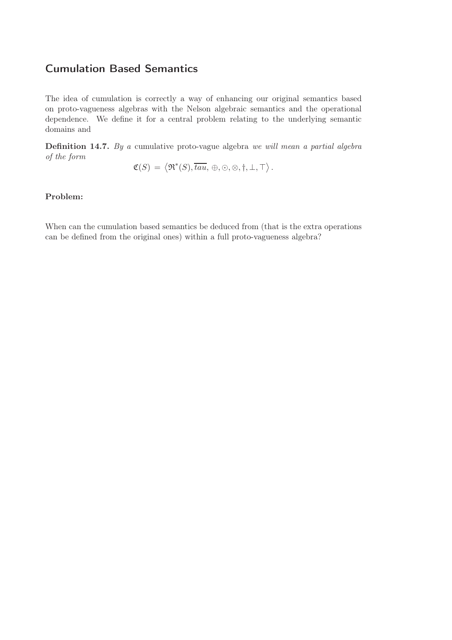### Cumulation Based Semantics

The idea of cumulation is correctly a way of enhancing our original semantics based on proto-vagueness algebras with the Nelson algebraic semantics and the operational dependence. We define it for a central problem relating to the underlying semantic domains and

Definition 14.7. By a cumulative proto-vague algebra we will mean a partial algebra of the form

$$
\mathfrak{C}(S) = \langle \mathfrak{R}^*(S), \overline{tau}, \oplus, \odot, \otimes, \dagger, \bot, \top \rangle.
$$

#### Problem:

When can the cumulation based semantics be deduced from (that is the extra operations can be defined from the original ones) within a full proto-vagueness algebra?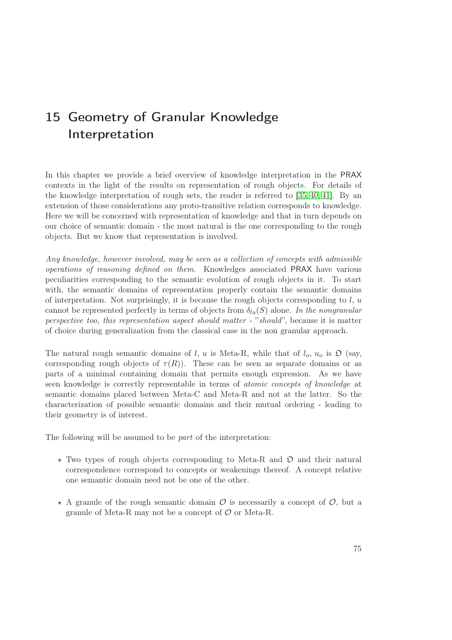# 15 Geometry of Granular Knowledge Interpretation

In this chapter we provide a brief overview of knowledge interpretation in the PRAX contexts in the light of the results on representation of rough objects. For details of the knowledge interpretation of rough sets, the reader is referred to [\[35,](#page-88-1) [40,](#page-89-1) [41\]](#page-89-2). By an extension of those considerations any proto-transitive relation corresponds to knowledge. Here we will be concerned with representation of knowledge and that in turn depends on our choice of semantic domain - the most natural is the one corresponding to the rough objects. But we know that representation is involved.

Any knowledge, however involved, may be seen as a collection of concepts with admissible operations of reasoning defined on them. Knowledges associated PRAX have various peculiarities corresponding to the semantic evolution of rough objects in it. To start with, the semantic domains of representation properly contain the semantic domains of interpretation. Not surprisingly, it is because the rough objects corresponding to  $l, u$ cannot be represented perfectly in terms of objects from  $\delta_{lu}(S)$  alone. In the nongranular perspective too, this representation aspect should matter - "should", because it is matter of choice during generalization from the classical case in the non granular approach.

The natural rough semantic domains of l, u is Meta-R, while that of  $l_0$ ,  $u_0$  is  $\mathfrak{O}$  (say, corresponding rough objects of  $\tau(R)$ ). These can be seen as separate domains or as parts of a minimal containing domain that permits enough expression. As we have seen knowledge is correctly representable in terms of atomic concepts of knowledge at semantic domains placed between Meta-C and Meta-R and not at the latter. So the characterization of possible semantic domains and their mutual ordering - leading to their geometry is of interest.

The following will be assumed to be part of the interpretation:

- $\star$  Two types of rough objects corresponding to Meta-R and  $\mathfrak{O}$  and their natural correspondence correspond to concepts or weakenings thereof. A concept relative one semantic domain need not be one of the other.
- $\star$  A granule of the rough semantic domain  $\mathcal O$  is necessarily a concept of  $\mathcal O$ , but a granule of Meta-R may not be a concept of  $\mathcal O$  or Meta-R.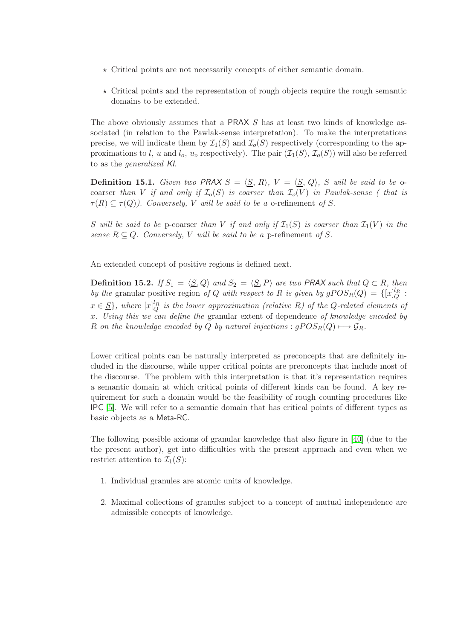- $\star$  Critical points are not necessarily concepts of either semantic domain.
- $\star$  Critical points and the representation of rough objects require the rough semantic domains to be extended.

The above obviously assumes that a PRAX S has at least two kinds of knowledge associated (in relation to the Pawlak-sense interpretation). To make the interpretations precise, we will indicate them by  $\mathcal{I}_1(S)$  and  $\mathcal{I}_0(S)$  respectively (corresponding to the approximations to l, u and  $l_o$ ,  $u_o$  respectively). The pair  $(\mathcal{I}_1(S), \mathcal{I}_o(S))$  will also be referred to as the generalized KI.

**Definition 15.1.** Given two PRAX  $S = \langle S, R \rangle$ ,  $V = \langle S, Q \rangle$ , S will be said to be ocoarser than V if and only if  $\mathcal{I}_o(S)$  is coarser than  $\mathcal{I}_o(V)$  in Pawlak-sense (that is  $\tau(R) \subseteq \tau(Q)$ ). Conversely, V will be said to be a o-refinement of S.

S will be said to be p-coarser than V if and only if  $\mathcal{I}_1(S)$  is coarser than  $\mathcal{I}_1(V)$  in the sense  $R \subseteq Q$ . Conversely, V will be said to be a p-refinement of S.

An extended concept of positive regions is defined next.

**Definition 15.2.** If  $S_1 = \langle S, Q \rangle$  and  $S_2 = \langle S, P \rangle$  are two PRAX such that  $Q \subset R$ , then by the granular positive region of Q with respect to R is given by  $gPOS_R(Q) = \{[x]_Q^{l_R}$ :  $x \in \underline{S}$ , where  $[x]_Q^{l_R}$  is the lower approximation (relative R) of the Q-related elements of x. Using this we can define the granular extent of dependence of knowledge encoded by R on the knowledge encoded by Q by natural injections :  $gPOS_R(Q) \longrightarrow \mathcal{G}_R$ .

Lower critical points can be naturally interpreted as preconcepts that are definitely included in the discourse, while upper critical points are preconcepts that include most of the discourse. The problem with this interpretation is that it's representation requires a semantic domain at which critical points of different kinds can be found. A key requirement for such a domain would be the feasibility of rough counting procedures like IPC [\[5\]](#page-86-0). We will refer to a semantic domain that has critical points of different types as basic objects as a Meta-RC.

The following possible axioms of granular knowledge that also figure in [\[40\]](#page-89-1) (due to the the present author), get into difficulties with the present approach and even when we restrict attention to  $\mathcal{I}_1(S)$ :

- 1. Individual granules are atomic units of knowledge.
- 2. Maximal collections of granules subject to a concept of mutual independence are admissible concepts of knowledge.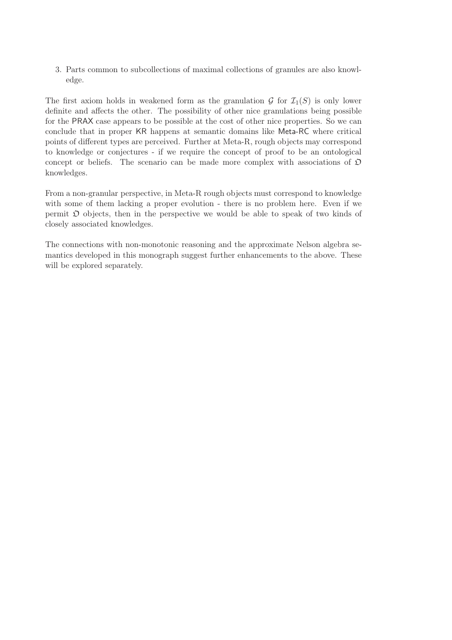3. Parts common to subcollections of maximal collections of granules are also knowledge.

The first axiom holds in weakened form as the granulation  $\mathcal G$  for  $\mathcal I_1(S)$  is only lower definite and affects the other. The possibility of other nice granulations being possible for the PRAX case appears to be possible at the cost of other nice properties. So we can conclude that in proper KR happens at semantic domains like Meta-RC where critical points of different types are perceived. Further at Meta-R, rough objects may correspond to knowledge or conjectures - if we require the concept of proof to be an ontological concept or beliefs. The scenario can be made more complex with associations of  $\mathfrak D$ knowledges.

From a non-granular perspective, in Meta-R rough objects must correspond to knowledge with some of them lacking a proper evolution - there is no problem here. Even if we permit  $\mathfrak D$  objects, then in the perspective we would be able to speak of two kinds of closely associated knowledges.

The connections with non-monotonic reasoning and the approximate Nelson algebra semantics developed in this monograph suggest further enhancements to the above. These will be explored separately.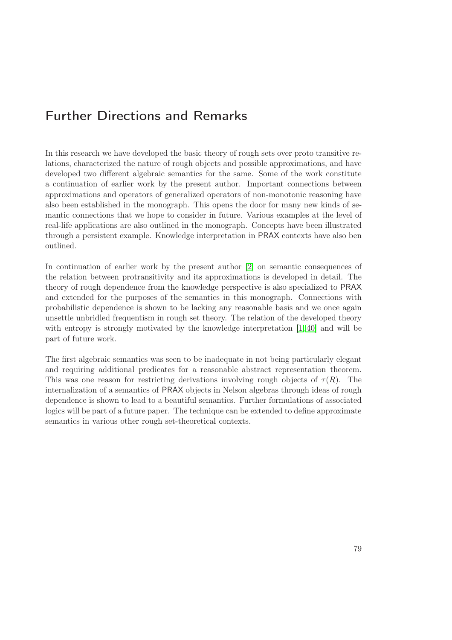## Further Directions and Remarks

In this research we have developed the basic theory of rough sets over proto transitive relations, characterized the nature of rough objects and possible approximations, and have developed two different algebraic semantics for the same. Some of the work constitute a continuation of earlier work by the present author. Important connections between approximations and operators of generalized operators of non-monotonic reasoning have also been established in the monograph. This opens the door for many new kinds of semantic connections that we hope to consider in future. Various examples at the level of real-life applications are also outlined in the monograph. Concepts have been illustrated through a persistent example. Knowledge interpretation in PRAX contexts have also ben outlined.

In continuation of earlier work by the present author [\[2\]](#page-86-1) on semantic consequences of the relation between protransitivity and its approximations is developed in detail. The theory of rough dependence from the knowledge perspective is also specialized to PRAX and extended for the purposes of the semantics in this monograph. Connections with probabilistic dependence is shown to be lacking any reasonable basis and we once again unsettle unbridled frequentism in rough set theory. The relation of the developed theory with entropy is strongly motivated by the knowledge interpretation [\[1,](#page-86-2) [40\]](#page-89-1) and will be part of future work.

The first algebraic semantics was seen to be inadequate in not being particularly elegant and requiring additional predicates for a reasonable abstract representation theorem. This was one reason for restricting derivations involving rough objects of  $\tau(R)$ . The internalization of a semantics of PRAX objects in Nelson algebras through ideas of rough dependence is shown to lead to a beautiful semantics. Further formulations of associated logics will be part of a future paper. The technique can be extended to define approximate semantics in various other rough set-theoretical contexts.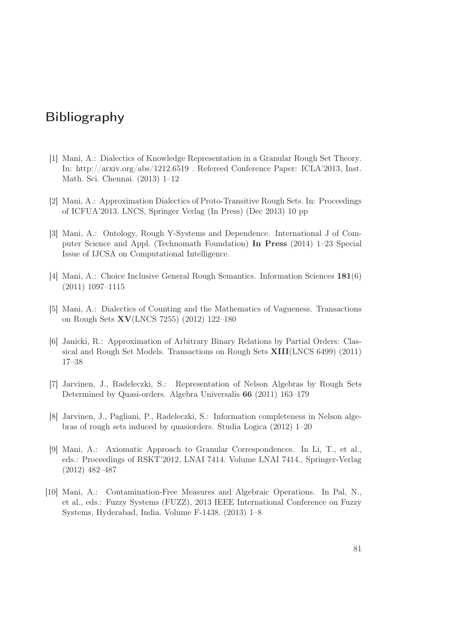## <span id="page-86-2"></span>Bibliography

- <span id="page-86-1"></span>[1] Mani, A.: Dialectics of Knowledge Representation in a Granular Rough Set Theory. In: http://arxiv.org/abs/1212.6519 . Refereed Conference Paper: ICLA'2013, Inst. Math. Sci. Chennai. (2013) 1–12
- [2] Mani, A.: Approximation Dialectics of Proto-Transitive Rough Sets. In: Proceedings of ICFUA'2013. LNCS, Springer Verlag (In Press) (Dec 2013) 10 pp
- [3] Mani, A.: Ontology, Rough Y-Systems and Dependence. International J of Computer Science and Appl. (Technomath Foundation) In Press (2014) 1–23 Special Issue of IJCSA on Computational Intelligence.
- <span id="page-86-0"></span>[4] Mani, A.: Choice Inclusive General Rough Semantics. Information Sciences 181(6) (2011) 1097–1115
- [5] Mani, A.: Dialectics of Counting and the Mathematics of Vagueness. Transactions on Rough Sets XV(LNCS 7255) (2012) 122–180
- [6] Janicki, R.: Approximation of Arbitrary Binary Relations by Partial Orders: Classical and Rough Set Models. Transactions on Rough Sets XIII(LNCS 6499) (2011) 17–38
- [7] Jarvinen, J., Radeleczki, S.: Representation of Nelson Algebras by Rough Sets Determined by Quasi-orders. Algebra Universalis 66 (2011) 163–179
- [8] Jarvinen, J., Pagliani, P., Radeleczki, S.: Information completeness in Nelson algebras of rough sets induced by quasiorders. Studia Logica (2012) 1–20
- [9] Mani, A.: Axiomatic Approach to Granular Correspondences. In Li, T., et al., eds.: Proceedings of RSKT'2012, LNAI 7414. Volume LNAI 7414., Springer-Verlag (2012) 482–487
- [10] Mani, A.: Contamination-Free Measures and Algebraic Operations. In Pal, N., et al., eds.: Fuzzy Systems (FUZZ), 2013 IEEE International Conference on Fuzzy Systems, Hyderabad, India. Volume F-1438. (2013) 1–8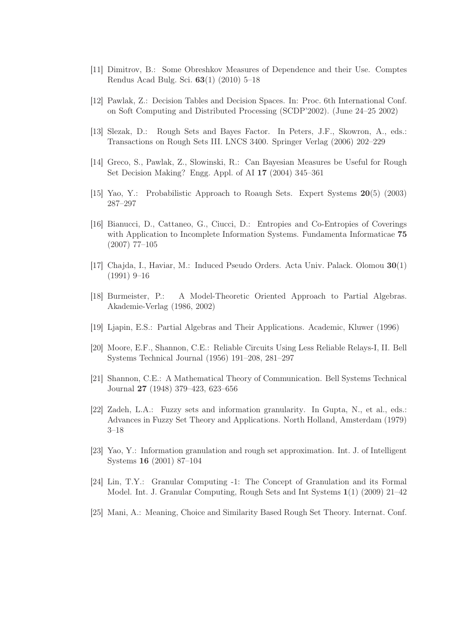- <span id="page-87-0"></span>[11] Dimitrov, B.: Some Obreshkov Measures of Dependence and their Use. Comptes Rendus Acad Bulg. Sci. 63(1) (2010) 5–18
- [12] Pawlak, Z.: Decision Tables and Decision Spaces. In: Proc. 6th International Conf. on Soft Computing and Distributed Processing (SCDP'2002). (June 24–25 2002)
- [13] Slezak, D.: Rough Sets and Bayes Factor. In Peters, J.F., Skowron, A., eds.: Transactions on Rough Sets III. LNCS 3400. Springer Verlag (2006) 202–229
- [14] Greco, S., Pawlak, Z., Slowinski, R.: Can Bayesian Measures be Useful for Rough Set Decision Making? Engg. Appl. of AI 17 (2004) 345–361
- [15] Yao, Y.: Probabilistic Approach to Roaugh Sets. Expert Systems 20(5) (2003) 287–297
- [16] Bianucci, D., Cattaneo, G., Ciucci, D.: Entropies and Co-Entropies of Coverings with Application to Incomplete Information Systems. Fundamenta Informaticae 75 (2007) 77–105
- [17] Chajda, I., Haviar, M.: Induced Pseudo Orders. Acta Univ. Palack. Olomou 30(1) (1991) 9–16
- [18] Burmeister, P.: A Model-Theoretic Oriented Approach to Partial Algebras. Akademie-Verlag (1986, 2002)
- [19] Ljapin, E.S.: Partial Algebras and Their Applications. Academic, Kluwer (1996)
- [20] Moore, E.F., Shannon, C.E.: Reliable Circuits Using Less Reliable Relays-I, II. Bell Systems Technical Journal (1956) 191–208, 281–297
- [21] Shannon, C.E.: A Mathematical Theory of Communication. Bell Systems Technical Journal 27 (1948) 379–423, 623–656
- [22] Zadeh, L.A.: Fuzzy sets and information granularity. In Gupta, N., et al., eds.: Advances in Fuzzy Set Theory and Applications. North Holland, Amsterdam (1979) 3–18
- [23] Yao, Y.: Information granulation and rough set approximation. Int. J. of Intelligent Systems 16 (2001) 87–104
- [24] Lin, T.Y.: Granular Computing -1: The Concept of Granulation and its Formal Model. Int. J. Granular Computing, Rough Sets and Int Systems 1(1) (2009) 21–42
- [25] Mani, A.: Meaning, Choice and Similarity Based Rough Set Theory. Internat. Conf.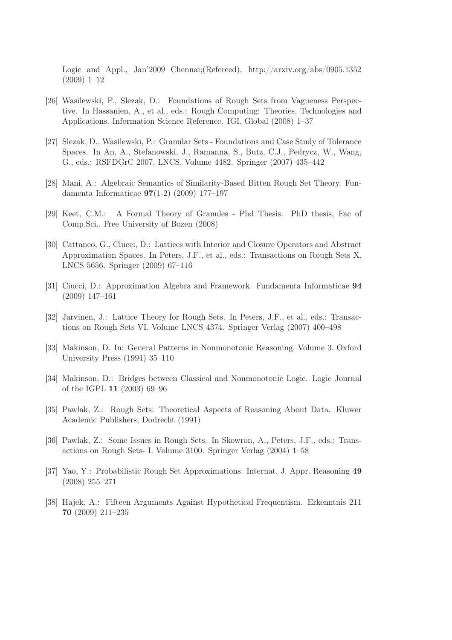Logic and Appl., Jan'2009 Chennai;(Refereed), http://arxiv.org/abs/0905.1352 (2009) 1–12

- [26] Wasilewski, P., Slezak, D.: Foundations of Rough Sets from Vagueness Perspective. In Hassanien, A., et al., eds.: Rough Computing: Theories, Technologies and Applications. Information Science Reference. IGI, Global (2008) 1–37
- [27] Slezak, D., Wasilewski, P.: Granular Sets Foundations and Case Study of Tolerance Spaces. In An, A., Stefanowski, J., Ramanna, S., Butz, C.J., Pedrycz, W., Wang, G., eds.: RSFDGrC 2007, LNCS. Volume 4482. Springer (2007) 435–442
- [28] Mani, A.: Algebraic Semantics of Similarity-Based Bitten Rough Set Theory. Fundamenta Informaticae 97(1-2) (2009) 177–197
- [29] Keet, C.M.: A Formal Theory of Granules Phd Thesis. PhD thesis, Fac of Comp.Sci., Free University of Bozen (2008)
- [30] Cattaneo, G., Ciucci, D.: Lattices with Interior and Closure Operators and Abstract Approximation Spaces. In Peters, J.F., et al., eds.: Transactions on Rough Sets X, LNCS 5656. Springer (2009) 67–116
- [31] Ciucci, D.: Approximation Algebra and Framework. Fundamenta Informaticae 94 (2009) 147–161
- [32] Jarvinen, J.: Lattice Theory for Rough Sets. In Peters, J.F., et al., eds.: Transactions on Rough Sets VI. Volume LNCS 4374. Springer Verlag (2007) 400–498
- [33] Makinson, D. In: General Patterns in Nonmonotonic Reasoning. Volume 3. Oxford University Press (1994) 35–110
- <span id="page-88-1"></span>[34] Makinson, D.: Bridges between Classical and Nonmonotonic Logic. Logic Journal of the IGPL 11 (2003) 69–96
- [35] Pawlak, Z.: Rough Sets: Theoretical Aspects of Reasoning About Data. Kluwer Academic Publishers, Dodrecht (1991)
- [36] Pawlak, Z.: Some Issues in Rough Sets. In Skowron, A., Peters, J.F., eds.: Transactions on Rough Sets- I. Volume 3100. Springer Verlag (2004) 1–58
- <span id="page-88-0"></span>[37] Yao, Y.: Probabilistic Rough Set Approximations. Internat. J. Appr. Reasoning 49 (2008) 255–271
- [38] Hajek, A.: Fifteen Arguments Against Hypothetical Frequentism. Erkenntnis 211 70 (2009) 211–235